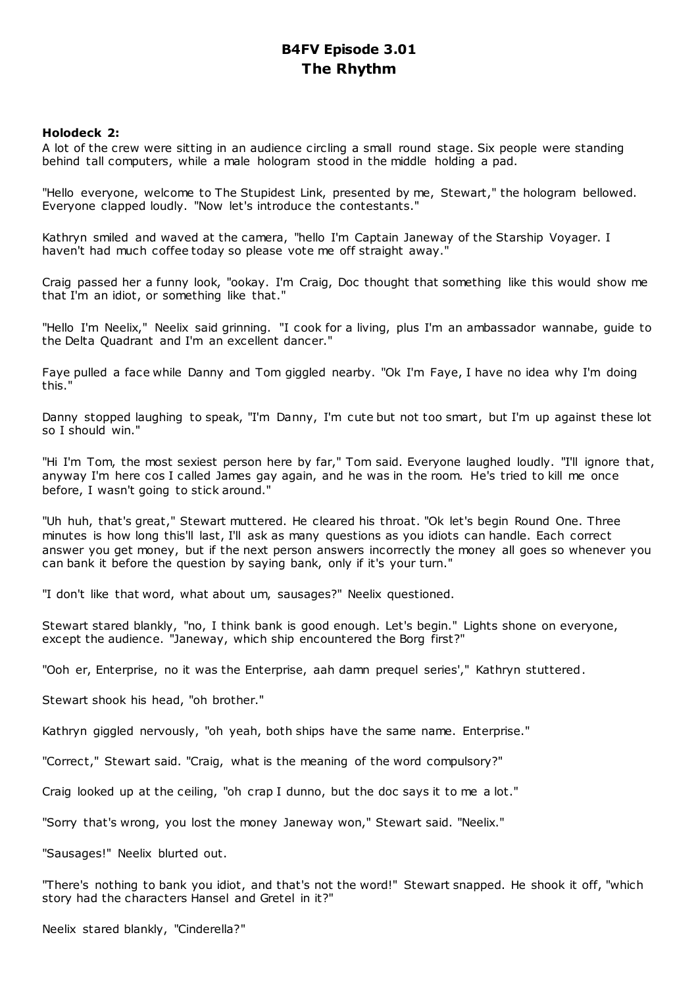# **B4FV Episode 3.01 The Rhythm**

# **Holodeck 2:**

A lot of the crew were sitting in an audience circling a small round stage. Six people were standing behind tall computers, while a male hologram stood in the middle holding a pad.

"Hello everyone, welcome to The Stupidest Link, presented by me, Stewart," the hologram bellowed. Everyone clapped loudly. "Now let's introduce the contestants."

Kathryn smiled and waved at the camera, "hello I'm Captain Janeway of the Starship Voyager. I haven't had much coffee today so please vote me off straight away."

Craig passed her a funny look, "ookay. I'm Craig, Doc thought that something like this would show me that I'm an idiot, or something like that."

"Hello I'm Neelix," Neelix said grinning. "I cook for a living, plus I'm an ambassador wannabe, guide to the Delta Quadrant and I'm an excellent dancer."

Faye pulled a face while Danny and Tom giggled nearby. "Ok I'm Faye, I have no idea why I'm doing this."

Danny stopped laughing to speak, "I'm Danny, I'm cute but not too smart, but I'm up against these lot so I should win."

"Hi I'm Tom, the most sexiest person here by far," Tom said. Everyone laughed loudly. "I'll ignore that, anyway I'm here cos I called James gay again, and he was in the room. He's tried to kill me once before, I wasn't going to stick around."

"Uh huh, that's great," Stewart muttered. He cleared his throat. "Ok let's begin Round One. Three minutes is how long this'll last, I'll ask as many questions as you idiots can handle. Each correct answer you get money, but if the next person answers incorrectly the money all goes so whenever you can bank it before the question by saying bank, only if it's your turn."

"I don't like that word, what about um, sausages?" Neelix questioned.

Stewart stared blankly, "no, I think bank is good enough. Let's begin." Lights shone on everyone, except the audience. "Janeway, which ship encountered the Borg first?"

"Ooh er, Enterprise, no it was the Enterprise, aah damn prequel series'," Kathryn stuttered.

Stewart shook his head, "oh brother."

Kathryn giggled nervously, "oh yeah, both ships have the same name. Enterprise."

"Correct," Stewart said. "Craig, what is the meaning of the word compulsory?"

Craig looked up at the ceiling, "oh crap I dunno, but the doc says it to me a lot."

"Sorry that's wrong, you lost the money Janeway won," Stewart said. "Neelix."

"Sausages!" Neelix blurted out.

"There's nothing to bank you idiot, and that's not the word!" Stewart snapped. He shook it off, "which story had the characters Hansel and Gretel in it?"

Neelix stared blankly, "Cinderella?"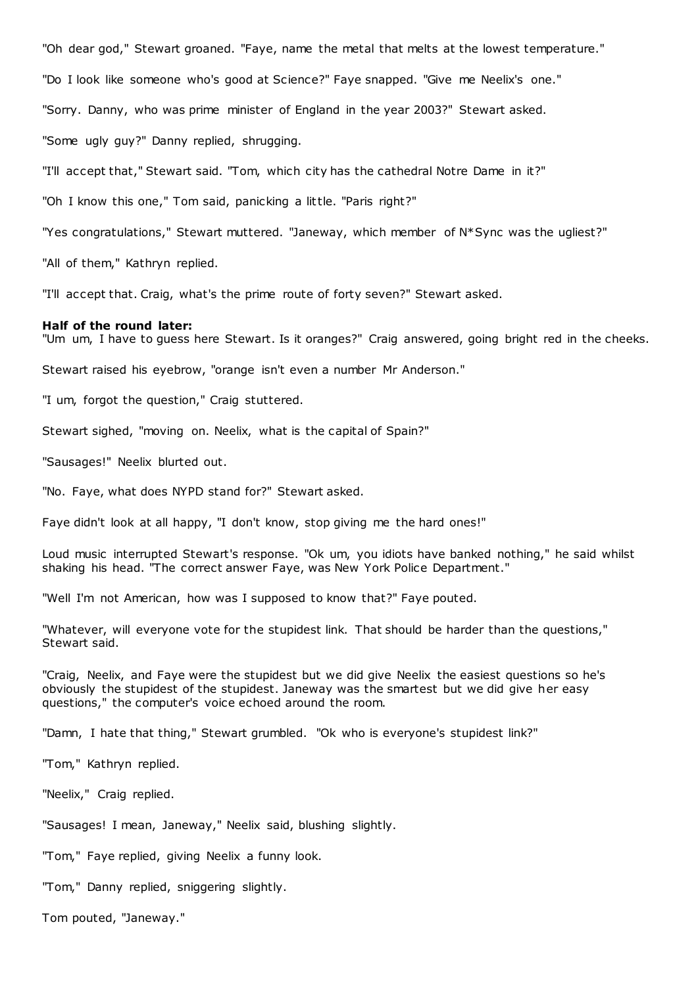"Oh dear god," Stewart groaned. "Faye, name the metal that melts at the lowest temperature."

"Do I look like someone who's good at Science?" Faye snapped. "Give me Neelix's one."

"Sorry. Danny, who was prime minister of England in the year 2003?" Stewart asked.

"Some ugly guy?" Danny replied, shrugging.

"I'll accept that," Stewart said. "Tom, which city has the cathedral Notre Dame in it?"

"Oh I know this one," Tom said, panicking a little. "Paris right?"

"Yes congratulations," Stewart muttered. "Janeway, which member of N\*Sync was the ugliest?"

"All of them," Kathryn replied.

"I'll accept that. Craig, what's the prime route of forty seven?" Stewart asked.

#### **Half of the round later:**

"Um um, I have to guess here Stewart. Is it oranges?" Craig answered, going bright red in the cheeks.

Stewart raised his eyebrow, "orange isn't even a number Mr Anderson."

"I um, forgot the question," Craig stuttered.

Stewart sighed, "moving on. Neelix, what is the capital of Spain?"

"Sausages!" Neelix blurted out.

"No. Faye, what does NYPD stand for?" Stewart asked.

Faye didn't look at all happy, "I don't know, stop giving me the hard ones!"

Loud music interrupted Stewart's response. "Ok um, you idiots have banked nothing," he said whilst shaking his head. "The correct answer Faye, was New York Police Department."

"Well I'm not American, how was I supposed to know that?" Faye pouted.

"Whatever, will everyone vote for the stupidest link. That should be harder than the questions," Stewart said.

"Craig, Neelix, and Faye were the stupidest but we did give Neelix the easiest questions so he's obviously the stupidest of the stupidest. Janeway was the smartest but we did give her easy questions," the computer's voice echoed around the room.

"Damn, I hate that thing," Stewart grumbled. "Ok who is everyone's stupidest link?"

"Tom," Kathryn replied.

"Neelix," Craig replied.

"Sausages! I mean, Janeway," Neelix said, blushing slightly.

"Tom," Faye replied, giving Neelix a funny look.

"Tom," Danny replied, sniggering slightly.

Tom pouted, "Janeway."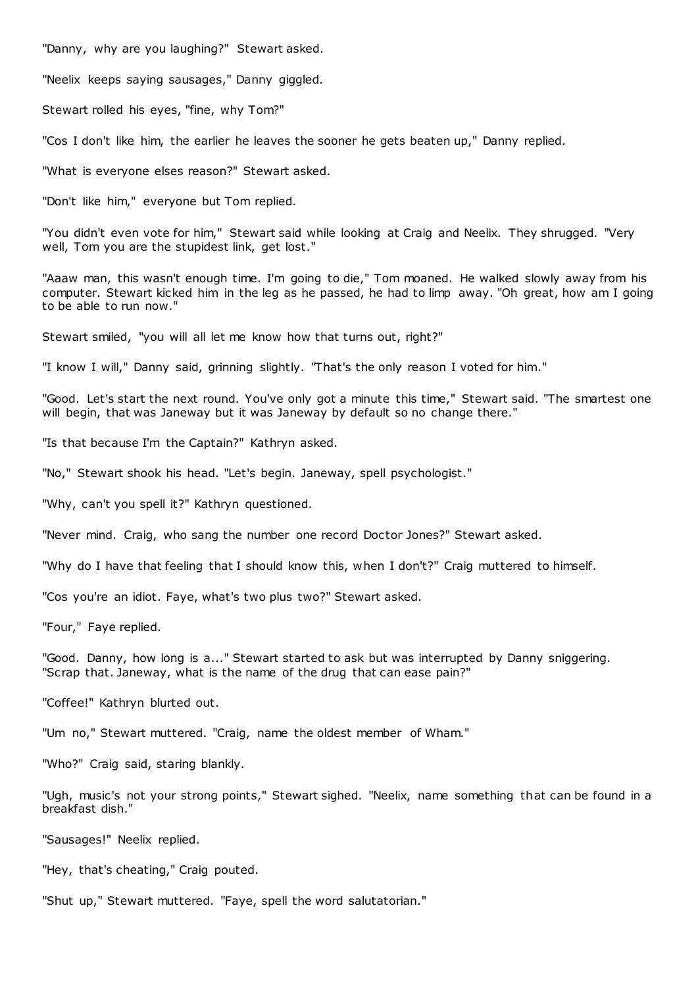"Danny, why are you laughing?" Stewart asked.

"Neelix keeps saying sausages," Danny giggled.

Stewart rolled his eyes, "fine, why Tom?"

"Cos I don't like him, the earlier he leaves the sooner he gets beaten up," Danny replied.

"What is everyone elses reason?" Stewart asked.

"Don't like him," everyone but Tom replied.

"You didn't even vote for him," Stewart said while looking at Craig and Neelix. They shrugged. "Very well, Tom you are the stupidest link, get lost."

"Aaaw man, this wasn't enough time. I'm going to die," Tom moaned. He walked slowly away from his computer. Stewart kicked him in the leg as he passed, he had to limp away. "Oh great, how am I going to be able to run now."

Stewart smiled, "you will all let me know how that turns out, right?"

"I know I will," Danny said, grinning slightly. "That's the only reason I voted for him."

"Good. Let's start the next round. You've only got a minute this time," Stewart said. "The smartest one will begin, that was Janeway but it was Janeway by default so no change there."

"Is that because I'm the Captain?" Kathryn asked.

"No," Stewart shook his head. "Let's begin. Janeway, spell psychologist."

"Why, can't you spell it?" Kathryn questioned.

"Never mind. Craig, who sang the number one record Doctor Jones?" Stewart asked.

"Why do I have that feeling that I should know this, when I don't?" Craig muttered to himself.

"Cos you're an idiot. Faye, what's two plus two?" Stewart asked.

"Four," Faye replied.

"Good. Danny, how long is a..." Stewart started to ask but was interrupted by Danny sniggering. "Scrap that. Janeway, what is the name of the drug that can ease pain?"

"Coffee!" Kathryn blurted out.

"Um no," Stewart muttered. "Craig, name the oldest member of Wham."

"Who?" Craig said, staring blankly.

"Ugh, music's not your strong points," Stewart sighed. "Neelix, name something that can be found in a breakfast dish."

"Sausages!" Neelix replied.

"Hey, that's cheating," Craig pouted.

"Shut up," Stewart muttered. "Faye, spell the word salutatorian."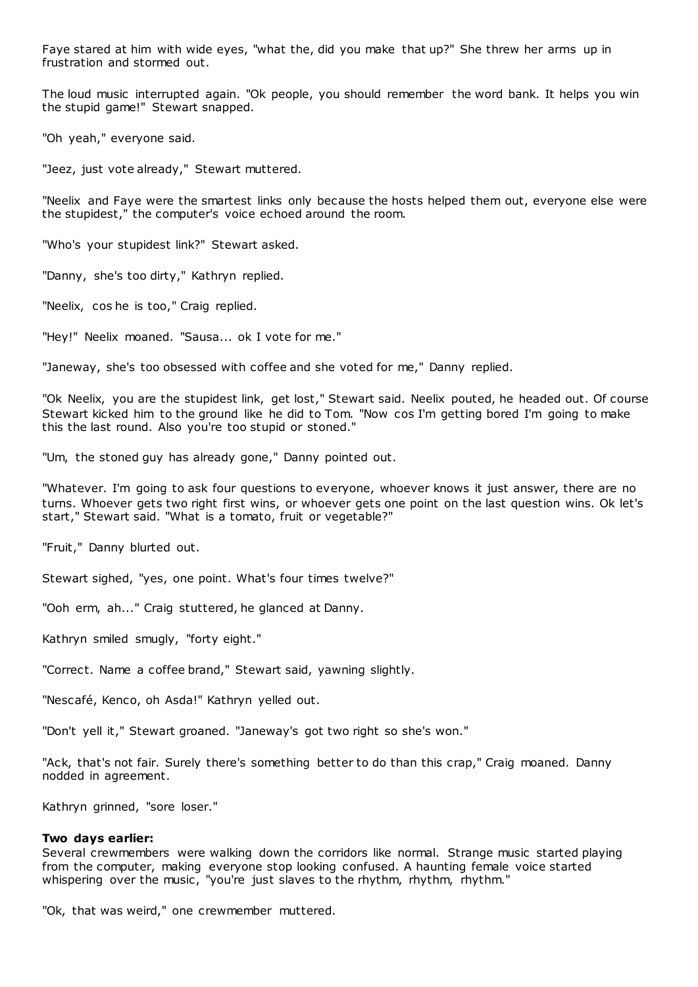Faye stared at him with wide eyes, "what the, did you make that up?" She threw her arms up in frustration and stormed out.

The loud music interrupted again. "Ok people, you should remember the word bank. It helps you win the stupid game!" Stewart snapped.

"Oh yeah," everyone said.

"Jeez, just vote already," Stewart muttered.

"Neelix and Faye were the smartest links only because the hosts helped them out, everyone else were the stupidest," the computer's voice echoed around the room.

"Who's your stupidest link?" Stewart asked.

"Danny, she's too dirty," Kathryn replied.

"Neelix, cos he is too," Craig replied.

"Hey!" Neelix moaned. "Sausa... ok I vote for me."

"Janeway, she's too obsessed with coffee and she voted for me," Danny replied.

"Ok Neelix, you are the stupidest link, get lost," Stewart said. Neelix pouted, he headed out. Of course Stewart kicked him to the ground like he did to Tom. "Now cos I'm getting bored I'm going to make this the last round. Also you're too stupid or stoned."

"Um, the stoned guy has already gone," Danny pointed out.

"Whatever. I'm going to ask four questions to everyone, whoever knows it just answer, there are no turns. Whoever gets two right first wins, or whoever gets one point on the last question wins. Ok let's start," Stewart said. "What is a tomato, fruit or vegetable?"

"Fruit," Danny blurted out.

Stewart sighed, "yes, one point. What's four times twelve?"

"Ooh erm, ah..." Craig stuttered, he glanced at Danny.

Kathryn smiled smugly, "forty eight."

"Correct. Name a coffee brand," Stewart said, yawning slightly.

"Nescafé, Kenco, oh Asda!" Kathryn yelled out.

"Don't yell it," Stewart groaned. "Janeway's got two right so she's won."

"Ack, that's not fair. Surely there's something better to do than this crap," Craig moaned. Danny nodded in agreement.

Kathryn grinned, "sore loser."

## **Two days earlier:**

Several crewmembers were walking down the corridors like normal. Strange music started playing from the computer, making everyone stop looking confused. A haunting female voice started whispering over the music, "you're just slaves to the rhythm, rhythm, rhythm."

"Ok, that was weird," one crewmember muttered.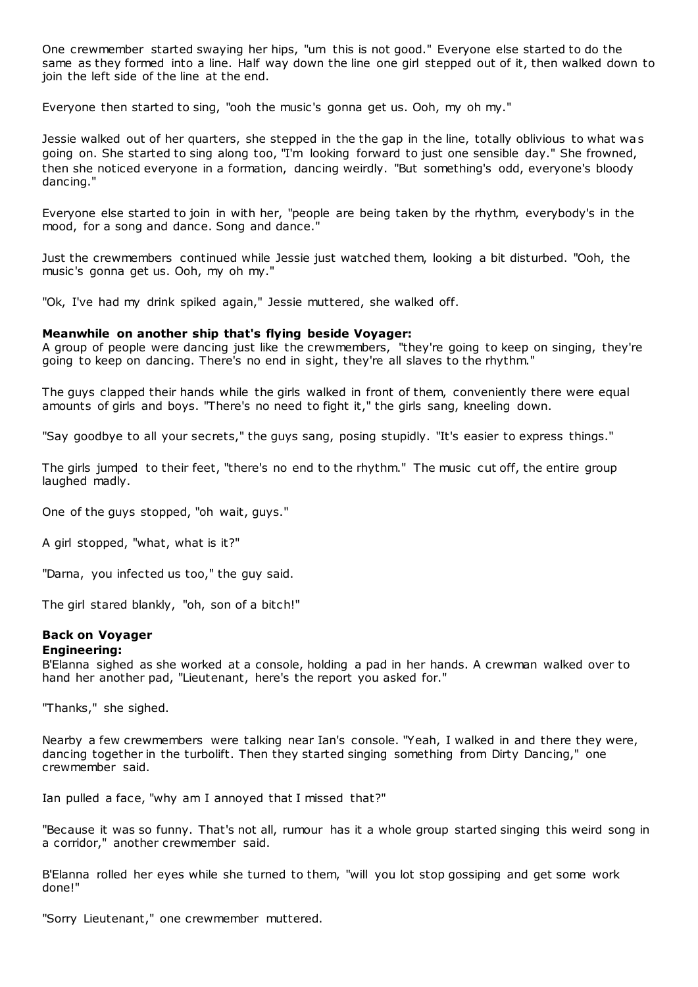One crewmember started swaying her hips, "um this is not good." Everyone else started to do the same as they formed into a line. Half way down the line one girl stepped out of it, then walked down to join the left side of the line at the end.

Everyone then started to sing, "ooh the music's gonna get us. Ooh, my oh my."

Jessie walked out of her quarters, she stepped in the the gap in the line, totally oblivious to what was going on. She started to sing along too, "I'm looking forward to just one sensible day." She frowned, then she noticed everyone in a formation, dancing weirdly. "But something's odd, everyone's bloody dancing."

Everyone else started to join in with her, "people are being taken by the rhythm, everybody's in the mood, for a song and dance. Song and dance."

Just the crewmembers continued while Jessie just watched them, looking a bit disturbed. "Ooh, the music's gonna get us. Ooh, my oh my."

"Ok, I've had my drink spiked again," Jessie muttered, she walked off.

# **Meanwhile on another ship that's flying beside Voyager:**

A group of people were dancing just like the crewmembers, "they're going to keep on singing, they're going to keep on dancing. There's no end in sight, they're all slaves to the rhythm."

The guys clapped their hands while the girls walked in front of them, conveniently there were equal amounts of girls and boys. "There's no need to fight it," the girls sang, kneeling down.

"Say goodbye to all your secrets," the guys sang, posing stupidly. "It's easier to express things."

The girls jumped to their feet, "there's no end to the rhythm." The music cut off, the entire group laughed madly.

One of the guys stopped, "oh wait, guys."

A girl stopped, "what, what is it?"

"Darna, you infected us too," the guy said.

The girl stared blankly, "oh, son of a bitch!"

# **Back on Voyager**

# **Engineering:**

B'Elanna sighed as she worked at a console, holding a pad in her hands. A crewman walked over to hand her another pad, "Lieutenant, here's the report you asked for."

"Thanks," she sighed.

Nearby a few crewmembers were talking near Ian's console. "Yeah, I walked in and there they were, dancing together in the turbolift. Then they started singing something from Dirty Dancing," one crewmember said.

Ian pulled a face, "why am I annoyed that I missed that?"

"Because it was so funny. That's not all, rumour has it a whole group started singing this weird song in a corridor," another crewmember said.

B'Elanna rolled her eyes while she turned to them, "will you lot stop gossiping and get some work done!"

"Sorry Lieutenant," one crewmember muttered.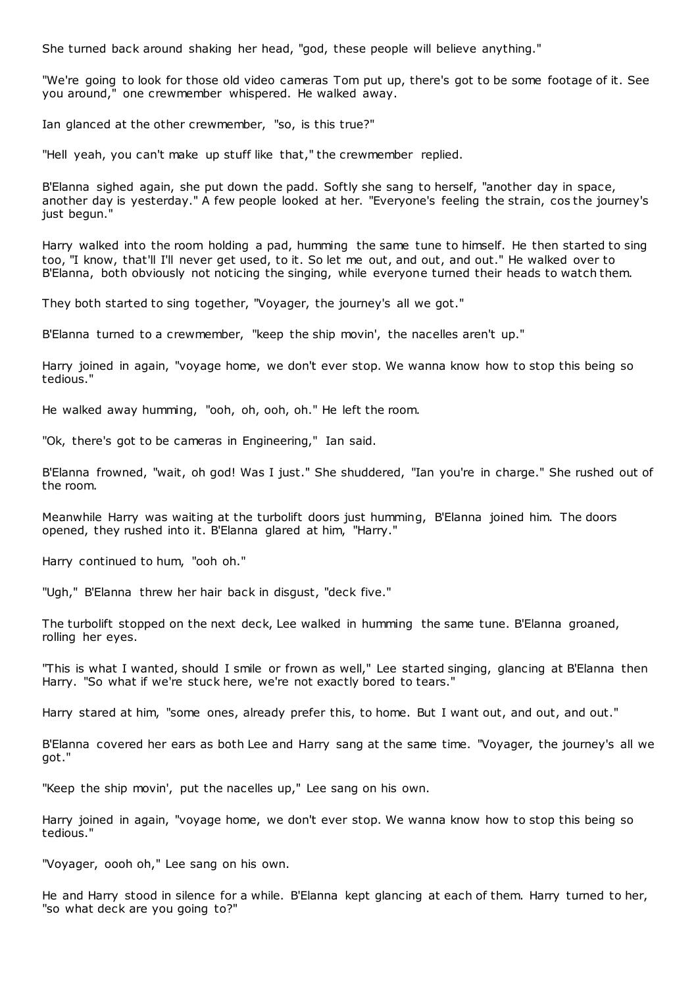She turned back around shaking her head, "god, these people will believe anything."

"We're going to look for those old video cameras Tom put up, there's got to be some footage of it. See you around," one crewmember whispered. He walked away.

Ian glanced at the other crewmember, "so, is this true?"

"Hell yeah, you can't make up stuff like that," the crewmember replied.

B'Elanna sighed again, she put down the padd. Softly she sang to herself, "another day in space, another day is yesterday." A few people looked at her. "Everyone's feeling the strain, cos the journey's just begun."

Harry walked into the room holding a pad, humming the same tune to himself. He then started to sing too, "I know, that'll I'll never get used, to it. So let me out, and out, and out." He walked over to B'Elanna, both obviously not noticing the singing, while everyone turned their heads to watch them.

They both started to sing together, "Voyager, the journey's all we got."

B'Elanna turned to a crewmember, "keep the ship movin', the nacelles aren't up."

Harry joined in again, "voyage home, we don't ever stop. We wanna know how to stop this being so tedious."

He walked away humming, "ooh, oh, ooh, oh." He left the room.

"Ok, there's got to be cameras in Engineering," Ian said.

B'Elanna frowned, "wait, oh god! Was I just." She shuddered, "Ian you're in charge." She rushed out of the room.

Meanwhile Harry was waiting at the turbolift doors just humming, B'Elanna joined him. The doors opened, they rushed into it. B'Elanna glared at him, "Harry."

Harry continued to hum, "ooh oh."

"Ugh," B'Elanna threw her hair back in disgust, "deck five."

The turbolift stopped on the next deck, Lee walked in humming the same tune. B'Elanna groaned, rolling her eyes.

"This is what I wanted, should I smile or frown as well," Lee started singing, glancing at B'Elanna then Harry. "So what if we're stuck here, we're not exactly bored to tears."

Harry stared at him, "some ones, already prefer this, to home. But I want out, and out, and out."

B'Elanna covered her ears as both Lee and Harry sang at the same time. "Voyager, the journey's all we got."

"Keep the ship movin', put the nacelles up," Lee sang on his own.

Harry joined in again, "voyage home, we don't ever stop. We wanna know how to stop this being so tedious."

"Voyager, oooh oh," Lee sang on his own.

He and Harry stood in silence for a while. B'Elanna kept glancing at each of them. Harry turned to her, "so what deck are you going to?"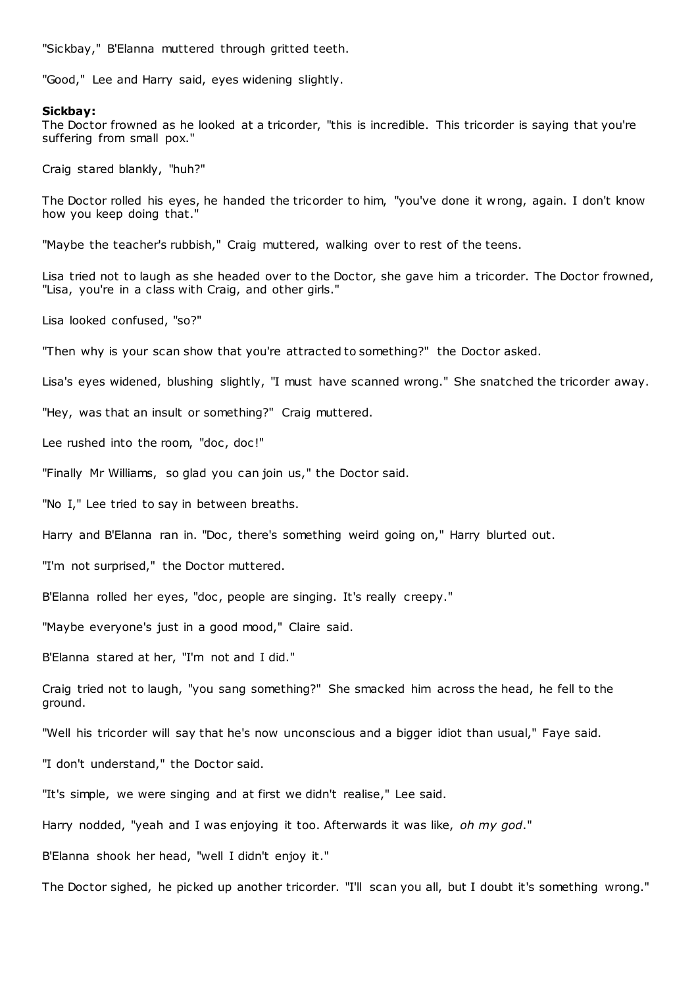"Sickbay," B'Elanna muttered through gritted teeth.

"Good," Lee and Harry said, eyes widening slightly.

#### **Sickbay:**

The Doctor frowned as he looked at a tricorder, "this is incredible. This tricorder is saying that you're suffering from small pox."

Craig stared blankly, "huh?"

The Doctor rolled his eyes, he handed the tricorder to him, "you've done it wrong, again. I don't know how you keep doing that."

"Maybe the teacher's rubbish," Craig muttered, walking over to rest of the teens.

Lisa tried not to laugh as she headed over to the Doctor, she gave him a tricorder. The Doctor frowned, "Lisa, you're in a class with Craig, and other girls."

Lisa looked confused, "so?"

"Then why is your scan show that you're attracted to something?" the Doctor asked.

Lisa's eyes widened, blushing slightly, "I must have scanned wrong." She snatched the tricorder away.

"Hey, was that an insult or something?" Craig muttered.

Lee rushed into the room, "doc, doc!"

"Finally Mr Williams, so glad you can join us," the Doctor said.

"No I," Lee tried to say in between breaths.

Harry and B'Elanna ran in. "Doc, there's something weird going on," Harry blurted out.

"I'm not surprised," the Doctor muttered.

B'Elanna rolled her eyes, "doc, people are singing. It's really creepy."

"Maybe everyone's just in a good mood," Claire said.

B'Elanna stared at her, "I'm not and I did."

Craig tried not to laugh, "you sang something?" She smacked him across the head, he fell to the ground.

"Well his tricorder will say that he's now unconscious and a bigger idiot than usual," Faye said.

"I don't understand," the Doctor said.

"It's simple, we were singing and at first we didn't realise," Lee said.

Harry nodded, "yeah and I was enjoying it too. Afterwards it was like, *oh my god*."

B'Elanna shook her head, "well I didn't enjoy it."

The Doctor sighed, he picked up another tricorder. "I'll scan you all, but I doubt it's something wrong."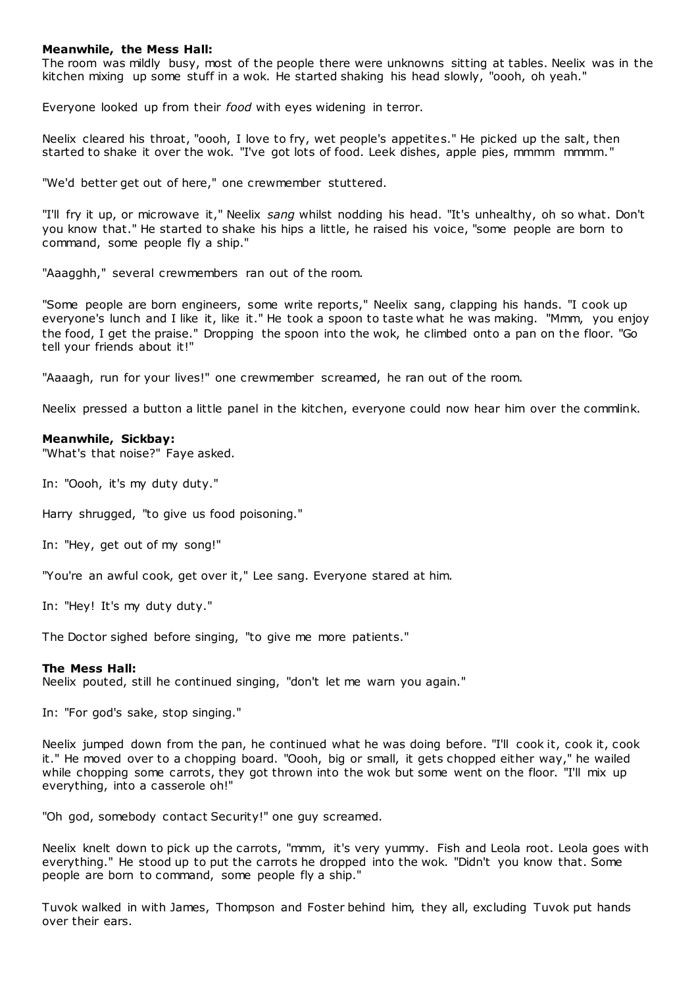## **Meanwhile, the Mess Hall:**

The room was mildly busy, most of the people there were unknowns sitting at tables. Neelix was in the kitchen mixing up some stuff in a wok. He started shaking his head slowly, "oooh, oh yeah."

Everyone looked up from their *food* with eyes widening in terror.

Neelix cleared his throat, "oooh, I love to fry, wet people's appetites." He picked up the salt, then started to shake it over the wok. "I've got lots of food. Leek dishes, apple pies, mmmm mmmm."

"We'd better get out of here," one crewmember stuttered.

"I'll fry it up, or microwave it," Neelix *sang* whilst nodding his head. "It's unhealthy, oh so what. Don't you know that." He started to shake his hips a little, he raised his voice, "some people are born to command, some people fly a ship."

"Aaagghh," several crewmembers ran out of the room.

"Some people are born engineers, some write reports," Neelix sang, clapping his hands. "I cook up everyone's lunch and I like it, like it." He took a spoon to taste what he was making. "Mmm, you enjoy the food, I get the praise." Dropping the spoon into the wok, he climbed onto a pan on the floor. "Go tell your friends about it!"

"Aaaagh, run for your lives!" one crewmember screamed, he ran out of the room.

Neelix pressed a button a little panel in the kitchen, everyone could now hear him over the commlink.

#### **Meanwhile, Sickbay:**

"What's that noise?" Faye asked.

In: "Oooh, it's my duty duty."

Harry shrugged, "to give us food poisoning."

In: "Hey, get out of my song!"

"You're an awful cook, get over it," Lee sang. Everyone stared at him.

In: "Hey! It's my duty duty."

The Doctor sighed before singing, "to give me more patients."

#### **The Mess Hall:**

Neelix pouted, still he continued singing, "don't let me warn you again."

In: "For god's sake, stop singing."

Neelix jumped down from the pan, he continued what he was doing before. "I'll cook it, cook it, cook it." He moved over to a chopping board. "Oooh, big or small, it gets chopped either way," he wailed while chopping some carrots, they got thrown into the wok but some went on the floor. "I'll mix up everything, into a casserole oh!"

"Oh god, somebody contact Security!" one guy screamed.

Neelix knelt down to pick up the carrots, "mmm, it's very yummy. Fish and Leola root. Leola goes with everything." He stood up to put the carrots he dropped into the wok. "Didn't you know that. Some people are born to command, some people fly a ship."

Tuvok walked in with James, Thompson and Foster behind him, they all, excluding Tuvok put hands over their ears.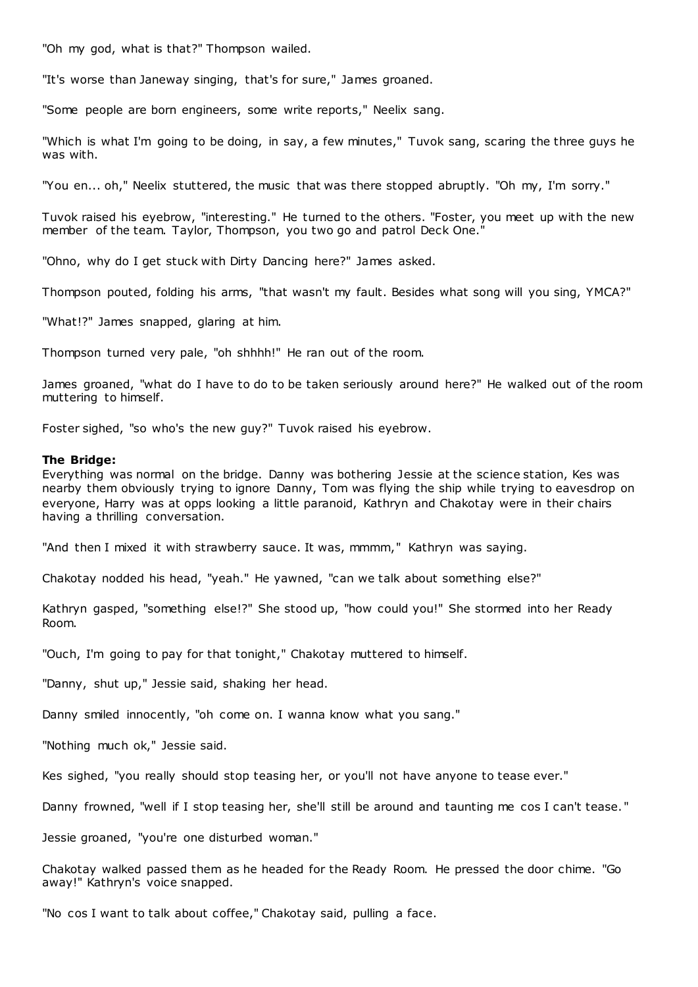"Oh my god, what is that?" Thompson wailed.

"It's worse than Janeway singing, that's for sure," James groaned.

"Some people are born engineers, some write reports," Neelix sang.

"Which is what I'm going to be doing, in say, a few minutes," Tuvok sang, scaring the three guys he was with.

"You en... oh," Neelix stuttered, the music that was there stopped abruptly. "Oh my, I'm sorry."

Tuvok raised his eyebrow, "interesting." He turned to the others. "Foster, you meet up with the new member of the team. Taylor, Thompson, you two go and patrol Deck One.

"Ohno, why do I get stuck with Dirty Dancing here?" James asked.

Thompson pouted, folding his arms, "that wasn't my fault. Besides what song will you sing, YMCA?"

"What!?" James snapped, glaring at him.

Thompson turned very pale, "oh shhhh!" He ran out of the room.

James groaned, "what do I have to do to be taken seriously around here?" He walked out of the room muttering to himself.

Foster sighed, "so who's the new guy?" Tuvok raised his eyebrow.

#### **The Bridge:**

Everything was normal on the bridge. Danny was bothering Jessie at the science station, Kes was nearby them obviously trying to ignore Danny, Tom was flying the ship while trying to eavesdrop on everyone, Harry was at opps looking a little paranoid, Kathryn and Chakotay were in their chairs having a thrilling conversation.

"And then I mixed it with strawberry sauce. It was, mmmm," Kathryn was saying.

Chakotay nodded his head, "yeah." He yawned, "can we talk about something else?"

Kathryn gasped, "something else!?" She stood up, "how could you!" She stormed into her Ready Room.

"Ouch, I'm going to pay for that tonight," Chakotay muttered to himself.

"Danny, shut up," Jessie said, shaking her head.

Danny smiled innocently, "oh come on. I wanna know what you sang."

"Nothing much ok," Jessie said.

Kes sighed, "you really should stop teasing her, or you'll not have anyone to tease ever."

Danny frowned, "well if I stop teasing her, she'll still be around and taunting me cos I can't tease."

Jessie groaned, "you're one disturbed woman."

Chakotay walked passed them as he headed for the Ready Room. He pressed the door chime. "Go away!" Kathryn's voice snapped.

"No cos I want to talk about coffee," Chakotay said, pulling a face.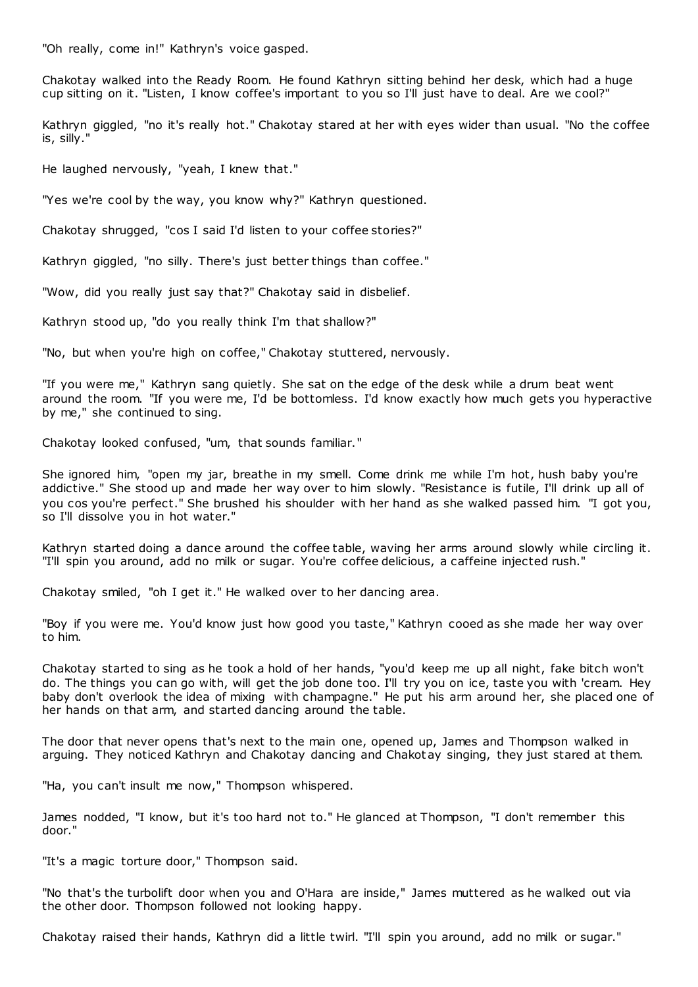"Oh really, come in!" Kathryn's voice gasped.

Chakotay walked into the Ready Room. He found Kathryn sitting behind her desk, which had a huge cup sitting on it. "Listen, I know coffee's important to you so I'll just have to deal. Are we cool?"

Kathryn giggled, "no it's really hot." Chakotay stared at her with eyes wider than usual. "No the coffee is, silly."

He laughed nervously, "yeah, I knew that."

"Yes we're cool by the way, you know why?" Kathryn questioned.

Chakotay shrugged, "cos I said I'd listen to your coffee stories?"

Kathryn giggled, "no silly. There's just better things than coffee."

"Wow, did you really just say that?" Chakotay said in disbelief.

Kathryn stood up, "do you really think I'm that shallow?"

"No, but when you're high on coffee," Chakotay stuttered, nervously.

"If you were me," Kathryn sang quietly. She sat on the edge of the desk while a drum beat went around the room. "If you were me, I'd be bottomless. I'd know exactly how much gets you hyperactive by me," she continued to sing.

Chakotay looked confused, "um, that sounds familiar."

She ignored him, "open my jar, breathe in my smell. Come drink me while I'm hot, hush baby you're addictive." She stood up and made her way over to him slowly. "Resistance is futile, I'll drink up all of you cos you're perfect." She brushed his shoulder with her hand as she walked passed him. "I got you, so I'll dissolve you in hot water."

Kathryn started doing a dance around the coffee table, waving her arms around slowly while circling it. "I'll spin you around, add no milk or sugar. You're coffee delicious, a caffeine injected rush."

Chakotay smiled, "oh I get it." He walked over to her dancing area.

"Boy if you were me. You'd know just how good you taste," Kathryn cooed as she made her way over to him.

Chakotay started to sing as he took a hold of her hands, "you'd keep me up all night, fake bitch won't do. The things you can go with, will get the job done too. I'll try you on ice, taste you with 'cream. Hey baby don't overlook the idea of mixing with champagne." He put his arm around her, she placed one of her hands on that arm, and started dancing around the table.

The door that never opens that's next to the main one, opened up, James and Thompson walked in arguing. They noticed Kathryn and Chakotay dancing and Chakot ay singing, they just stared at them.

"Ha, you can't insult me now," Thompson whispered.

James nodded, "I know, but it's too hard not to." He glanced at Thompson, "I don't remember this door."

"It's a magic torture door," Thompson said.

"No that's the turbolift door when you and O'Hara are inside," James muttered as he walked out via the other door. Thompson followed not looking happy.

Chakotay raised their hands, Kathryn did a little twirl. "I'll spin you around, add no milk or sugar."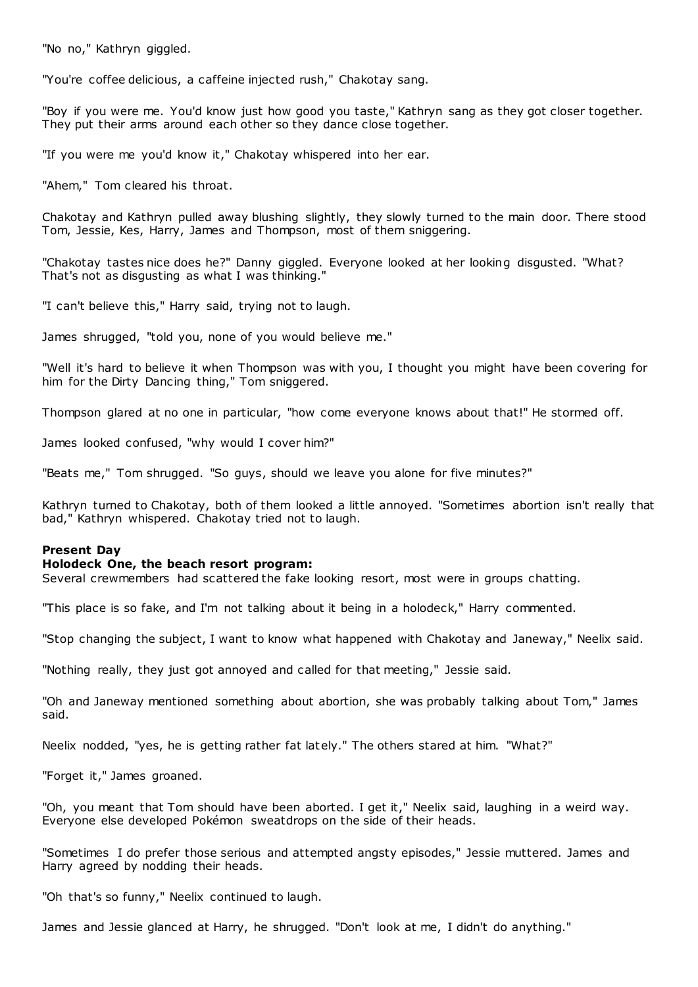"No no," Kathryn giggled.

"You're coffee delicious, a caffeine injected rush," Chakotay sang.

"Boy if you were me. You'd know just how good you taste," Kathryn sang as they got closer together. They put their arms around each other so they dance close together.

"If you were me you'd know it," Chakotay whispered into her ear.

"Ahem," Tom cleared his throat.

Chakotay and Kathryn pulled away blushing slightly, they slowly turned to the main door. There stood Tom, Jessie, Kes, Harry, James and Thompson, most of them sniggering.

"Chakotay tastes nice does he?" Danny giggled. Everyone looked at her looking disgusted. "What? That's not as disgusting as what I was thinking."

"I can't believe this," Harry said, trying not to laugh.

James shrugged, "told you, none of you would believe me."

"Well it's hard to believe it when Thompson was with you, I thought you might have been covering for him for the Dirty Dancing thing," Tom sniggered.

Thompson glared at no one in particular, "how come everyone knows about that!" He stormed off.

James looked confused, "why would I cover him?"

"Beats me," Tom shrugged. "So guys, should we leave you alone for five minutes?"

Kathryn turned to Chakotay, both of them looked a little annoyed. "Sometimes abortion isn't really that bad," Kathryn whispered. Chakotay tried not to laugh.

# **Present Day**

# **Holodeck One, the beach resort program:**

Several crewmembers had scattered the fake looking resort, most were in groups chatting.

"This place is so fake, and I'm not talking about it being in a holodeck," Harry commented.

"Stop changing the subject, I want to know what happened with Chakotay and Janeway," Neelix said.

"Nothing really, they just got annoyed and called for that meeting," Jessie said.

"Oh and Janeway mentioned something about abortion, she was probably talking about Tom," James said.

Neelix nodded, "yes, he is getting rather fat lately." The others stared at him. "What?"

"Forget it," James groaned.

"Oh, you meant that Tom should have been aborted. I get it," Neelix said, laughing in a weird way. Everyone else developed Pokémon sweatdrops on the side of their heads.

"Sometimes I do prefer those serious and attempted angsty episodes," Jessie muttered. James and Harry agreed by nodding their heads.

"Oh that's so funny," Neelix continued to laugh.

James and Jessie glanced at Harry, he shrugged. "Don't look at me, I didn't do anything."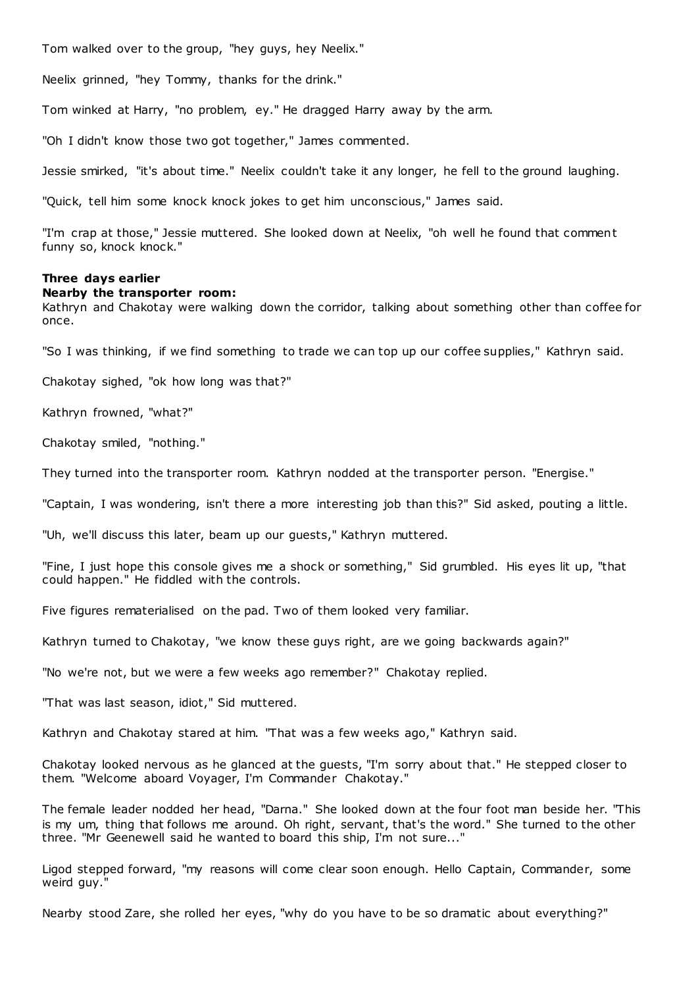Tom walked over to the group, "hey guys, hey Neelix."

Neelix grinned, "hey Tommy, thanks for the drink."

Tom winked at Harry, "no problem, ey." He dragged Harry away by the arm.

"Oh I didn't know those two got together," James commented.

Jessie smirked, "it's about time." Neelix couldn't take it any longer, he fell to the ground laughing.

"Quick, tell him some knock knock jokes to get him unconscious," James said.

"I'm crap at those," Jessie muttered. She looked down at Neelix, "oh well he found that comment funny so, knock knock."

## **Three days earlier**

#### **Nearby the transporter room:**

Kathryn and Chakotay were walking down the corridor, talking about something other than coffee for once.

"So I was thinking, if we find something to trade we can top up our coffee supplies," Kathryn said.

Chakotay sighed, "ok how long was that?"

Kathryn frowned, "what?"

Chakotay smiled, "nothing."

They turned into the transporter room. Kathryn nodded at the transporter person. "Energise."

"Captain, I was wondering, isn't there a more interesting job than this?" Sid asked, pouting a little.

"Uh, we'll discuss this later, beam up our guests," Kathryn muttered.

"Fine, I just hope this console gives me a shock or something," Sid grumbled. His eyes lit up, "that could happen." He fiddled with the controls.

Five figures rematerialised on the pad. Two of them looked very familiar.

Kathryn turned to Chakotay, "we know these guys right, are we going backwards again?"

"No we're not, but we were a few weeks ago remember?" Chakotay replied.

"That was last season, idiot," Sid muttered.

Kathryn and Chakotay stared at him. "That was a few weeks ago," Kathryn said.

Chakotay looked nervous as he glanced at the guests, "I'm sorry about that." He stepped closer to them. "Welcome aboard Voyager, I'm Commander Chakotay."

The female leader nodded her head, "Darna." She looked down at the four foot man beside her. "This is my um, thing that follows me around. Oh right, servant, that's the word." She turned to the other three. "Mr Geenewell said he wanted to board this ship, I'm not sure..."

Ligod stepped forward, "my reasons will come clear soon enough. Hello Captain, Commander, some weird guy."

Nearby stood Zare, she rolled her eyes, "why do you have to be so dramatic about everything?"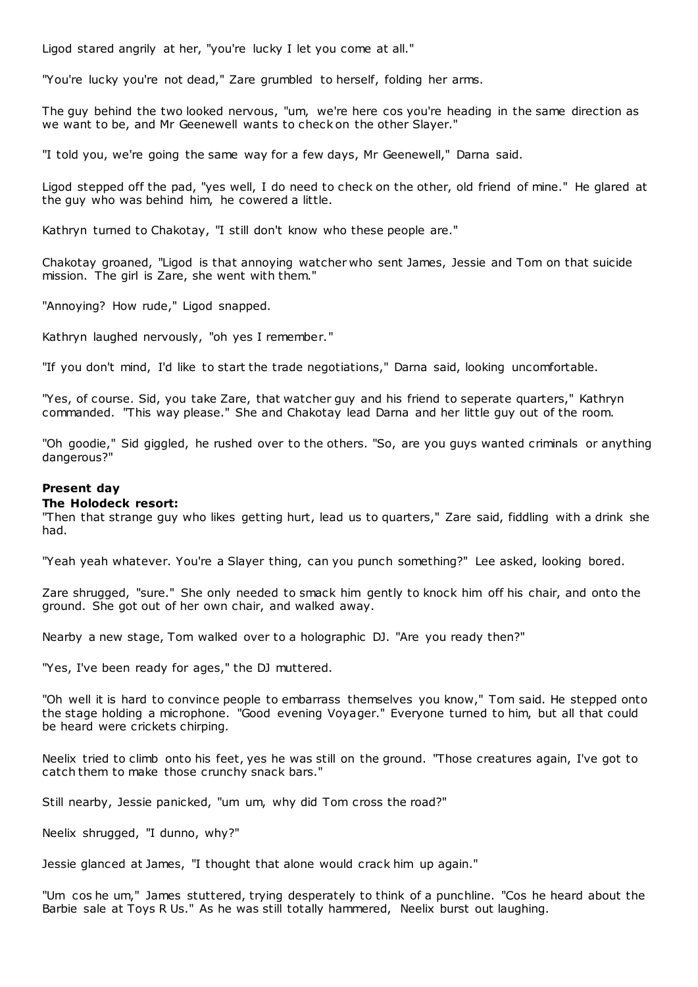Ligod stared angrily at her, "you're lucky I let you come at all."

"You're lucky you're not dead," Zare grumbled to herself, folding her arms.

The guy behind the two looked nervous, "um, we're here cos you're heading in the same direction as we want to be, and Mr Geenewell wants to check on the other Slayer."

"I told you, we're going the same way for a few days, Mr Geenewell," Darna said.

Ligod stepped off the pad, "yes well, I do need to check on the other, old friend of mine." He glared at the guy who was behind him, he cowered a little.

Kathryn turned to Chakotay, "I still don't know who these people are."

Chakotay groaned, "Ligod is that annoying watcher who sent James, Jessie and Tom on that suicide mission. The girl is Zare, she went with them."

"Annoying? How rude," Ligod snapped.

Kathryn laughed nervously, "oh yes I remember."

"If you don't mind, I'd like to start the trade negotiations," Darna said, looking uncomfortable.

"Yes, of course. Sid, you take Zare, that watcher guy and his friend to seperate quarters," Kathryn commanded. "This way please." She and Chakotay lead Darna and her little guy out of the room.

"Oh goodie," Sid giggled, he rushed over to the others. "So, are you guys wanted criminals or anything dangerous?"

# **Present day**

#### **The Holodeck resort:**

"Then that strange guy who likes getting hurt, lead us to quarters," Zare said, fiddling with a drink she had.

"Yeah yeah whatever. You're a Slayer thing, can you punch something?" Lee asked, looking bored.

Zare shrugged, "sure." She only needed to smack him gently to knock him off his chair, and onto the ground. She got out of her own chair, and walked away.

Nearby a new stage, Tom walked over to a holographic DJ. "Are you ready then?"

"Yes, I've been ready for ages," the DJ muttered.

"Oh well it is hard to convince people to embarrass themselves you know," Tom said. He stepped onto the stage holding a microphone. "Good evening Voyager." Everyone turned to him, but all that could be heard were crickets chirping.

Neelix tried to climb onto his feet, yes he was still on the ground. "Those creatures again, I've got to catch them to make those crunchy snack bars."

Still nearby, Jessie panicked, "um um, why did Tom cross the road?"

Neelix shrugged, "I dunno, why?"

Jessie glanced at James, "I thought that alone would crack him up again."

"Um cos he um," James stuttered, trying desperately to think of a punchline. "Cos he heard about the Barbie sale at Toys R Us." As he was still totally hammered, Neelix burst out laughing.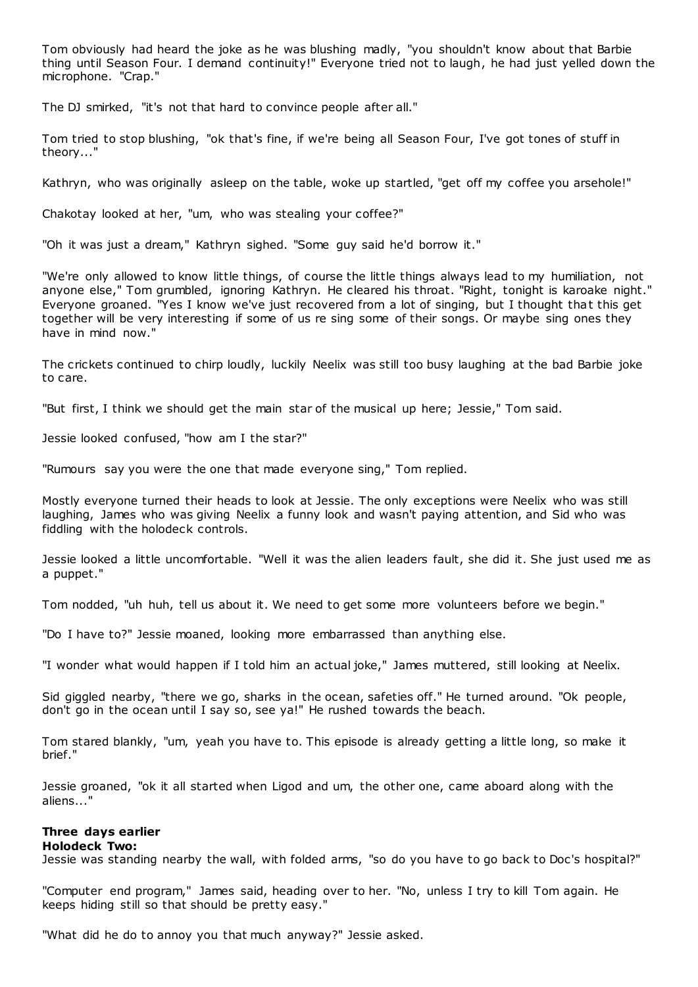Tom obviously had heard the joke as he was blushing madly, "you shouldn't know about that Barbie thing until Season Four. I demand continuity!" Everyone tried not to laugh, he had just yelled down the microphone. "Crap."

The DJ smirked, "it's not that hard to convince people after all."

Tom tried to stop blushing, "ok that's fine, if we're being all Season Four, I've got tones of stuff in theory..."

Kathryn, who was originally asleep on the table, woke up startled, "get off my coffee you arsehole!"

Chakotay looked at her, "um, who was stealing your coffee?"

"Oh it was just a dream," Kathryn sighed. "Some guy said he'd borrow it."

"We're only allowed to know little things, of course the little things always lead to my humiliation, not anyone else," Tom grumbled, ignoring Kathryn. He cleared his throat. "Right, tonight is karoake night." Everyone groaned. "Yes I know we've just recovered from a lot of singing, but I thought that this get together will be very interesting if some of us re sing some of their songs. Or maybe sing ones they have in mind now."

The crickets continued to chirp loudly, luckily Neelix was still too busy laughing at the bad Barbie joke to care.

"But first, I think we should get the main star of the musical up here; Jessie," Tom said.

Jessie looked confused, "how am I the star?"

"Rumours say you were the one that made everyone sing," Tom replied.

Mostly everyone turned their heads to look at Jessie. The only exceptions were Neelix who was still laughing, James who was giving Neelix a funny look and wasn't paying attention, and Sid who was fiddling with the holodeck controls.

Jessie looked a little uncomfortable. "Well it was the alien leaders fault, she did it. She just used me as a puppet."

Tom nodded, "uh huh, tell us about it. We need to get some more volunteers before we begin."

"Do I have to?" Jessie moaned, looking more embarrassed than anything else.

"I wonder what would happen if I told him an actual joke," James muttered, still looking at Neelix.

Sid giggled nearby, "there we go, sharks in the ocean, safeties off." He turned around. "Ok people, don't go in the ocean until I say so, see ya!" He rushed towards the beach.

Tom stared blankly, "um, yeah you have to. This episode is already getting a little long, so make it brief."

Jessie groaned, "ok it all started when Ligod and um, the other one, came aboard along with the aliens..."

# **Three days earlier**

# **Holodeck Two:**

Jessie was standing nearby the wall, with folded arms, "so do you have to go back to Doc's hospital?"

"Computer end program," James said, heading over to her. "No, unless I try to kill Tom again. He keeps hiding still so that should be pretty easy."

"What did he do to annoy you that much anyway?" Jessie asked.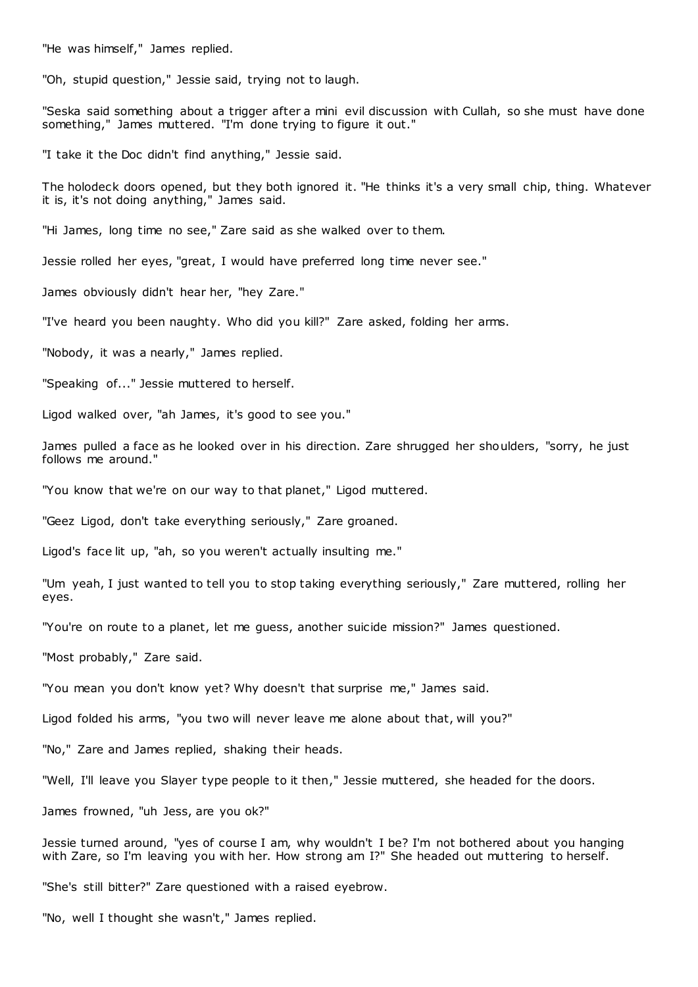"He was himself," James replied.

"Oh, stupid question," Jessie said, trying not to laugh.

"Seska said something about a trigger after a mini evil discussion with Cullah, so she must have done something," James muttered. "I'm done trying to figure it out."

"I take it the Doc didn't find anything," Jessie said.

The holodeck doors opened, but they both ignored it. "He thinks it's a very small chip, thing. Whatever it is, it's not doing anything," James said.

"Hi James, long time no see," Zare said as she walked over to them.

Jessie rolled her eyes, "great, I would have preferred long time never see."

James obviously didn't hear her, "hey Zare."

"I've heard you been naughty. Who did you kill?" Zare asked, folding her arms.

"Nobody, it was a nearly," James replied.

"Speaking of..." Jessie muttered to herself.

Ligod walked over, "ah James, it's good to see you."

James pulled a face as he looked over in his direction. Zare shrugged her shoulders, "sorry, he just follows me around."

"You know that we're on our way to that planet," Ligod muttered.

"Geez Ligod, don't take everything seriously," Zare groaned.

Ligod's face lit up, "ah, so you weren't actually insulting me."

"Um yeah, I just wanted to tell you to stop taking everything seriously," Zare muttered, rolling her eyes.

"You're on route to a planet, let me guess, another suicide mission?" James questioned.

"Most probably," Zare said.

"You mean you don't know yet? Why doesn't that surprise me," James said.

Ligod folded his arms, "you two will never leave me alone about that, will you?"

"No," Zare and James replied, shaking their heads.

"Well, I'll leave you Slayer type people to it then," Jessie muttered, she headed for the doors.

James frowned, "uh Jess, are you ok?"

Jessie turned around, "yes of course I am, why wouldn't I be? I'm not bothered about you hanging with Zare, so I'm leaving you with her. How strong am I?" She headed out muttering to herself.

"She's still bitter?" Zare questioned with a raised eyebrow.

"No, well I thought she wasn't," James replied.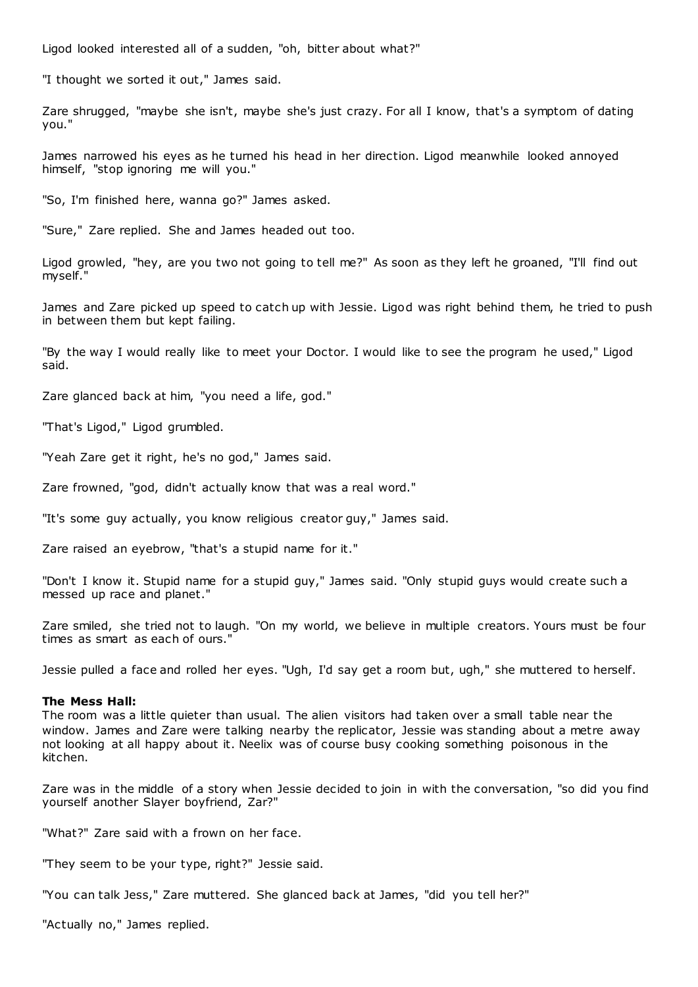Ligod looked interested all of a sudden, "oh, bitter about what?"

"I thought we sorted it out," James said.

Zare shrugged, "maybe she isn't, maybe she's just crazy. For all I know, that's a symptom of dating you."

James narrowed his eyes as he turned his head in her direction. Ligod meanwhile looked annoyed himself, "stop ignoring me will you."

"So, I'm finished here, wanna go?" James asked.

"Sure," Zare replied. She and James headed out too.

Ligod growled, "hey, are you two not going to tell me?" As soon as they left he groaned, "I'll find out myself."

James and Zare picked up speed to catch up with Jessie. Ligod was right behind them, he tried to push in between them but kept failing.

"By the way I would really like to meet your Doctor. I would like to see the program he used," Ligod said.

Zare glanced back at him, "you need a life, god."

"That's Ligod," Ligod grumbled.

"Yeah Zare get it right, he's no god," James said.

Zare frowned, "god, didn't actually know that was a real word."

"It's some guy actually, you know religious creator guy," James said.

Zare raised an eyebrow, "that's a stupid name for it."

"Don't I know it. Stupid name for a stupid guy," James said. "Only stupid guys would create such a messed up race and planet."

Zare smiled, she tried not to laugh. "On my world, we believe in multiple creators. Yours must be four times as smart as each of ours."

Jessie pulled a face and rolled her eyes. "Ugh, I'd say get a room but, ugh," she muttered to herself.

#### **The Mess Hall:**

The room was a little quieter than usual. The alien visitors had taken over a small table near the window. James and Zare were talking nearby the replicator, Jessie was standing about a metre away not looking at all happy about it. Neelix was of course busy cooking something poisonous in the kitchen.

Zare was in the middle of a story when Jessie decided to join in with the conversation, "so did you find yourself another Slayer boyfriend, Zar?"

"What?" Zare said with a frown on her face.

"They seem to be your type, right?" Jessie said.

"You can talk Jess," Zare muttered. She glanced back at James, "did you tell her?"

"Actually no," James replied.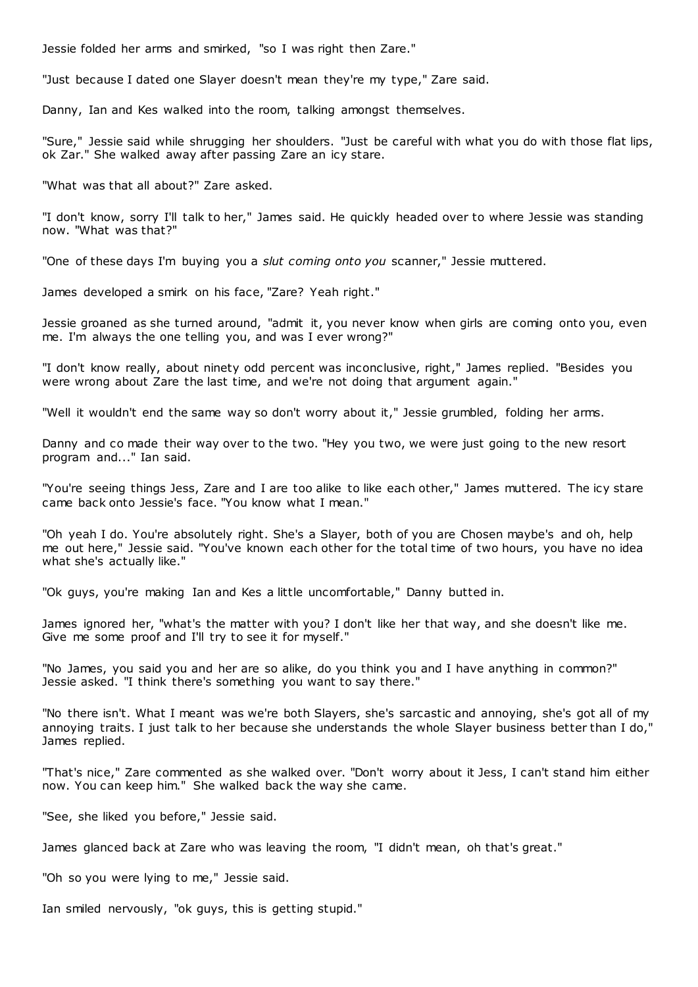Jessie folded her arms and smirked, "so I was right then Zare."

"Just because I dated one Slayer doesn't mean they're my type," Zare said.

Danny, Ian and Kes walked into the room, talking amongst themselves.

"Sure," Jessie said while shrugging her shoulders. "Just be careful with what you do with those flat lips, ok Zar." She walked away after passing Zare an icy stare.

"What was that all about?" Zare asked.

"I don't know, sorry I'll talk to her," James said. He quickly headed over to where Jessie was standing now. "What was that?"

"One of these days I'm buying you a *slut coming onto you* scanner," Jessie muttered.

James developed a smirk on his face, "Zare? Yeah right."

Jessie groaned as she turned around, "admit it, you never know when girls are coming onto you, even me. I'm always the one telling you, and was I ever wrong?"

"I don't know really, about ninety odd percent was inconclusive, right," James replied. "Besides you were wrong about Zare the last time, and we're not doing that argument again."

"Well it wouldn't end the same way so don't worry about it," Jessie grumbled, folding her arms.

Danny and co made their way over to the two. "Hey you two, we were just going to the new resort program and..." Ian said.

"You're seeing things Jess, Zare and I are too alike to like each other," James muttered. The icy stare came back onto Jessie's face. "You know what I mean."

"Oh yeah I do. You're absolutely right. She's a Slayer, both of you are Chosen maybe's and oh, help me out here," Jessie said. "You've known each other for the total time of two hours, you have no idea what she's actually like."

"Ok guys, you're making Ian and Kes a little uncomfortable," Danny butted in.

James ignored her, "what's the matter with you? I don't like her that way, and she doesn't like me. Give me some proof and I'll try to see it for myself."

"No James, you said you and her are so alike, do you think you and I have anything in common?" Jessie asked. "I think there's something you want to say there."

"No there isn't. What I meant was we're both Slayers, she's sarcastic and annoying, she's got all of my annoying traits. I just talk to her because she understands the whole Slayer business better than I do," James replied.

"That's nice," Zare commented as she walked over. "Don't worry about it Jess, I can't stand him either now. You can keep him." She walked back the way she came.

"See, she liked you before," Jessie said.

James glanced back at Zare who was leaving the room, "I didn't mean, oh that's great."

"Oh so you were lying to me," Jessie said.

Ian smiled nervously, "ok guys, this is getting stupid."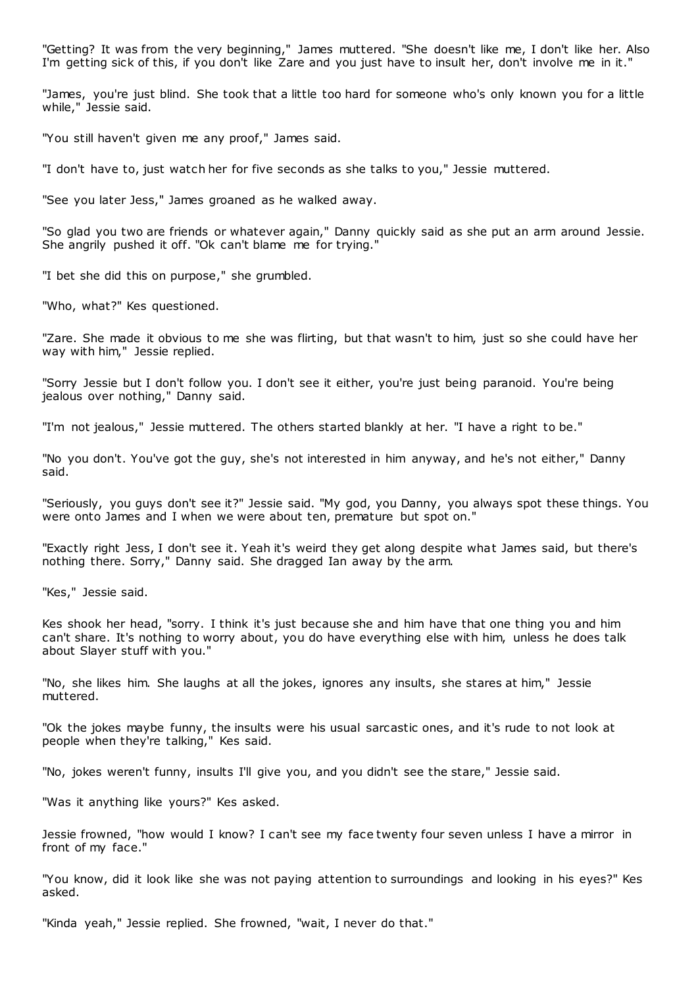"Getting? It was from the very beginning," James muttered. "She doesn't like me, I don't like her. Also I'm getting sick of this, if you don't like Zare and you just have to insult her, don't involve me in it."

"James, you're just blind. She took that a little too hard for someone who's only known you for a little while," Jessie said.

"You still haven't given me any proof," James said.

"I don't have to, just watch her for five seconds as she talks to you," Jessie muttered.

"See you later Jess," James groaned as he walked away.

"So glad you two are friends or whatever again," Danny quickly said as she put an arm around Jessie. She angrily pushed it off. "Ok can't blame me for trying."

"I bet she did this on purpose," she grumbled.

"Who, what?" Kes questioned.

"Zare. She made it obvious to me she was flirting, but that wasn't to him, just so she could have her way with him," Jessie replied.

"Sorry Jessie but I don't follow you. I don't see it either, you're just being paranoid. You're being jealous over nothing," Danny said.

"I'm not jealous," Jessie muttered. The others started blankly at her. "I have a right to be."

"No you don't. You've got the guy, she's not interested in him anyway, and he's not either," Danny said.

"Seriously, you guys don't see it?" Jessie said. "My god, you Danny, you always spot these things. You were onto James and I when we were about ten, premature but spot on."

"Exactly right Jess, I don't see it. Yeah it's weird they get along despite what James said, but there's nothing there. Sorry," Danny said. She dragged Ian away by the arm.

"Kes," Jessie said.

Kes shook her head, "sorry. I think it's just because she and him have that one thing you and him can't share. It's nothing to worry about, you do have everything else with him, unless he does talk about Slayer stuff with you."

"No, she likes him. She laughs at all the jokes, ignores any insults, she stares at him," Jessie muttered.

"Ok the jokes maybe funny, the insults were his usual sarcastic ones, and it's rude to not look at people when they're talking," Kes said.

"No, jokes weren't funny, insults I'll give you, and you didn't see the stare," Jessie said.

"Was it anything like yours?" Kes asked.

Jessie frowned, "how would I know? I can't see my face twenty four seven unless I have a mirror in front of my face."

"You know, did it look like she was not paying attention to surroundings and looking in his eyes?" Kes asked.

"Kinda yeah," Jessie replied. She frowned, "wait, I never do that."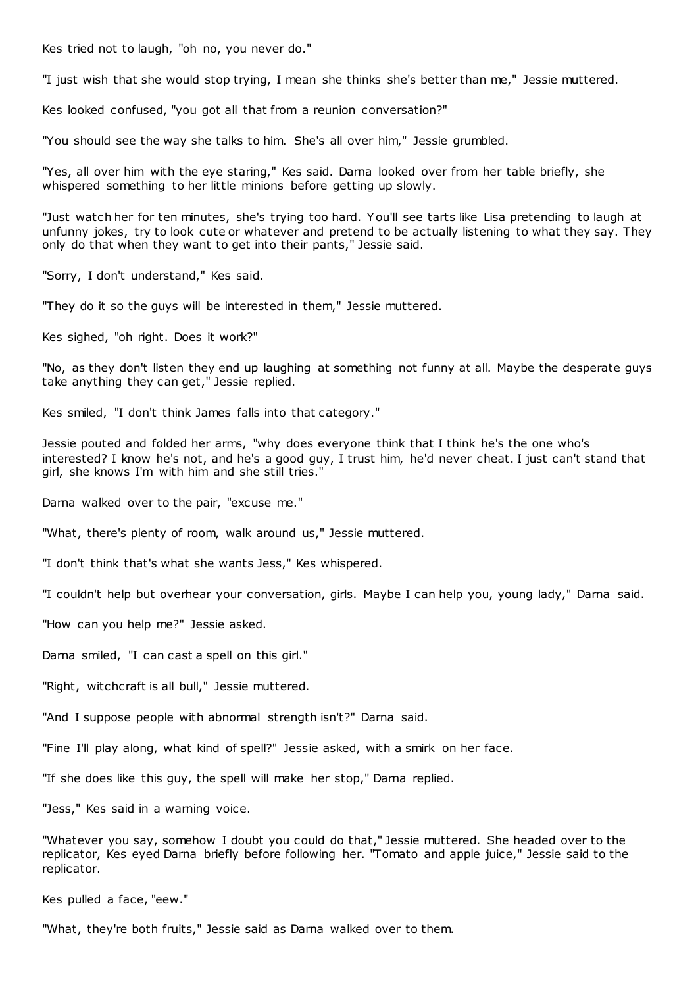Kes tried not to laugh, "oh no, you never do."

"I just wish that she would stop trying, I mean she thinks she's better than me," Jessie muttered.

Kes looked confused, "you got all that from a reunion conversation?"

"You should see the way she talks to him. She's all over him," Jessie grumbled.

"Yes, all over him with the eye staring," Kes said. Darna looked over from her table briefly, she whispered something to her little minions before getting up slowly.

"Just watch her for ten minutes, she's trying too hard. You'll see tarts like Lisa pretending to laugh at unfunny jokes, try to look cute or whatever and pretend to be actually listening to what they say. They only do that when they want to get into their pants," Jessie said.

"Sorry, I don't understand," Kes said.

"They do it so the guys will be interested in them," Jessie muttered.

Kes sighed, "oh right. Does it work?"

"No, as they don't listen they end up laughing at something not funny at all. Maybe the desperate guys take anything they can get," Jessie replied.

Kes smiled, "I don't think James falls into that category."

Jessie pouted and folded her arms, "why does everyone think that I think he's the one who's interested? I know he's not, and he's a good guy, I trust him, he'd never cheat. I just can't stand that girl, she knows I'm with him and she still tries."

Darna walked over to the pair, "excuse me."

"What, there's plenty of room, walk around us," Jessie muttered.

"I don't think that's what she wants Jess," Kes whispered.

"I couldn't help but overhear your conversation, girls. Maybe I can help you, young lady," Darna said.

"How can you help me?" Jessie asked.

Darna smiled, "I can cast a spell on this girl."

"Right, witchcraft is all bull," Jessie muttered.

"And I suppose people with abnormal strength isn't?" Darna said.

"Fine I'll play along, what kind of spell?" Jessie asked, with a smirk on her face.

"If she does like this guy, the spell will make her stop," Darna replied.

"Jess," Kes said in a warning voice.

"Whatever you say, somehow I doubt you could do that," Jessie muttered. She headed over to the replicator, Kes eyed Darna briefly before following her. "Tomato and apple juice," Jessie said to the replicator.

Kes pulled a face, "eew."

"What, they're both fruits," Jessie said as Darna walked over to them.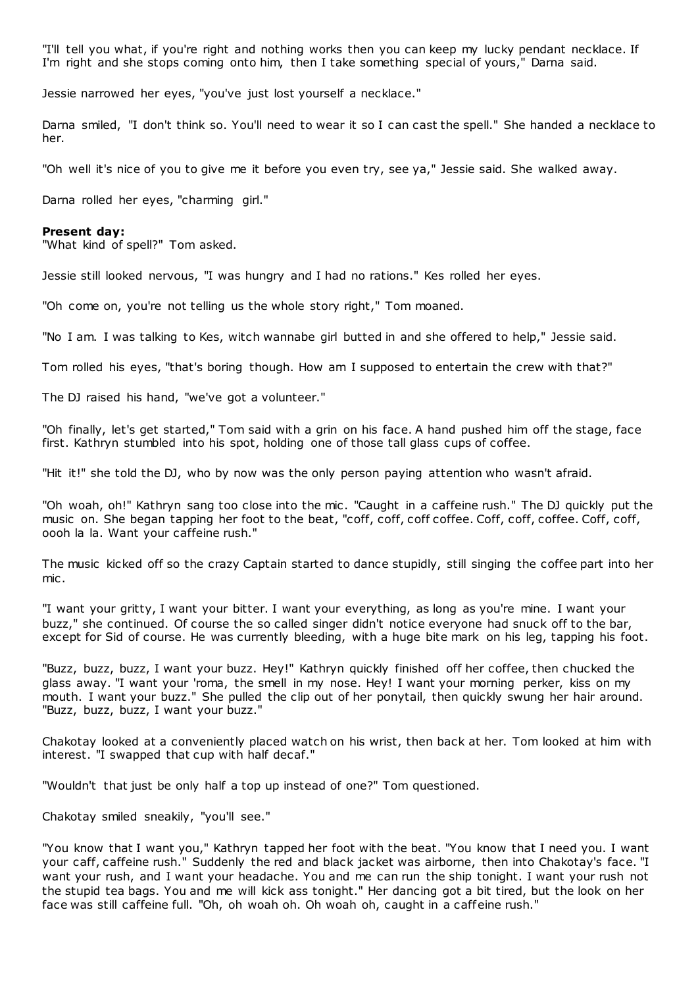"I'll tell you what, if you're right and nothing works then you can keep my lucky pendant necklace. If I'm right and she stops coming onto him, then I take something special of yours," Darna said.

Jessie narrowed her eyes, "you've just lost yourself a necklace."

Darna smiled, "I don't think so. You'll need to wear it so I can cast the spell." She handed a necklace to her.

"Oh well it's nice of you to give me it before you even try, see ya," Jessie said. She walked away.

Darna rolled her eyes, "charming girl."

#### **Present day:**

"What kind of spell?" Tom asked.

Jessie still looked nervous, "I was hungry and I had no rations." Kes rolled her eyes.

"Oh come on, you're not telling us the whole story right," Tom moaned.

"No I am. I was talking to Kes, witch wannabe girl butted in and she offered to help," Jessie said.

Tom rolled his eyes, "that's boring though. How am I supposed to entertain the crew with that?"

The DJ raised his hand, "we've got a volunteer."

"Oh finally, let's get started," Tom said with a grin on his face. A hand pushed him off the stage, face first. Kathryn stumbled into his spot, holding one of those tall glass cups of coffee.

"Hit it!" she told the DJ, who by now was the only person paying attention who wasn't afraid.

"Oh woah, oh!" Kathryn sang too close into the mic. "Caught in a caffeine rush." The DJ quickly put the music on. She began tapping her foot to the beat, "coff, coff, coff coffee. Coff, coff, coffee. Coff, coff, oooh la la. Want your caffeine rush."

The music kicked off so the crazy Captain started to dance stupidly, still singing the coffee part into her mic .

"I want your gritty, I want your bitter. I want your everything, as long as you're mine. I want your buzz," she continued. Of course the so called singer didn't notice everyone had snuck off to the bar, except for Sid of course. He was currently bleeding, with a huge bite mark on his leg, tapping his foot.

"Buzz, buzz, buzz, I want your buzz. Hey!" Kathryn quickly finished off her coffee, then chucked the glass away. "I want your 'roma, the smell in my nose. Hey! I want your morning perker, kiss on my mouth. I want your buzz." She pulled the clip out of her ponytail, then quickly swung her hair around. "Buzz, buzz, buzz, I want your buzz."

Chakotay looked at a conveniently placed watch on his wrist, then back at her. Tom looked at him with interest. "I swapped that cup with half decaf."

"Wouldn't that just be only half a top up instead of one?" Tom questioned.

Chakotay smiled sneakily, "you'll see."

"You know that I want you," Kathryn tapped her foot with the beat. "You know that I need you. I want your caff, caffeine rush." Suddenly the red and black jacket was airborne, then into Chakotay's face. "I want your rush, and I want your headache. You and me can run the ship tonight. I want your rush not the stupid tea bags. You and me will kick ass tonight." Her dancing got a bit tired, but the look on her face was still caffeine full. "Oh, oh woah oh. Oh woah oh, caught in a caffeine rush."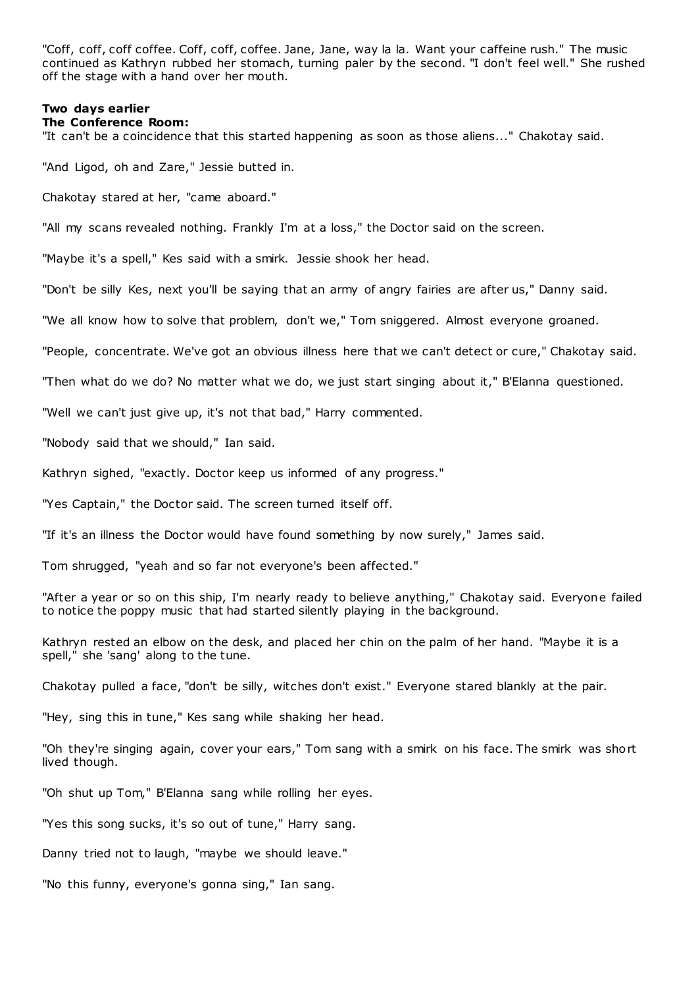"Coff, coff, coff coffee. Coff, coff, coffee. Jane, Jane, way la la. Want your caffeine rush." The music continued as Kathryn rubbed her stomach, turning paler by the second. "I don't feel well." She rushed off the stage with a hand over her mouth.

# **Two days earlier**

## **The Conference Room:**

"It can't be a coincidence that this started happening as soon as those aliens..." Chakotay said.

"And Ligod, oh and Zare," Jessie butted in.

Chakotay stared at her, "came aboard."

"All my scans revealed nothing. Frankly I'm at a loss," the Doctor said on the screen.

"Maybe it's a spell," Kes said with a smirk. Jessie shook her head.

"Don't be silly Kes, next you'll be saying that an army of angry fairies are after us," Danny said.

"We all know how to solve that problem, don't we," Tom sniggered. Almost everyone groaned.

"People, concentrate. We've got an obvious illness here that we can't detect or cure," Chakotay said.

"Then what do we do? No matter what we do, we just start singing about it," B'Elanna questioned.

"Well we can't just give up, it's not that bad," Harry commented.

"Nobody said that we should," Ian said.

Kathryn sighed, "exactly. Doctor keep us informed of any progress."

"Yes Captain," the Doctor said. The screen turned itself off.

"If it's an illness the Doctor would have found something by now surely," James said.

Tom shrugged, "yeah and so far not everyone's been affected."

"After a year or so on this ship, I'm nearly ready to believe anything," Chakotay said. Everyone failed to notice the poppy music that had started silently playing in the background.

Kathryn rested an elbow on the desk, and placed her chin on the palm of her hand. "Maybe it is a spell," she 'sang' along to the tune.

Chakotay pulled a face, "don't be silly, witches don't exist." Everyone stared blankly at the pair.

"Hey, sing this in tune," Kes sang while shaking her head.

"Oh they're singing again, cover your ears," Tom sang with a smirk on his face. The smirk was short lived though.

"Oh shut up Tom," B'Elanna sang while rolling her eyes.

"Yes this song sucks, it's so out of tune," Harry sang.

Danny tried not to laugh, "maybe we should leave."

"No this funny, everyone's gonna sing," Ian sang.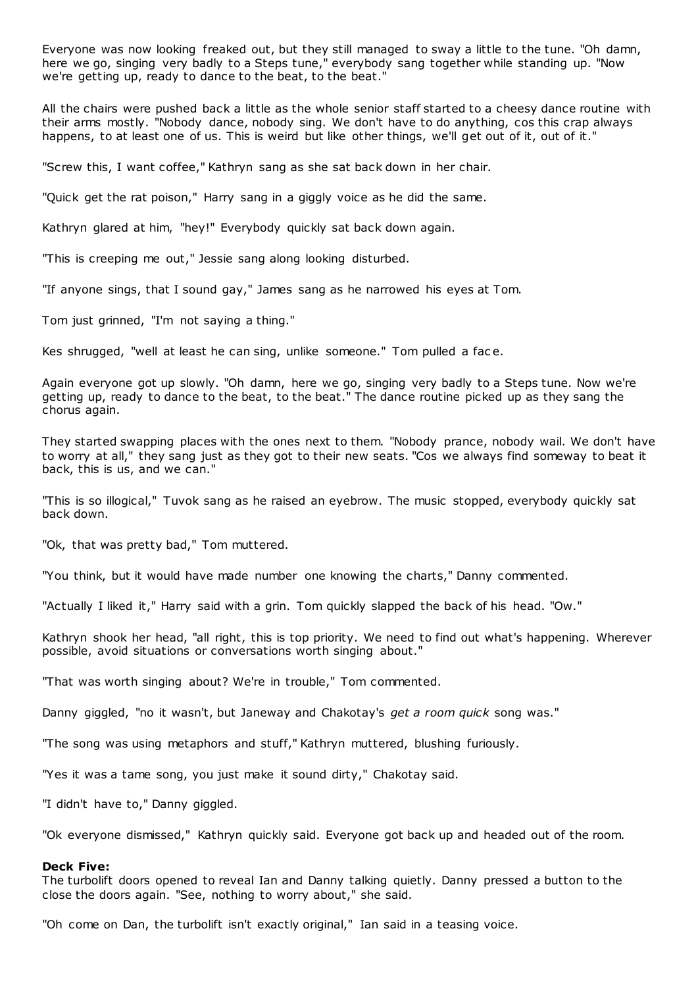Everyone was now looking freaked out, but they still managed to sway a little to the tune. "Oh damn, here we go, singing very badly to a Steps tune," everybody sang together while standing up. "Now we're getting up, ready to dance to the beat, to the beat."

All the chairs were pushed back a little as the whole senior staff started to a cheesy dance routine with their arms mostly. "Nobody dance, nobody sing. We don't have to do anything, cos this crap always happens, to at least one of us. This is weird but like other things, we'll get out of it, out of it."

"Screw this, I want coffee," Kathryn sang as she sat back down in her chair.

"Quick get the rat poison," Harry sang in a giggly voice as he did the same.

Kathryn glared at him, "hey!" Everybody quickly sat back down again.

"This is creeping me out," Jessie sang along looking disturbed.

"If anyone sings, that I sound gay," James sang as he narrowed his eyes at Tom.

Tom just grinned, "I'm not saying a thing."

Kes shrugged, "well at least he can sing, unlike someone." Tom pulled a fac e.

Again everyone got up slowly. "Oh damn, here we go, singing very badly to a Steps tune. Now we're getting up, ready to dance to the beat, to the beat." The dance routine picked up as they sang the chorus again.

They started swapping places with the ones next to them. "Nobody prance, nobody wail. We don't have to worry at all," they sang just as they got to their new seats. "Cos we always find someway to beat it back, this is us, and we can."

"This is so illogical," Tuvok sang as he raised an eyebrow. The music stopped, everybody quickly sat back down.

"Ok, that was pretty bad," Tom muttered.

"You think, but it would have made number one knowing the charts," Danny commented.

"Actually I liked it," Harry said with a grin. Tom quickly slapped the back of his head. "Ow."

Kathryn shook her head, "all right, this is top priority. We need to find out what's happening. Wherever possible, avoid situations or conversations worth singing about."

"That was worth singing about? We're in trouble," Tom commented.

Danny giggled, "no it wasn't, but Janeway and Chakotay's *get a room quick* song was."

"The song was using metaphors and stuff," Kathryn muttered, blushing furiously.

"Yes it was a tame song, you just make it sound dirty," Chakotay said.

"I didn't have to," Danny giggled.

"Ok everyone dismissed," Kathryn quickly said. Everyone got back up and headed out of the room.

#### **Deck Five:**

The turbolift doors opened to reveal Ian and Danny talking quietly. Danny pressed a button to the close the doors again. "See, nothing to worry about," she said.

"Oh come on Dan, the turbolift isn't exactly original," Ian said in a teasing voice.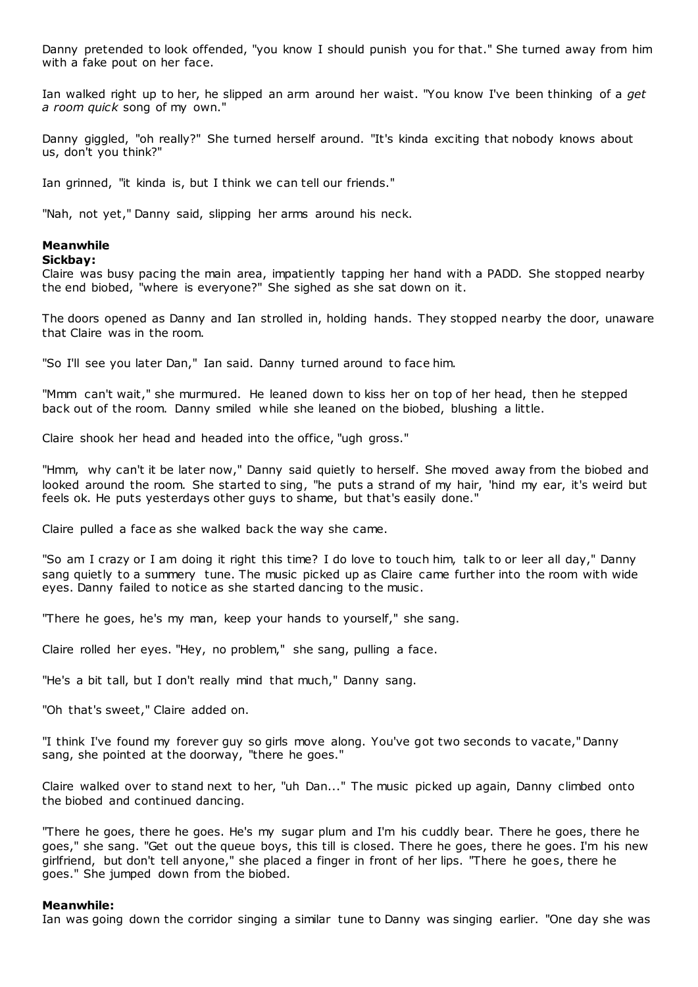Danny pretended to look offended, "you know I should punish you for that." She turned away from him with a fake pout on her face.

Ian walked right up to her, he slipped an arm around her waist. "You know I've been thinking of a *get a room quick* song of my own."

Danny giggled, "oh really?" She turned herself around. "It's kinda exciting that nobody knows about us, don't you think?"

Ian grinned, "it kinda is, but I think we can tell our friends."

"Nah, not yet," Danny said, slipping her arms around his neck.

# **Meanwhile**

#### **Sickbay:**

Claire was busy pacing the main area, impatiently tapping her hand with a PADD. She stopped nearby the end biobed, "where is everyone?" She sighed as she sat down on it.

The doors opened as Danny and Ian strolled in, holding hands. They stopped nearby the door, unaware that Claire was in the room.

"So I'll see you later Dan," Ian said. Danny turned around to face him.

"Mmm can't wait," she murmured. He leaned down to kiss her on top of her head, then he stepped back out of the room. Danny smiled while she leaned on the biobed, blushing a little.

Claire shook her head and headed into the office, "ugh gross."

"Hmm, why can't it be later now," Danny said quietly to herself. She moved away from the biobed and looked around the room. She started to sing, "he puts a strand of my hair, 'hind my ear, it's weird but feels ok. He puts yesterdays other guys to shame, but that's easily done."

Claire pulled a face as she walked back the way she came.

"So am I crazy or I am doing it right this time? I do love to touch him, talk to or leer all day," Danny sang quietly to a summery tune. The music picked up as Claire came further into the room with wide eyes. Danny failed to notice as she started dancing to the music .

"There he goes, he's my man, keep your hands to yourself," she sang.

Claire rolled her eyes. "Hey, no problem," she sang, pulling a face.

"He's a bit tall, but I don't really mind that much," Danny sang.

"Oh that's sweet," Claire added on.

"I think I've found my forever guy so girls move along. You've got two seconds to vacate," Danny sang, she pointed at the doorway, "there he goes."

Claire walked over to stand next to her, "uh Dan..." The music picked up again, Danny climbed onto the biobed and continued dancing.

"There he goes, there he goes. He's my sugar plum and I'm his cuddly bear. There he goes, there he goes," she sang. "Get out the queue boys, this till is closed. There he goes, there he goes. I'm his new girlfriend, but don't tell anyone," she placed a finger in front of her lips. "There he goes, there he goes." She jumped down from the biobed.

#### **Meanwhile:**

Ian was going down the corridor singing a similar tune to Danny was singing earlier. "One day she was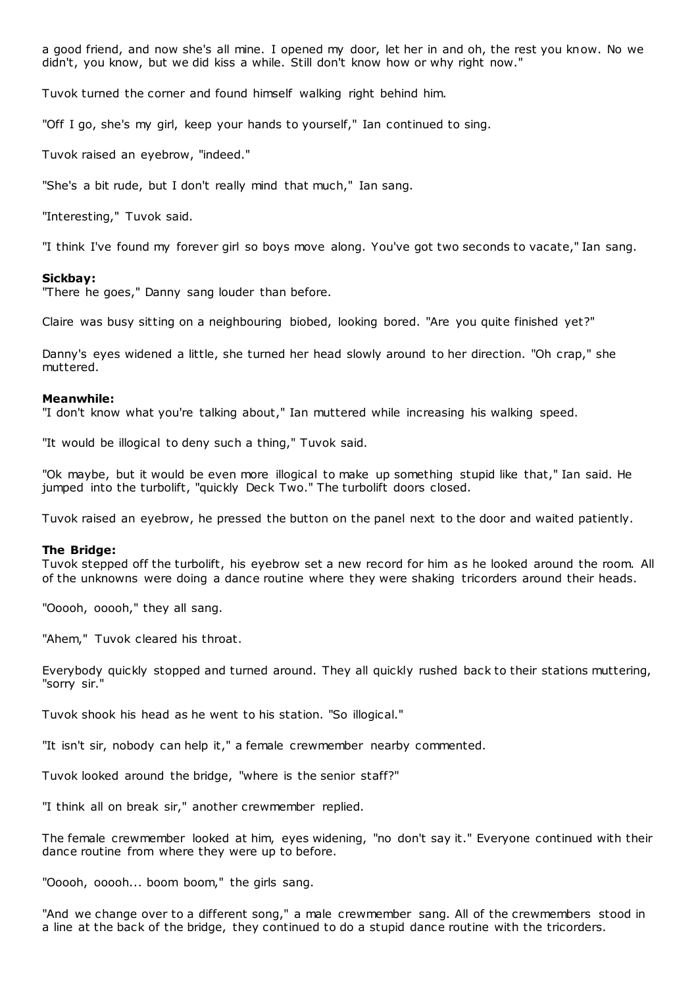a good friend, and now she's all mine. I opened my door, let her in and oh, the rest you know. No we didn't, you know, but we did kiss a while. Still don't know how or why right now."

Tuvok turned the corner and found himself walking right behind him.

"Off I go, she's my girl, keep your hands to yourself," Ian continued to sing.

Tuvok raised an eyebrow, "indeed."

"She's a bit rude, but I don't really mind that much," Ian sang.

"Interesting," Tuvok said.

"I think I've found my forever girl so boys move along. You've got two seconds to vacate," Ian sang.

#### **Sickbay:**

"There he goes," Danny sang louder than before.

Claire was busy sitting on a neighbouring biobed, looking bored. "Are you quite finished yet?"

Danny's eyes widened a little, she turned her head slowly around to her direction. "Oh crap," she muttered.

#### **Meanwhile:**

"I don't know what you're talking about," Ian muttered while increasing his walking speed.

"It would be illogical to deny such a thing," Tuvok said.

"Ok maybe, but it would be even more illogical to make up something stupid like that," Ian said. He jumped into the turbolift, "quickly Deck Two." The turbolift doors closed.

Tuvok raised an eyebrow, he pressed the button on the panel next to the door and waited patiently.

#### **The Bridge:**

Tuvok stepped off the turbolift, his eyebrow set a new record for him as he looked around the room. All of the unknowns were doing a dance routine where they were shaking tricorders around their heads.

"Ooooh, ooooh," they all sang.

"Ahem," Tuvok cleared his throat.

Everybody quickly stopped and turned around. They all quickly rushed back to their stations muttering, "sorry sir."

Tuvok shook his head as he went to his station. "So illogical."

"It isn't sir, nobody can help it," a female crewmember nearby commented.

Tuvok looked around the bridge, "where is the senior staff?"

"I think all on break sir," another crewmember replied.

The female crewmember looked at him, eyes widening, "no don't say it." Everyone continued with their dance routine from where they were up to before.

"Ooooh, ooooh... boom boom," the girls sang.

"And we change over to a different song," a male crewmember sang. All of the crewmembers stood in a line at the back of the bridge, they continued to do a stupid dance routine with the tricorders.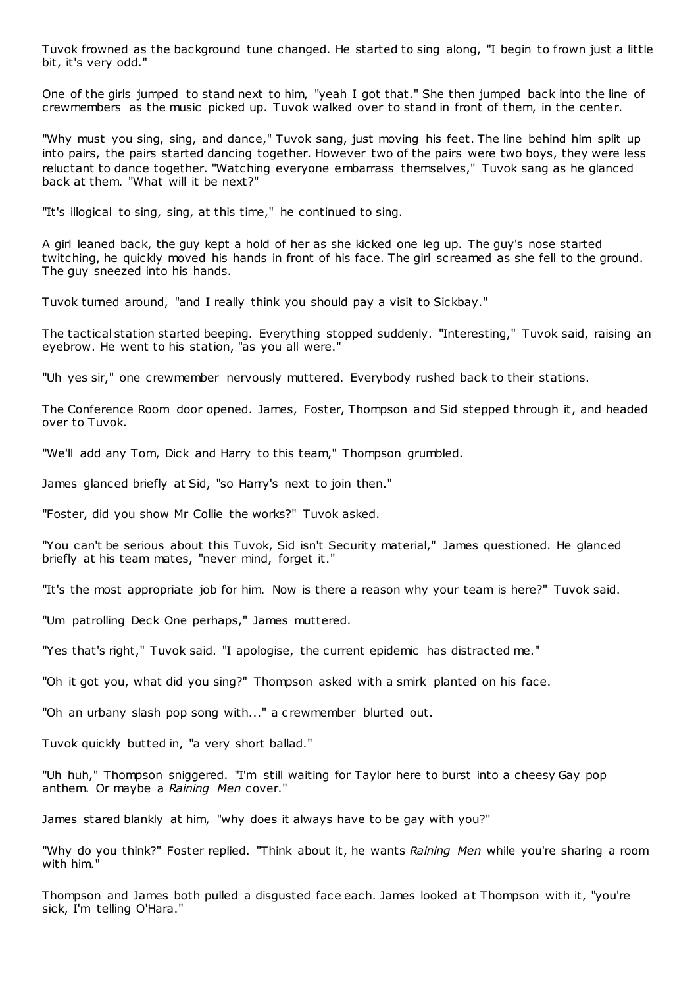Tuvok frowned as the background tune changed. He started to sing along, "I begin to frown just a little bit, it's very odd."

One of the girls jumped to stand next to him, "yeah I got that." She then jumped back into the line of crewmembers as the music picked up. Tuvok walked over to stand in front of them, in the center.

"Why must you sing, sing, and dance," Tuvok sang, just moving his feet. The line behind him split up into pairs, the pairs started dancing together. However two of the pairs were two boys, they were less reluctant to dance together. "Watching everyone embarrass themselves," Tuvok sang as he glanced back at them. "What will it be next?"

"It's illogical to sing, sing, at this time," he continued to sing.

A girl leaned back, the guy kept a hold of her as she kicked one leg up. The guy's nose started twitching, he quickly moved his hands in front of his face. The girl screamed as she fell to the ground. The guy sneezed into his hands.

Tuvok turned around, "and I really think you should pay a visit to Sickbay."

The tactical station started beeping. Everything stopped suddenly. "Interesting," Tuvok said, raising an eyebrow. He went to his station, "as you all were."

"Uh yes sir," one crewmember nervously muttered. Everybody rushed back to their stations.

The Conference Room door opened. James, Foster, Thompson and Sid stepped through it, and headed over to Tuvok.

"We'll add any Tom, Dick and Harry to this team," Thompson grumbled.

James glanced briefly at Sid, "so Harry's next to join then."

"Foster, did you show Mr Collie the works?" Tuvok asked.

"You can't be serious about this Tuvok, Sid isn't Security material," James questioned. He glanced briefly at his team mates, "never mind, forget it."

"It's the most appropriate job for him. Now is there a reason why your team is here?" Tuvok said.

"Um patrolling Deck One perhaps," James muttered.

"Yes that's right," Tuvok said. "I apologise, the current epidemic has distracted me."

"Oh it got you, what did you sing?" Thompson asked with a smirk planted on his face.

"Oh an urbany slash pop song with..." a crewmember blurted out.

Tuvok quickly butted in, "a very short ballad."

"Uh huh," Thompson sniggered. "I'm still waiting for Taylor here to burst into a cheesy Gay pop anthem. Or maybe a *Raining Men* cover."

James stared blankly at him, "why does it always have to be gay with you?"

"Why do you think?" Foster replied. "Think about it, he wants *Raining Men* while you're sharing a room with him."

Thompson and James both pulled a disgusted face each. James looked at Thompson with it, "you're sick, I'm telling O'Hara."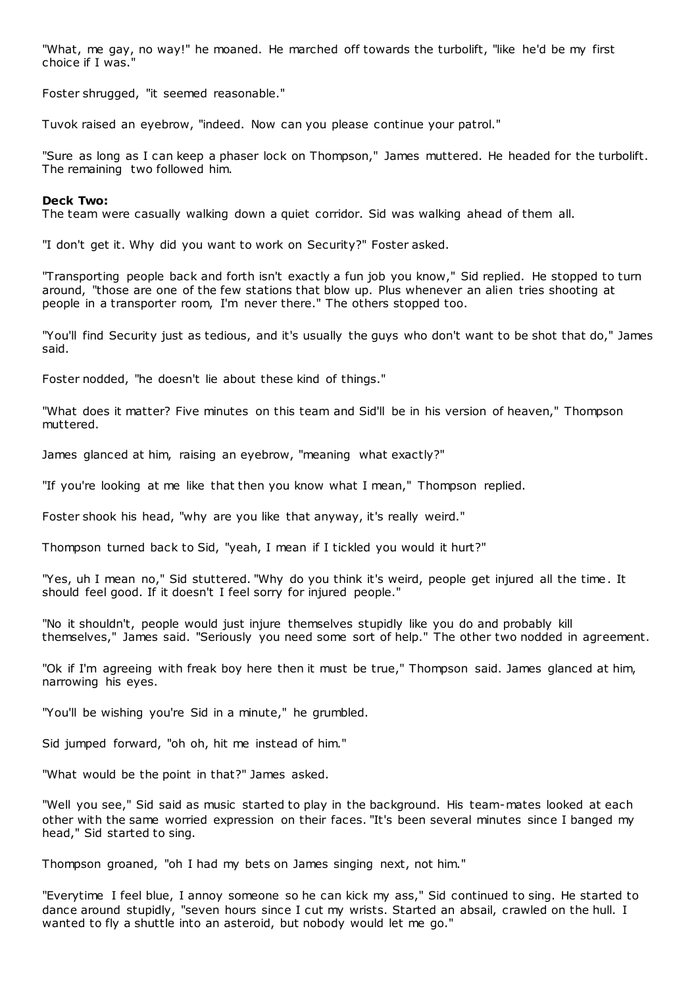"What, me gay, no way!" he moaned. He marched off towards the turbolift, "like he'd be my first choice if I was."

Foster shrugged, "it seemed reasonable."

Tuvok raised an eyebrow, "indeed. Now can you please continue your patrol."

"Sure as long as I can keep a phaser lock on Thompson," James muttered. He headed for the turbolift. The remaining two followed him.

#### **Deck Two:**

The team were casually walking down a quiet corridor. Sid was walking ahead of them all.

"I don't get it. Why did you want to work on Security?" Foster asked.

"Transporting people back and forth isn't exactly a fun job you know," Sid replied. He stopped to turn around, "those are one of the few stations that blow up. Plus whenever an alien tries shooting at people in a transporter room, I'm never there." The others stopped too.

"You'll find Security just as tedious, and it's usually the guys who don't want to be shot that do," James said.

Foster nodded, "he doesn't lie about these kind of things."

"What does it matter? Five minutes on this team and Sid'll be in his version of heaven," Thompson muttered.

James glanced at him, raising an eyebrow, "meaning what exactly?"

"If you're looking at me like that then you know what I mean," Thompson replied.

Foster shook his head, "why are you like that anyway, it's really weird."

Thompson turned back to Sid, "yeah, I mean if I tickled you would it hurt?"

"Yes, uh I mean no," Sid stuttered. "Why do you think it's weird, people get injured all the time. It should feel good. If it doesn't I feel sorry for injured people."

"No it shouldn't, people would just injure themselves stupidly like you do and probably kill themselves," James said. "Seriously you need some sort of help." The other two nodded in agreement.

"Ok if I'm agreeing with freak boy here then it must be true," Thompson said. James glanced at him, narrowing his eyes.

"You'll be wishing you're Sid in a minute," he grumbled.

Sid jumped forward, "oh oh, hit me instead of him."

"What would be the point in that?" James asked.

"Well you see," Sid said as music started to play in the background. His team-mates looked at each other with the same worried expression on their faces. "It's been several minutes since I banged my head," Sid started to sing.

Thompson groaned, "oh I had my bets on James singing next, not him."

"Everytime I feel blue, I annoy someone so he can kick my ass," Sid continued to sing. He started to dance around stupidly, "seven hours since I cut my wrists. Started an absail, crawled on the hull. I wanted to fly a shuttle into an asteroid, but nobody would let me go."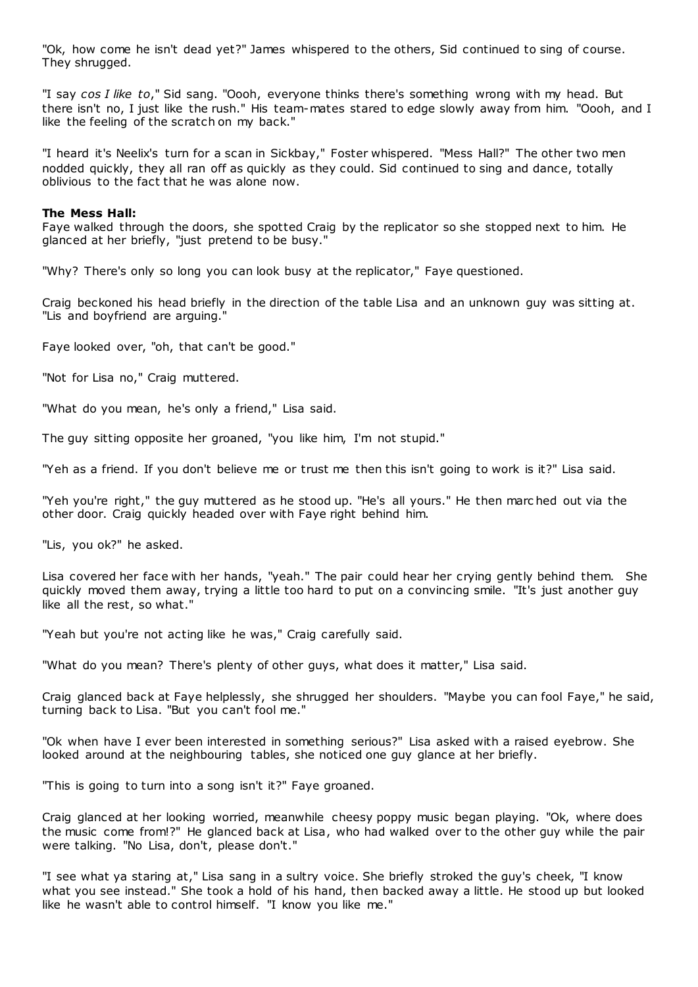"Ok, how come he isn't dead yet?" James whispered to the others, Sid continued to sing of course. They shrugged.

"I say *cos I like to*," Sid sang. "Oooh, everyone thinks there's something wrong with my head. But there isn't no, I just like the rush." His team-mates stared to edge slowly away from him. "Oooh, and I like the feeling of the scratch on my back."

"I heard it's Neelix's turn for a scan in Sickbay," Foster whispered. "Mess Hall?" The other two men nodded quickly, they all ran off as quickly as they could. Sid continued to sing and dance, totally oblivious to the fact that he was alone now.

## **The Mess Hall:**

Faye walked through the doors, she spotted Craig by the replicator so she stopped next to him. He glanced at her briefly, "just pretend to be busy."

"Why? There's only so long you can look busy at the replicator," Faye questioned.

Craig beckoned his head briefly in the direction of the table Lisa and an unknown guy was sitting at. "Lis and boyfriend are arguing."

Faye looked over, "oh, that can't be good."

"Not for Lisa no," Craig muttered.

"What do you mean, he's only a friend," Lisa said.

The guy sitting opposite her groaned, "you like him, I'm not stupid."

"Yeh as a friend. If you don't believe me or trust me then this isn't going to work is it?" Lisa said.

"Yeh you're right," the guy muttered as he stood up. "He's all yours." He then marc hed out via the other door. Craig quickly headed over with Faye right behind him.

"Lis, you ok?" he asked.

Lisa covered her face with her hands, "yeah." The pair could hear her crying gently behind them. She quickly moved them away, trying a little too hard to put on a convincing smile. "It's just another guy like all the rest, so what."

"Yeah but you're not acting like he was," Craig carefully said.

"What do you mean? There's plenty of other guys, what does it matter," Lisa said.

Craig glanced back at Faye helplessly, she shrugged her shoulders. "Maybe you can fool Faye," he said, turning back to Lisa. "But you can't fool me."

"Ok when have I ever been interested in something serious?" Lisa asked with a raised eyebrow. She looked around at the neighbouring tables, she noticed one guy glance at her briefly.

"This is going to turn into a song isn't it?" Faye groaned.

Craig glanced at her looking worried, meanwhile cheesy poppy music began playing. "Ok, where does the music come from!?" He glanced back at Lisa, who had walked over to the other guy while the pair were talking. "No Lisa, don't, please don't."

"I see what ya staring at," Lisa sang in a sultry voice. She briefly stroked the guy's cheek, "I know what you see instead." She took a hold of his hand, then backed away a little. He stood up but looked like he wasn't able to control himself. "I know you like me."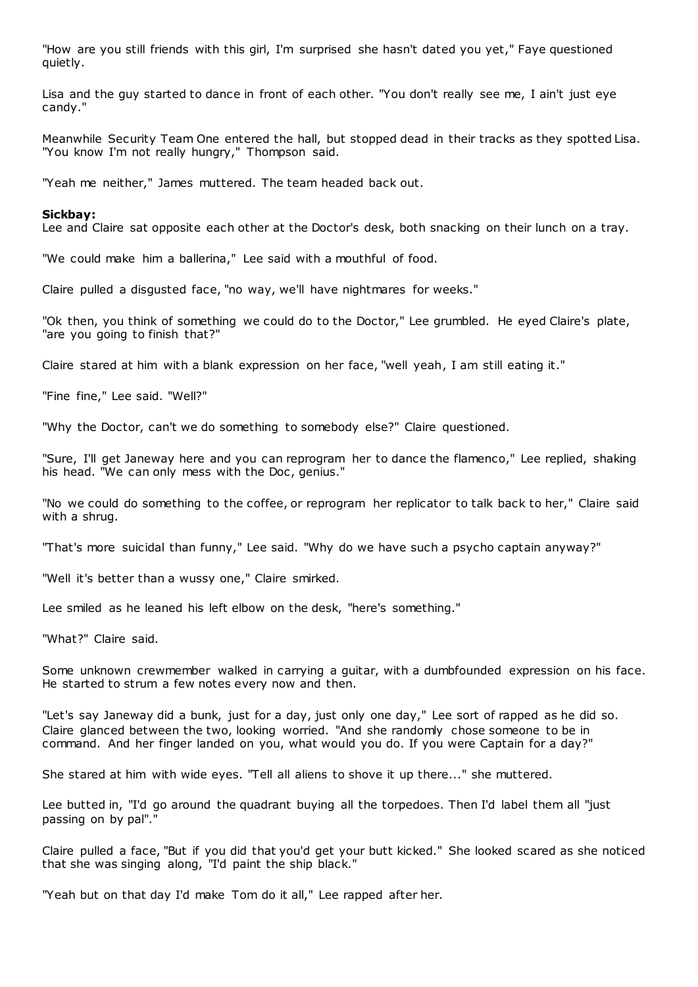"How are you still friends with this girl, I'm surprised she hasn't dated you yet," Faye questioned quietly.

Lisa and the guy started to dance in front of each other. "You don't really see me, I ain't just eye candy."

Meanwhile Security Team One entered the hall, but stopped dead in their tracks as they spotted Lisa. "You know I'm not really hungry," Thompson said.

"Yeah me neither," James muttered. The team headed back out.

#### **Sickbay:**

Lee and Claire sat opposite each other at the Doctor's desk, both snacking on their lunch on a tray.

"We could make him a ballerina," Lee said with a mouthful of food.

Claire pulled a disgusted face, "no way, we'll have nightmares for weeks."

"Ok then, you think of something we could do to the Doctor," Lee grumbled. He eyed Claire's plate, "are you going to finish that?"

Claire stared at him with a blank expression on her face, "well yeah, I am still eating it."

"Fine fine," Lee said. "Well?"

"Why the Doctor, can't we do something to somebody else?" Claire questioned.

"Sure, I'll get Janeway here and you can reprogram her to dance the flamenco," Lee replied, shaking his head. "We can only mess with the Doc, genius."

"No we could do something to the coffee, or reprogram her replicator to talk back to her," Claire said with a shrug.

"That's more suicidal than funny," Lee said. "Why do we have such a psycho captain anyway?"

"Well it's better than a wussy one," Claire smirked.

Lee smiled as he leaned his left elbow on the desk, "here's something."

"What?" Claire said.

Some unknown crewmember walked in carrying a guitar, with a dumbfounded expression on his face. He started to strum a few notes every now and then.

"Let's say Janeway did a bunk, just for a day, just only one day," Lee sort of rapped as he did so. Claire glanced between the two, looking worried. "And she randomly chose someone to be in command. And her finger landed on you, what would you do. If you were Captain for a day?"

She stared at him with wide eyes. "Tell all aliens to shove it up there..." she muttered.

Lee butted in, "I'd go around the quadrant buying all the torpedoes. Then I'd label them all "just passing on by pal"."

Claire pulled a face, "But if you did that you'd get your butt kicked." She looked scared as she noticed that she was singing along, "I'd paint the ship black."

"Yeah but on that day I'd make Tom do it all," Lee rapped after her.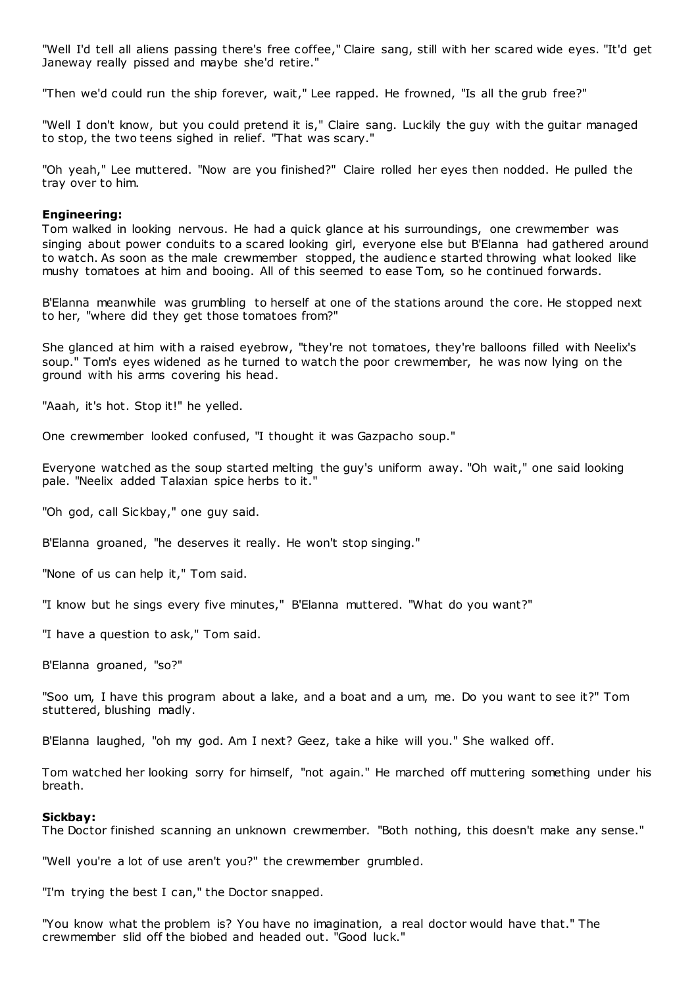"Well I'd tell all aliens passing there's free coffee," Claire sang, still with her scared wide eyes. "It'd get Janeway really pissed and maybe she'd retire."

"Then we'd could run the ship forever, wait," Lee rapped. He frowned, "Is all the grub free?"

"Well I don't know, but you could pretend it is," Claire sang. Luckily the guy with the guitar managed to stop, the two teens sighed in relief. "That was scary."

"Oh yeah," Lee muttered. "Now are you finished?" Claire rolled her eyes then nodded. He pulled the tray over to him.

# **Engineering:**

Tom walked in looking nervous. He had a quick glance at his surroundings, one crewmember was singing about power conduits to a scared looking girl, everyone else but B'Elanna had gathered around to watch. As soon as the male crewmember stopped, the audienc e started throwing what looked like mushy tomatoes at him and booing. All of this seemed to ease Tom, so he continued forwards.

B'Elanna meanwhile was grumbling to herself at one of the stations around the core. He stopped next to her, "where did they get those tomatoes from?"

She glanced at him with a raised eyebrow, "they're not tomatoes, they're balloons filled with Neelix's soup." Tom's eyes widened as he turned to watch the poor crewmember, he was now lying on the ground with his arms covering his head.

"Aaah, it's hot. Stop it!" he yelled.

One crewmember looked confused, "I thought it was Gazpacho soup."

Everyone watched as the soup started melting the guy's uniform away. "Oh wait," one said looking pale. "Neelix added Talaxian spice herbs to it."

"Oh god, call Sickbay," one guy said.

B'Elanna groaned, "he deserves it really. He won't stop singing."

"None of us can help it," Tom said.

"I know but he sings every five minutes," B'Elanna muttered. "What do you want?"

"I have a question to ask," Tom said.

B'Elanna groaned, "so?"

"Soo um, I have this program about a lake, and a boat and a um, me. Do you want to see it?" Tom stuttered, blushing madly.

B'Elanna laughed, "oh my god. Am I next? Geez, take a hike will you." She walked off.

Tom watched her looking sorry for himself, "not again." He marched off muttering something under his breath.

#### **Sickbay:**

The Doctor finished scanning an unknown crewmember. "Both nothing, this doesn't make any sense."

"Well you're a lot of use aren't you?" the crewmember grumbled.

"I'm trying the best I can," the Doctor snapped.

"You know what the problem is? You have no imagination, a real doctor would have that." The crewmember slid off the biobed and headed out. "Good luck."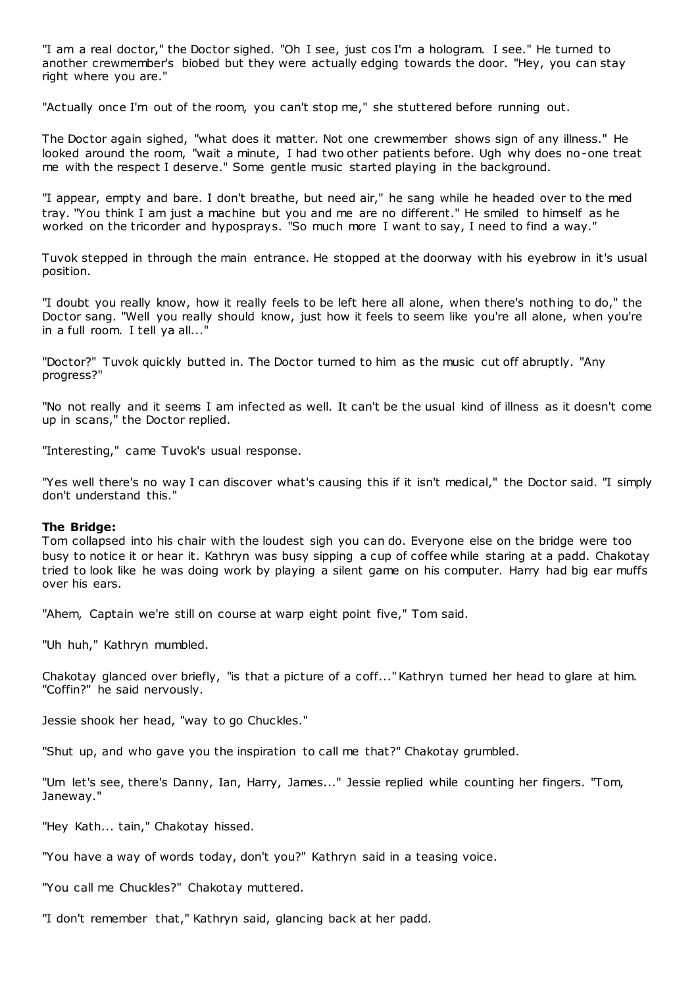"I am a real doctor," the Doctor sighed. "Oh I see, just cos I'm a hologram. I see." He turned to another crewmember's biobed but they were actually edging towards the door. "Hey, you can stay right where you are."

"Actually once I'm out of the room, you can't stop me," she stuttered before running out.

The Doctor again sighed, "what does it matter. Not one crewmember shows sign of any illness." He looked around the room, "wait a minute, I had two other patients before. Ugh why does no-one treat me with the respect I deserve." Some gentle music started playing in the background.

"I appear, empty and bare. I don't breathe, but need air," he sang while he headed over to the med tray. "You think I am just a machine but you and me are no different." He smiled to himself as he worked on the tricorder and hyposprays. "So much more I want to say, I need to find a way."

Tuvok stepped in through the main entrance. He stopped at the doorway with his eyebrow in it's usual position.

"I doubt you really know, how it really feels to be left here all alone, when there's nothing to do," the Doctor sang. "Well you really should know, just how it feels to seem like you're all alone, when you're in a full room. I tell ya all..."

"Doctor?" Tuvok quickly butted in. The Doctor turned to him as the music cut off abruptly. "Any progress?"

"No not really and it seems I am infected as well. It can't be the usual kind of illness as it doesn't come up in scans," the Doctor replied.

"Interesting," came Tuvok's usual response.

"Yes well there's no way I can discover what's causing this if it isn't medical," the Doctor said. "I simply don't understand this."

#### **The Bridge:**

Tom collapsed into his chair with the loudest sigh you can do. Everyone else on the bridge were too busy to notice it or hear it. Kathryn was busy sipping a cup of coffee while staring at a padd. Chakotay tried to look like he was doing work by playing a silent game on his computer. Harry had big ear muffs over his ears.

"Ahem, Captain we're still on course at warp eight point five," Tom said.

"Uh huh," Kathryn mumbled.

Chakotay glanced over briefly, "is that a picture of a coff..." Kathryn turned her head to glare at him. "Coffin?" he said nervously.

Jessie shook her head, "way to go Chuckles."

"Shut up, and who gave you the inspiration to call me that?" Chakotay grumbled.

"Um let's see, there's Danny, Ian, Harry, James..." Jessie replied while counting her fingers. "Tom, Janeway."

"Hey Kath... tain," Chakotay hissed.

"You have a way of words today, don't you?" Kathryn said in a teasing voice.

"You call me Chuckles?" Chakotay muttered.

"I don't remember that," Kathryn said, glancing back at her padd.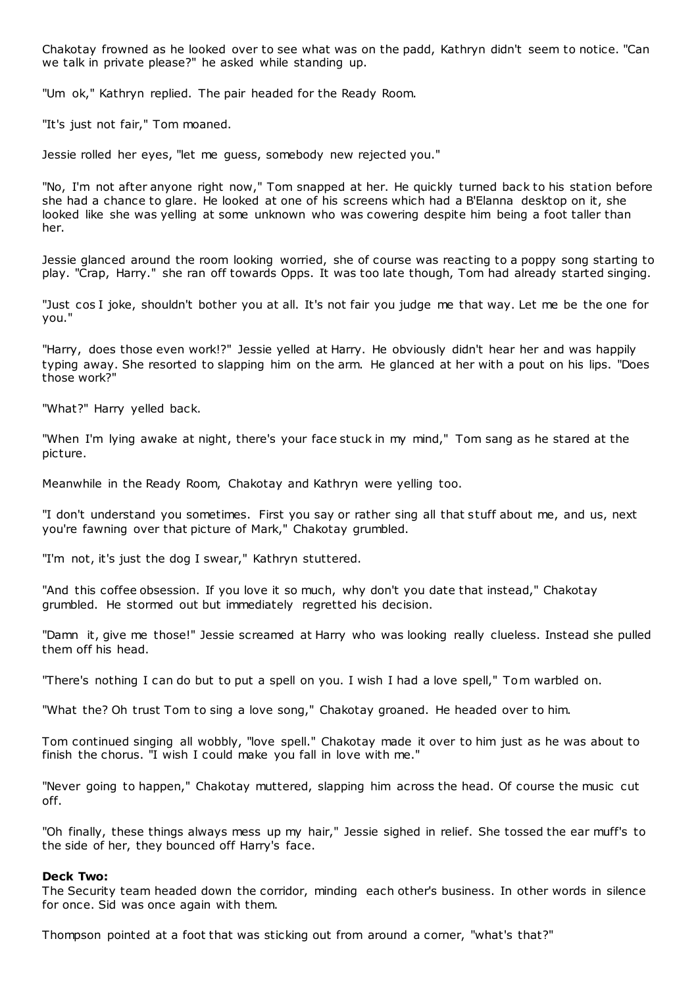Chakotay frowned as he looked over to see what was on the padd, Kathryn didn't seem to notice. "Can we talk in private please?" he asked while standing up.

"Um ok," Kathryn replied. The pair headed for the Ready Room.

"It's just not fair," Tom moaned.

Jessie rolled her eyes, "let me guess, somebody new rejected you."

"No, I'm not after anyone right now," Tom snapped at her. He quickly turned back to his station before she had a chance to glare. He looked at one of his screens which had a B'Elanna desktop on it, she looked like she was yelling at some unknown who was cowering despite him being a foot taller than her.

Jessie glanced around the room looking worried, she of course was reacting to a poppy song starting to play. "Crap, Harry." she ran off towards Opps. It was too late though, Tom had already started singing.

"Just cos I joke, shouldn't bother you at all. It's not fair you judge me that way. Let me be the one for you."

"Harry, does those even work!?" Jessie yelled at Harry. He obviously didn't hear her and was happily typing away. She resorted to slapping him on the arm. He glanced at her with a pout on his lips. "Does those work?"

"What?" Harry yelled back.

"When I'm lying awake at night, there's your face stuck in my mind," Tom sang as he stared at the picture.

Meanwhile in the Ready Room, Chakotay and Kathryn were yelling too.

"I don't understand you sometimes. First you say or rather sing all that stuff about me, and us, next you're fawning over that picture of Mark," Chakotay grumbled.

"I'm not, it's just the dog I swear," Kathryn stuttered.

"And this coffee obsession. If you love it so much, why don't you date that instead," Chakotay grumbled. He stormed out but immediately regretted his decision.

"Damn it, give me those!" Jessie screamed at Harry who was looking really clueless. Instead she pulled them off his head.

"There's nothing I can do but to put a spell on you. I wish I had a love spell," Tom warbled on.

"What the? Oh trust Tom to sing a love song," Chakotay groaned. He headed over to him.

Tom continued singing all wobbly, "love spell." Chakotay made it over to him just as he was about to finish the chorus. "I wish I could make you fall in love with me."

"Never going to happen," Chakotay muttered, slapping him across the head. Of course the music cut off.

"Oh finally, these things always mess up my hair," Jessie sighed in relief. She tossed the ear muff's to the side of her, they bounced off Harry's face.

#### **Deck Two:**

The Security team headed down the corridor, minding each other's business. In other words in silence for once. Sid was once again with them.

Thompson pointed at a foot that was sticking out from around a corner, "what's that?"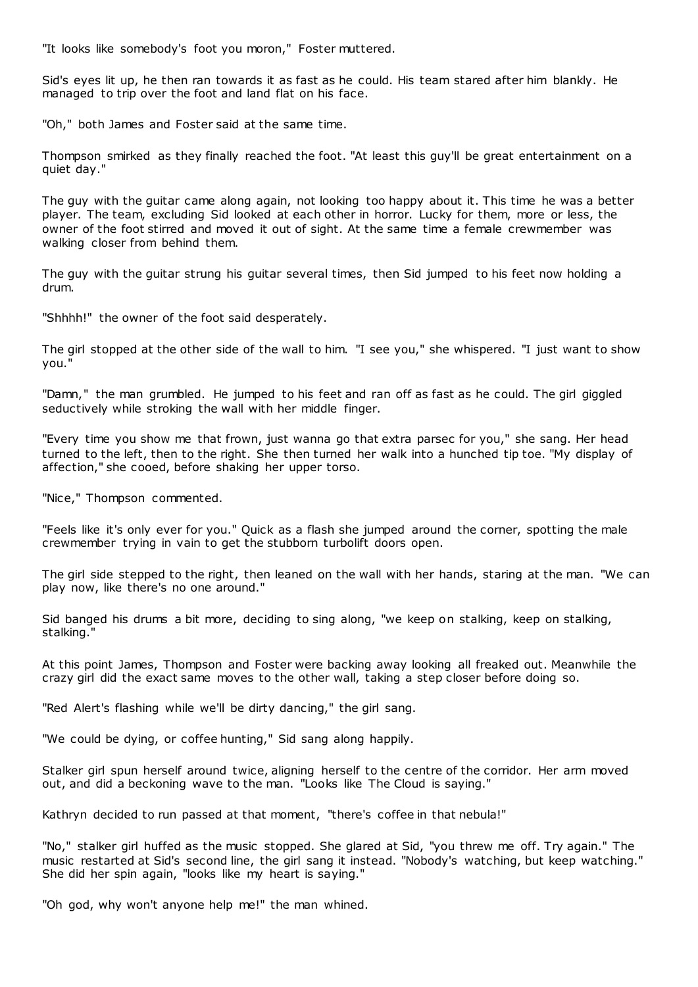"It looks like somebody's foot you moron," Foster muttered.

Sid's eyes lit up, he then ran towards it as fast as he could. His team stared after him blankly. He managed to trip over the foot and land flat on his face.

"Oh," both James and Foster said at the same time.

Thompson smirked as they finally reached the foot. "At least this guy'll be great entertainment on a quiet day."

The guy with the guitar came along again, not looking too happy about it. This time he was a better player. The team, excluding Sid looked at each other in horror. Lucky for them, more or less, the owner of the foot stirred and moved it out of sight. At the same time a female crewmember was walking closer from behind them.

The guy with the guitar strung his guitar several times, then Sid jumped to his feet now holding a drum.

"Shhhh!" the owner of the foot said desperately.

The girl stopped at the other side of the wall to him. "I see you," she whispered. "I just want to show you."

"Damn," the man grumbled. He jumped to his feet and ran off as fast as he could. The girl giggled seductively while stroking the wall with her middle finger.

"Every time you show me that frown, just wanna go that extra parsec for you," she sang. Her head turned to the left, then to the right. She then turned her walk into a hunched tip toe. "My display of affection," she cooed, before shaking her upper torso.

"Nice," Thompson commented.

"Feels like it's only ever for you." Quick as a flash she jumped around the corner, spotting the male crewmember trying in vain to get the stubborn turbolift doors open.

The girl side stepped to the right, then leaned on the wall with her hands, staring at the man. "We can play now, like there's no one around."

Sid banged his drums a bit more, deciding to sing along, "we keep on stalking, keep on stalking, stalking."

At this point James, Thompson and Foster were backing away looking all freaked out. Meanwhile the crazy girl did the exact same moves to the other wall, taking a step closer before doing so.

"Red Alert's flashing while we'll be dirty dancing," the girl sang.

"We could be dying, or coffee hunting," Sid sang along happily.

Stalker girl spun herself around twice, aligning herself to the centre of the corridor. Her arm moved out, and did a beckoning wave to the man. "Looks like The Cloud is saying."

Kathryn decided to run passed at that moment, "there's coffee in that nebula!"

"No," stalker girl huffed as the music stopped. She glared at Sid, "you threw me off. Try again." The music restarted at Sid's second line, the girl sang it instead. "Nobody's watching, but keep watching." She did her spin again, "looks like my heart is saying."

"Oh god, why won't anyone help me!" the man whined.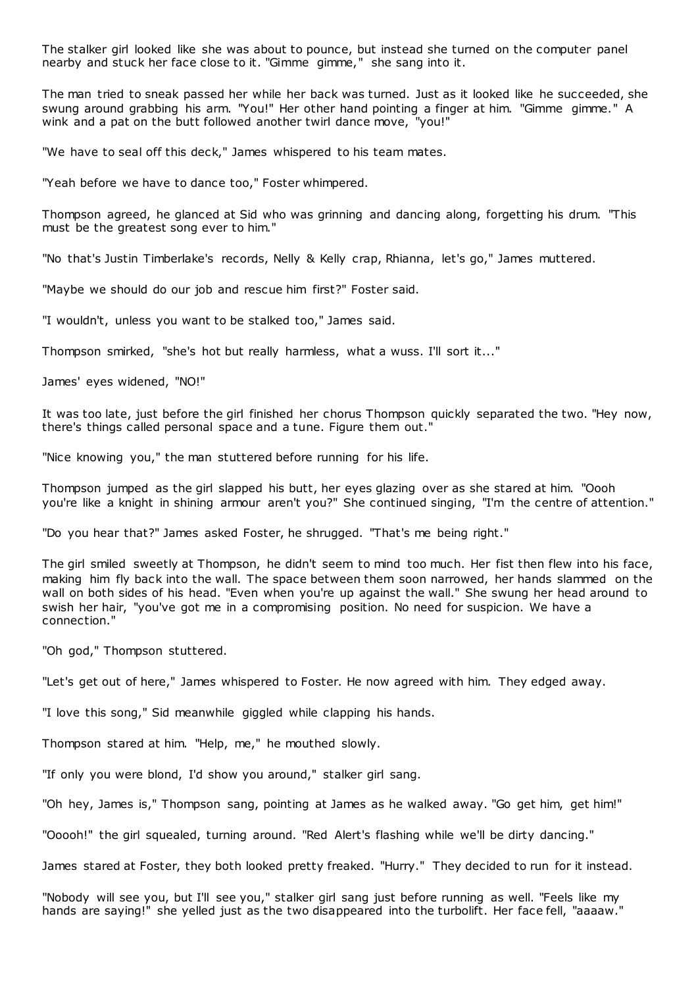The stalker girl looked like she was about to pounce, but instead she turned on the computer panel nearby and stuck her face close to it. "Gimme gimme," she sang into it.

The man tried to sneak passed her while her back was turned. Just as it looked like he succeeded, she swung around grabbing his arm. "You!" Her other hand pointing a finger at him. "Gimme gimme." A wink and a pat on the butt followed another twirl dance move, "you!"

"We have to seal off this deck," James whispered to his team mates.

"Yeah before we have to dance too," Foster whimpered.

Thompson agreed, he glanced at Sid who was grinning and dancing along, forgetting his drum. "This must be the greatest song ever to him."

"No that's Justin Timberlake's records, Nelly & Kelly crap, Rhianna, let's go," James muttered.

"Maybe we should do our job and rescue him first?" Foster said.

"I wouldn't, unless you want to be stalked too," James said.

Thompson smirked, "she's hot but really harmless, what a wuss. I'll sort it..."

James' eyes widened, "NO!"

It was too late, just before the girl finished her chorus Thompson quickly separated the two. "Hey now, there's things called personal space and a tune. Figure them out."

"Nice knowing you," the man stuttered before running for his life.

Thompson jumped as the girl slapped his butt, her eyes glazing over as she stared at him. "Oooh you're like a knight in shining armour aren't you?" She continued singing, "I'm the centre of attention."

"Do you hear that?" James asked Foster, he shrugged. "That's me being right."

The girl smiled sweetly at Thompson, he didn't seem to mind too much. Her fist then flew into his face, making him fly back into the wall. The space between them soon narrowed, her hands slammed on the wall on both sides of his head. "Even when you're up against the wall." She swung her head around to swish her hair, "you've got me in a compromising position. No need for suspicion. We have a connection."

"Oh god," Thompson stuttered.

"Let's get out of here," James whispered to Foster. He now agreed with him. They edged away.

"I love this song," Sid meanwhile giggled while clapping his hands.

Thompson stared at him. "Help, me," he mouthed slowly.

"If only you were blond, I'd show you around," stalker girl sang.

"Oh hey, James is," Thompson sang, pointing at James as he walked away. "Go get him, get him!"

"Ooooh!" the girl squealed, turning around. "Red Alert's flashing while we'll be dirty dancing."

James stared at Foster, they both looked pretty freaked. "Hurry." They decided to run for it instead.

"Nobody will see you, but I'll see you," stalker girl sang just before running as well. "Feels like my hands are saying!" she yelled just as the two disappeared into the turbolift. Her face fell, "aaaaw."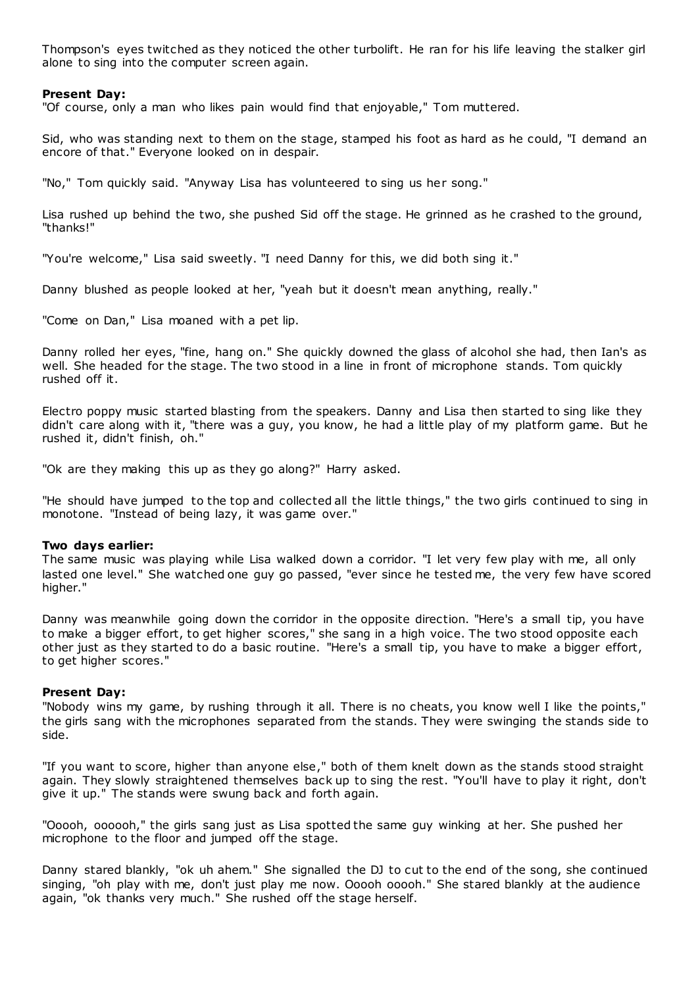Thompson's eyes twitched as they noticed the other turbolift. He ran for his life leaving the stalker girl alone to sing into the computer screen again.

# **Present Day:**

"Of course, only a man who likes pain would find that enjoyable," Tom muttered.

Sid, who was standing next to them on the stage, stamped his foot as hard as he could, "I demand an encore of that." Everyone looked on in despair.

"No," Tom quickly said. "Anyway Lisa has volunteered to sing us her song."

Lisa rushed up behind the two, she pushed Sid off the stage. He grinned as he crashed to the ground, "thanks!"

"You're welcome," Lisa said sweetly. "I need Danny for this, we did both sing it."

Danny blushed as people looked at her, "yeah but it doesn't mean anything, really."

"Come on Dan," Lisa moaned with a pet lip.

Danny rolled her eyes, "fine, hang on." She quickly downed the glass of alcohol she had, then Ian's as well. She headed for the stage. The two stood in a line in front of microphone stands. Tom quickly rushed off it.

Electro poppy music started blasting from the speakers. Danny and Lisa then started to sing like they didn't care along with it, "there was a guy, you know, he had a little play of my platform game. But he rushed it, didn't finish, oh."

"Ok are they making this up as they go along?" Harry asked.

"He should have jumped to the top and collected all the little things," the two girls continued to sing in monotone. "Instead of being lazy, it was game over."

# **Two days earlier:**

The same music was playing while Lisa walked down a corridor. "I let very few play with me, all only lasted one level." She watched one guy go passed, "ever since he tested me, the very few have scored higher."

Danny was meanwhile going down the corridor in the opposite direction. "Here's a small tip, you have to make a bigger effort, to get higher scores," she sang in a high voice. The two stood opposite each other just as they started to do a basic routine. "Here's a small tip, you have to make a bigger effort, to get higher scores."

# **Present Day:**

"Nobody wins my game, by rushing through it all. There is no cheats, you know well I like the points," the girls sang with the microphones separated from the stands. They were swinging the stands side to side.

"If you want to score, higher than anyone else," both of them knelt down as the stands stood straight again. They slowly straightened themselves back up to sing the rest. "You'll have to play it right, don't give it up." The stands were swung back and forth again.

"Ooooh, oooooh," the girls sang just as Lisa spotted the same guy winking at her. She pushed her microphone to the floor and jumped off the stage.

Danny stared blankly, "ok uh ahem." She signalled the DJ to cut to the end of the song, she continued singing, "oh play with me, don't just play me now. Ooooh ooooh." She stared blankly at the audience again, "ok thanks very much." She rushed off the stage herself.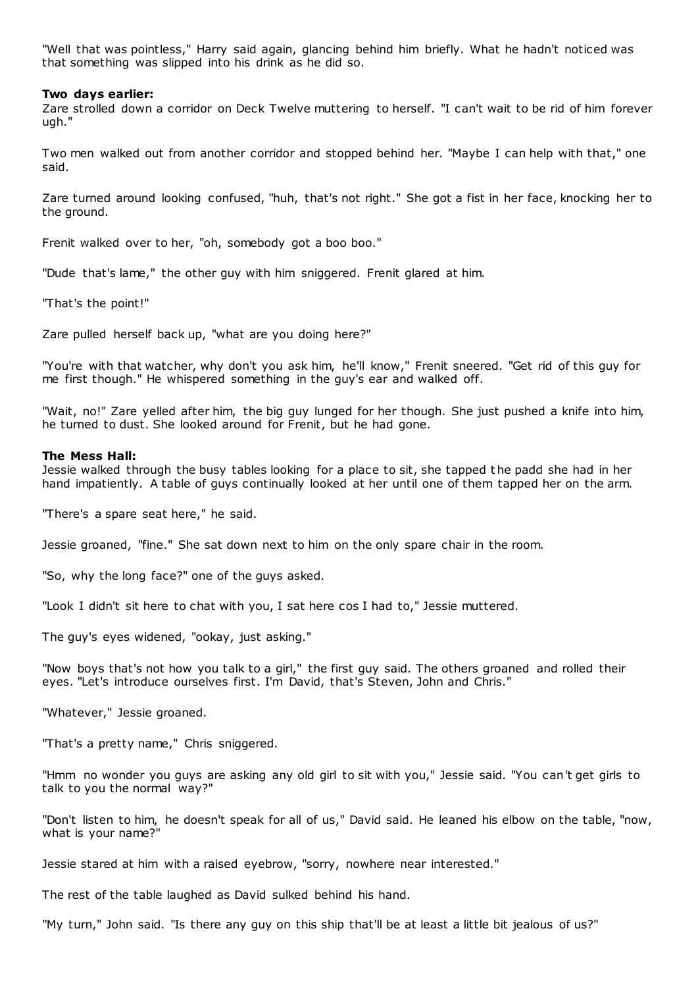"Well that was pointless," Harry said again, glancing behind him briefly. What he hadn't noticed was that something was slipped into his drink as he did so.

## **Two days earlier:**

Zare strolled down a corridor on Deck Twelve muttering to herself. "I can't wait to be rid of him forever ugh."

Two men walked out from another corridor and stopped behind her. "Maybe I can help with that," one said.

Zare turned around looking confused, "huh, that's not right." She got a fist in her face, knocking her to the ground.

Frenit walked over to her, "oh, somebody got a boo boo."

"Dude that's lame," the other guy with him sniggered. Frenit glared at him.

"That's the point!"

Zare pulled herself back up, "what are you doing here?"

"You're with that watcher, why don't you ask him, he'll know," Frenit sneered. "Get rid of this guy for me first though." He whispered something in the guy's ear and walked off.

"Wait, no!" Zare yelled after him, the big guy lunged for her though. She just pushed a knife into him, he turned to dust. She looked around for Frenit, but he had gone.

# **The Mess Hall:**

Jessie walked through the busy tables looking for a place to sit, she tapped t he padd she had in her hand impatiently. A table of guys continually looked at her until one of them tapped her on the arm.

"There's a spare seat here," he said.

Jessie groaned, "fine." She sat down next to him on the only spare chair in the room.

"So, why the long face?" one of the guys asked.

"Look I didn't sit here to chat with you, I sat here cos I had to," Jessie muttered.

The guy's eyes widened, "ookay, just asking."

"Now boys that's not how you talk to a girl," the first guy said. The others groaned and rolled their eyes. "Let's introduce ourselves first. I'm David, that's Steven, John and Chris."

"Whatever," Jessie groaned.

"That's a pretty name," Chris sniggered.

"Hmm no wonder you guys are asking any old girl to sit with you," Jessie said. "You can't get girls to talk to you the normal way?"

"Don't listen to him, he doesn't speak for all of us," David said. He leaned his elbow on the table, "now, what is your name?"

Jessie stared at him with a raised eyebrow, "sorry, nowhere near interested."

The rest of the table laughed as David sulked behind his hand.

"My turn," John said. "Is there any guy on this ship that'll be at least a little bit jealous of us?"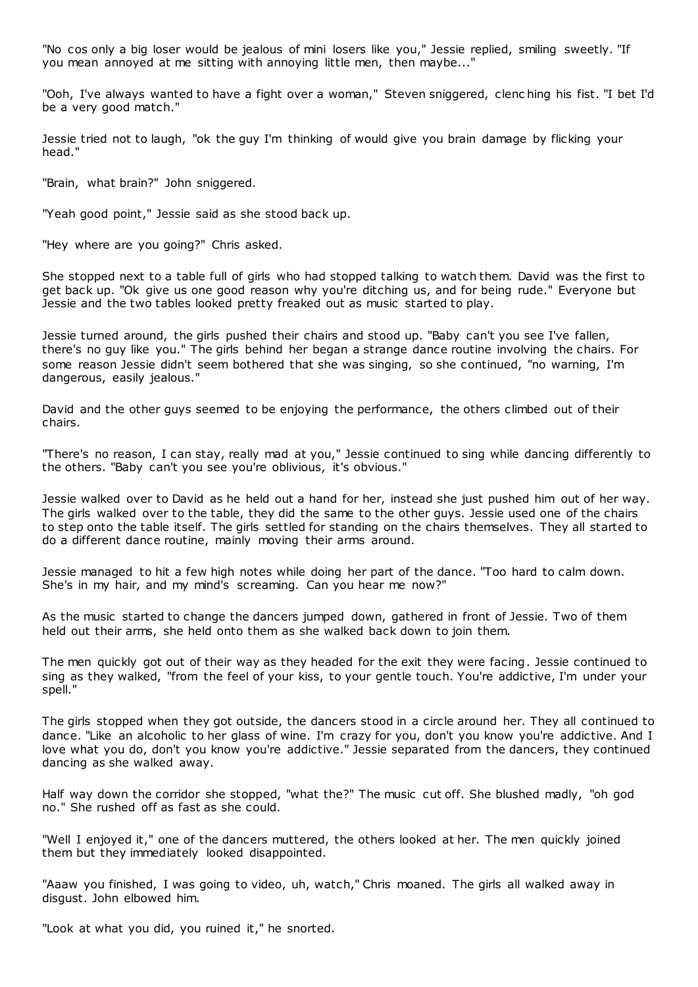"No cos only a big loser would be jealous of mini losers like you," Jessie replied, smiling sweetly. "If you mean annoyed at me sitting with annoying little men, then maybe..."

"Ooh, I've always wanted to have a fight over a woman," Steven sniggered, clenc hing his fist. "I bet I'd be a very good match."

Jessie tried not to laugh, "ok the guy I'm thinking of would give you brain damage by flicking your head."

"Brain, what brain?" John sniggered.

"Yeah good point," Jessie said as she stood back up.

"Hey where are you going?" Chris asked.

She stopped next to a table full of girls who had stopped talking to watch them. David was the first to get back up. "Ok give us one good reason why you're ditching us, and for being rude." Everyone but Jessie and the two tables looked pretty freaked out as music started to play.

Jessie turned around, the girls pushed their chairs and stood up. "Baby can't you see I've fallen, there's no guy like you." The girls behind her began a strange dance routine involving the chairs. For some reason Jessie didn't seem bothered that she was singing, so she continued, "no warning, I'm dangerous, easily jealous."

David and the other guys seemed to be enjoying the performance, the others climbed out of their chairs.

"There's no reason, I can stay, really mad at you," Jessie continued to sing while dancing differently to the others. "Baby can't you see you're oblivious, it's obvious."

Jessie walked over to David as he held out a hand for her, instead she just pushed him out of her way. The girls walked over to the table, they did the same to the other guys. Jessie used one of the chairs to step onto the table itself. The girls settled for standing on the chairs themselves. They all started to do a different dance routine, mainly moving their arms around.

Jessie managed to hit a few high notes while doing her part of the dance. "Too hard to calm down. She's in my hair, and my mind's screaming. Can you hear me now?"

As the music started to change the dancers jumped down, gathered in front of Jessie. Two of them held out their arms, she held onto them as she walked back down to join them.

The men quickly got out of their way as they headed for the exit they were facing. Jessie continued to sing as they walked, "from the feel of your kiss, to your gentle touch. You're addictive, I'm under your spell."

The girls stopped when they got outside, the dancers stood in a circle around her. They all continued to dance. "Like an alcoholic to her glass of wine. I'm crazy for you, don't you know you're addictive. And I love what you do, don't you know you're addictive." Jessie separated from the dancers, they continued dancing as she walked away.

Half way down the corridor she stopped, "what the?" The music cut off. She blushed madly, "oh god no." She rushed off as fast as she could.

"Well I enjoyed it," one of the dancers muttered, the others looked at her. The men quickly joined them but they immediately looked disappointed.

"Aaaw you finished, I was going to video, uh, watch," Chris moaned. The girls all walked away in disgust. John elbowed him.

"Look at what you did, you ruined it," he snorted.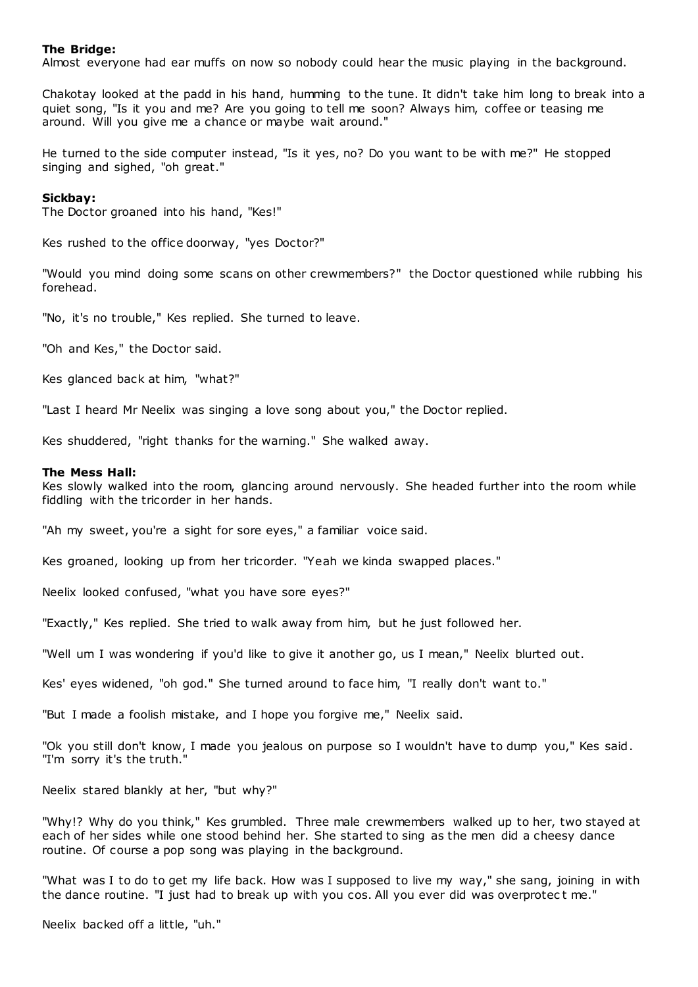## **The Bridge:**

Almost everyone had ear muffs on now so nobody could hear the music playing in the background.

Chakotay looked at the padd in his hand, humming to the tune. It didn't take him long to break into a quiet song, "Is it you and me? Are you going to tell me soon? Always him, coffee or teasing me around. Will you give me a chance or maybe wait around."

He turned to the side computer instead, "Is it yes, no? Do you want to be with me?" He stopped singing and sighed, "oh great."

#### **Sickbay:**

The Doctor groaned into his hand, "Kes!"

Kes rushed to the office doorway, "yes Doctor?"

"Would you mind doing some scans on other crewmembers?" the Doctor questioned while rubbing his forehead.

"No, it's no trouble," Kes replied. She turned to leave.

"Oh and Kes," the Doctor said.

Kes glanced back at him, "what?"

"Last I heard Mr Neelix was singing a love song about you," the Doctor replied.

Kes shuddered, "right thanks for the warning." She walked away.

#### **The Mess Hall:**

Kes slowly walked into the room, glancing around nervously. She headed further into the room while fiddling with the tricorder in her hands.

"Ah my sweet, you're a sight for sore eyes," a familiar voice said.

Kes groaned, looking up from her tricorder. "Yeah we kinda swapped places."

Neelix looked confused, "what you have sore eyes?"

"Exactly," Kes replied. She tried to walk away from him, but he just followed her.

"Well um I was wondering if you'd like to give it another go, us I mean," Neelix blurted out.

Kes' eyes widened, "oh god." She turned around to face him, "I really don't want to."

"But I made a foolish mistake, and I hope you forgive me," Neelix said.

"Ok you still don't know, I made you jealous on purpose so I wouldn't have to dump you," Kes said. "I'm sorry it's the truth."

Neelix stared blankly at her, "but why?"

"Why!? Why do you think," Kes grumbled. Three male crewmembers walked up to her, two stayed at each of her sides while one stood behind her. She started to sing as the men did a cheesy dance routine. Of course a pop song was playing in the background.

"What was I to do to get my life back. How was I supposed to live my way," she sang, joining in with the dance routine. "I just had to break up with you cos. All you ever did was overprotect me."

Neelix backed off a little, "uh."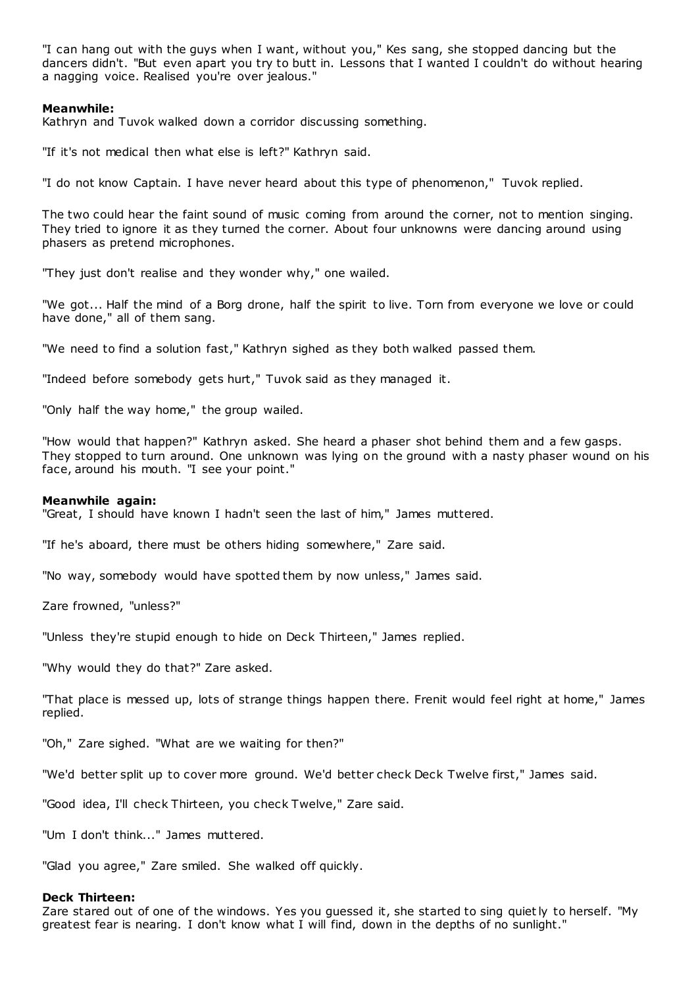"I can hang out with the guys when I want, without you," Kes sang, she stopped dancing but the dancers didn't. "But even apart you try to butt in. Lessons that I wanted I couldn't do without hearing a nagging voice. Realised you're over jealous."

## **Meanwhile:**

Kathryn and Tuvok walked down a corridor discussing something.

"If it's not medical then what else is left?" Kathryn said.

"I do not know Captain. I have never heard about this type of phenomenon," Tuvok replied.

The two could hear the faint sound of music coming from around the corner, not to mention singing. They tried to ignore it as they turned the corner. About four unknowns were dancing around using phasers as pretend microphones.

"They just don't realise and they wonder why," one wailed.

"We got... Half the mind of a Borg drone, half the spirit to live. Torn from everyone we love or could have done," all of them sang.

"We need to find a solution fast," Kathryn sighed as they both walked passed them.

"Indeed before somebody gets hurt," Tuvok said as they managed it.

"Only half the way home," the group wailed.

"How would that happen?" Kathryn asked. She heard a phaser shot behind them and a few gasps. They stopped to turn around. One unknown was lying on the ground with a nasty phaser wound on his face, around his mouth. "I see your point."

#### **Meanwhile again:**

"Great, I should have known I hadn't seen the last of him," James muttered.

"If he's aboard, there must be others hiding somewhere," Zare said.

"No way, somebody would have spotted them by now unless," James said.

Zare frowned, "unless?"

"Unless they're stupid enough to hide on Deck Thirteen," James replied.

"Why would they do that?" Zare asked.

"That place is messed up, lots of strange things happen there. Frenit would feel right at home," James replied.

"Oh," Zare sighed. "What are we waiting for then?"

"We'd better split up to cover more ground. We'd better check Deck Twelve first," James said.

"Good idea, I'll check Thirteen, you check Twelve," Zare said.

"Um I don't think..." James muttered.

"Glad you agree," Zare smiled. She walked off quickly.

## **Deck Thirteen:**

Zare stared out of one of the windows. Yes you guessed it, she started to sing quietly to herself. "My greatest fear is nearing. I don't know what I will find, down in the depths of no sunlight."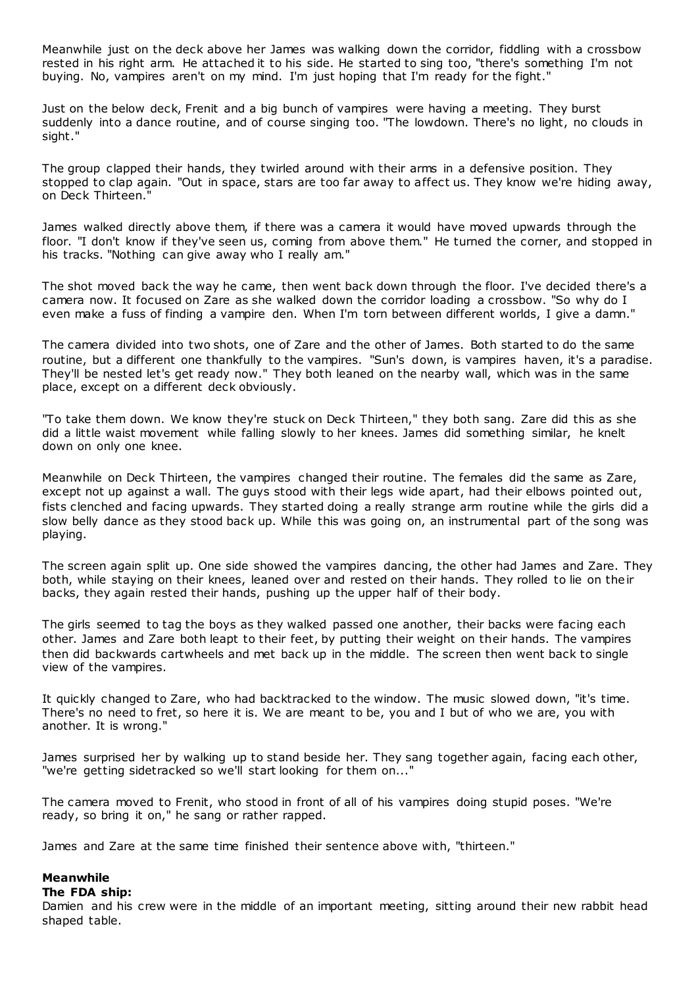Meanwhile just on the deck above her James was walking down the corridor, fiddling with a crossbow rested in his right arm. He attached it to his side. He started to sing too, "there's something I'm not buying. No, vampires aren't on my mind. I'm just hoping that I'm ready for the fight."

Just on the below deck, Frenit and a big bunch of vampires were having a meeting. They burst suddenly into a dance routine, and of course singing too. "The lowdown. There's no light, no clouds in sight."

The group clapped their hands, they twirled around with their arms in a defensive position. They stopped to clap again. "Out in space, stars are too far away to affect us. They know we're hiding away, on Deck Thirteen."

James walked directly above them, if there was a camera it would have moved upwards through the floor. "I don't know if they've seen us, coming from above them." He turned the corner, and stopped in his tracks. "Nothing can give away who I really am."

The shot moved back the way he came, then went back down through the floor. I've decided there's a camera now. It focused on Zare as she walked down the corridor loading a crossbow. "So why do I even make a fuss of finding a vampire den. When I'm torn between different worlds, I give a damn."

The camera divided into two shots, one of Zare and the other of James. Both started to do the same routine, but a different one thankfully to the vampires. "Sun's down, is vampires haven, it's a paradise. They'll be nested let's get ready now." They both leaned on the nearby wall, which was in the same place, except on a different deck obviously.

"To take them down. We know they're stuck on Deck Thirteen," they both sang. Zare did this as she did a little waist movement while falling slowly to her knees. James did something similar, he knelt down on only one knee.

Meanwhile on Deck Thirteen, the vampires changed their routine. The females did the same as Zare, except not up against a wall. The guys stood with their legs wide apart, had their elbows pointed out, fists clenched and facing upwards. They started doing a really strange arm routine while the girls did a slow belly dance as they stood back up. While this was going on, an instrumental part of the song was playing.

The screen again split up. One side showed the vampires dancing, the other had James and Zare. They both, while staying on their knees, leaned over and rested on their hands. They rolled to lie on their backs, they again rested their hands, pushing up the upper half of their body.

The girls seemed to tag the boys as they walked passed one another, their backs were facing each other. James and Zare both leapt to their feet, by putting their weight on their hands. The vampires then did backwards cartwheels and met back up in the middle. The screen then went back to single view of the vampires.

It quickly changed to Zare, who had backtracked to the window. The music slowed down, "it's time. There's no need to fret, so here it is. We are meant to be, you and I but of who we are, you with another. It is wrong."

James surprised her by walking up to stand beside her. They sang together again, facing each other, "we're getting sidetracked so we'll start looking for them on..."

The camera moved to Frenit, who stood in front of all of his vampires doing stupid poses. "We're ready, so bring it on," he sang or rather rapped.

James and Zare at the same time finished their sentence above with, "thirteen."

# **Meanwhile**

### **The FDA ship:**

Damien and his crew were in the middle of an important meeting, sitting around their new rabbit head shaped table.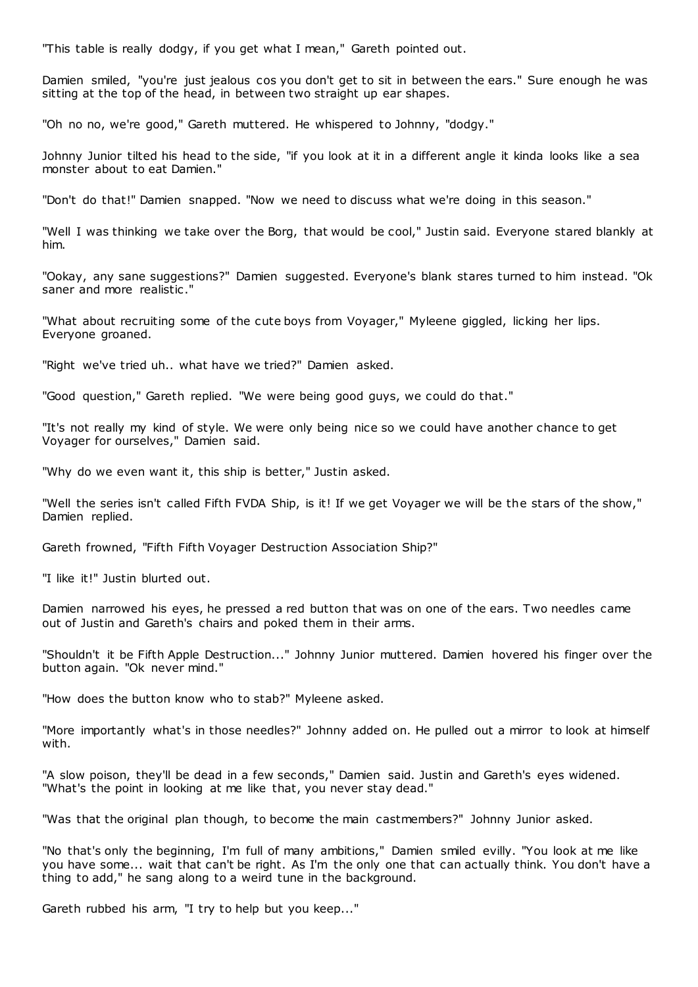"This table is really dodgy, if you get what I mean," Gareth pointed out.

Damien smiled, "you're just jealous cos you don't get to sit in between the ears." Sure enough he was sitting at the top of the head, in between two straight up ear shapes.

"Oh no no, we're good," Gareth muttered. He whispered to Johnny, "dodgy."

Johnny Junior tilted his head to the side, "if you look at it in a different angle it kinda looks like a sea monster about to eat Damien."

"Don't do that!" Damien snapped. "Now we need to discuss what we're doing in this season."

"Well I was thinking we take over the Borg, that would be cool," Justin said. Everyone stared blankly at him.

"Ookay, any sane suggestions?" Damien suggested. Everyone's blank stares turned to him instead. "Ok saner and more realistic ."

"What about recruiting some of the cute boys from Voyager," Myleene giggled, licking her lips. Everyone groaned.

"Right we've tried uh.. what have we tried?" Damien asked.

"Good question," Gareth replied. "We were being good guys, we could do that."

"It's not really my kind of style. We were only being nice so we could have another chance to get Voyager for ourselves," Damien said.

"Why do we even want it, this ship is better," Justin asked.

"Well the series isn't called Fifth FVDA Ship, is it! If we get Voyager we will be the stars of the show," Damien replied.

Gareth frowned, "Fifth Fifth Voyager Destruction Association Ship?"

"I like it!" Justin blurted out.

Damien narrowed his eyes, he pressed a red button that was on one of the ears. Two needles came out of Justin and Gareth's chairs and poked them in their arms.

"Shouldn't it be Fifth Apple Destruction..." Johnny Junior muttered. Damien hovered his finger over the button again. "Ok never mind."

"How does the button know who to stab?" Myleene asked.

"More importantly what's in those needles?" Johnny added on. He pulled out a mirror to look at himself with.

"A slow poison, they'll be dead in a few seconds," Damien said. Justin and Gareth's eyes widened. "What's the point in looking at me like that, you never stay dead."

"Was that the original plan though, to become the main castmembers?" Johnny Junior asked.

"No that's only the beginning, I'm full of many ambitions," Damien smiled evilly. "You look at me like you have some... wait that can't be right. As I'm the only one that can actually think. You don't have a thing to add," he sang along to a weird tune in the background.

Gareth rubbed his arm, "I try to help but you keep..."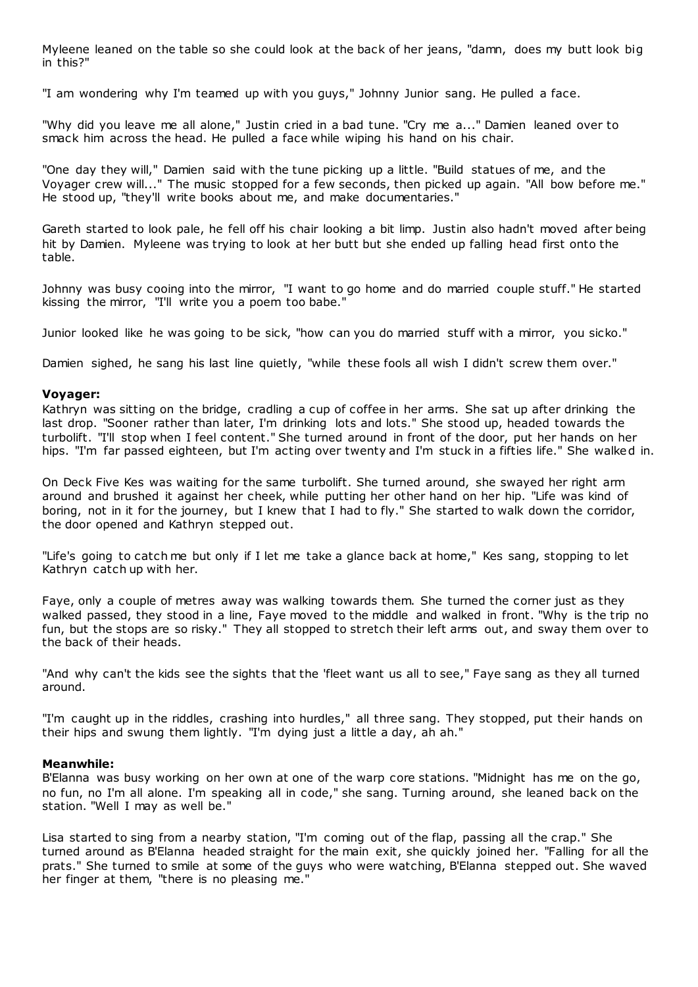Myleene leaned on the table so she could look at the back of her jeans, "damn, does my butt look big in this?"

"I am wondering why I'm teamed up with you guys," Johnny Junior sang. He pulled a face.

"Why did you leave me all alone," Justin cried in a bad tune. "Cry me a..." Damien leaned over to smack him across the head. He pulled a face while wiping his hand on his chair.

"One day they will," Damien said with the tune picking up a little. "Build statues of me, and the Voyager crew will..." The music stopped for a few seconds, then picked up again. "All bow before me." He stood up, "they'll write books about me, and make documentaries."

Gareth started to look pale, he fell off his chair looking a bit limp. Justin also hadn't moved after being hit by Damien. Myleene was trying to look at her butt but she ended up falling head first onto the table.

Johnny was busy cooing into the mirror, "I want to go home and do married couple stuff." He started kissing the mirror, "I'll write you a poem too babe."

Junior looked like he was going to be sick, "how can you do married stuff with a mirror, you sicko."

Damien sighed, he sang his last line quietly, "while these fools all wish I didn't screw them over."

## **Voyager:**

Kathryn was sitting on the bridge, cradling a cup of coffee in her arms. She sat up after drinking the last drop. "Sooner rather than later, I'm drinking lots and lots." She stood up, headed towards the turbolift. "I'll stop when I feel content." She turned around in front of the door, put her hands on her hips. "I'm far passed eighteen, but I'm acting over twenty and I'm stuck in a fifties life." She walked in.

On Deck Five Kes was waiting for the same turbolift. She turned around, she swayed her right arm around and brushed it against her cheek, while putting her other hand on her hip. "Life was kind of boring, not in it for the journey, but I knew that I had to fly." She started to walk down the corridor, the door opened and Kathryn stepped out.

"Life's going to catch me but only if I let me take a glance back at home," Kes sang, stopping to let Kathryn catch up with her.

Faye, only a couple of metres away was walking towards them. She turned the corner just as they walked passed, they stood in a line, Faye moved to the middle and walked in front. "Why is the trip no fun, but the stops are so risky." They all stopped to stretch their left arms out, and sway them over to the back of their heads.

"And why can't the kids see the sights that the 'fleet want us all to see," Faye sang as they all turned around.

"I'm caught up in the riddles, crashing into hurdles," all three sang. They stopped, put their hands on their hips and swung them lightly. "I'm dying just a little a day, ah ah."

#### **Meanwhile:**

B'Elanna was busy working on her own at one of the warp core stations. "Midnight has me on the go, no fun, no I'm all alone. I'm speaking all in code," she sang. Turning around, she leaned back on the station. "Well I may as well be."

Lisa started to sing from a nearby station, "I'm coming out of the flap, passing all the crap." She turned around as B'Elanna headed straight for the main exit, she quickly joined her. "Falling for all the prats." She turned to smile at some of the guys who were watching, B'Elanna stepped out. She waved her finger at them, "there is no pleasing me."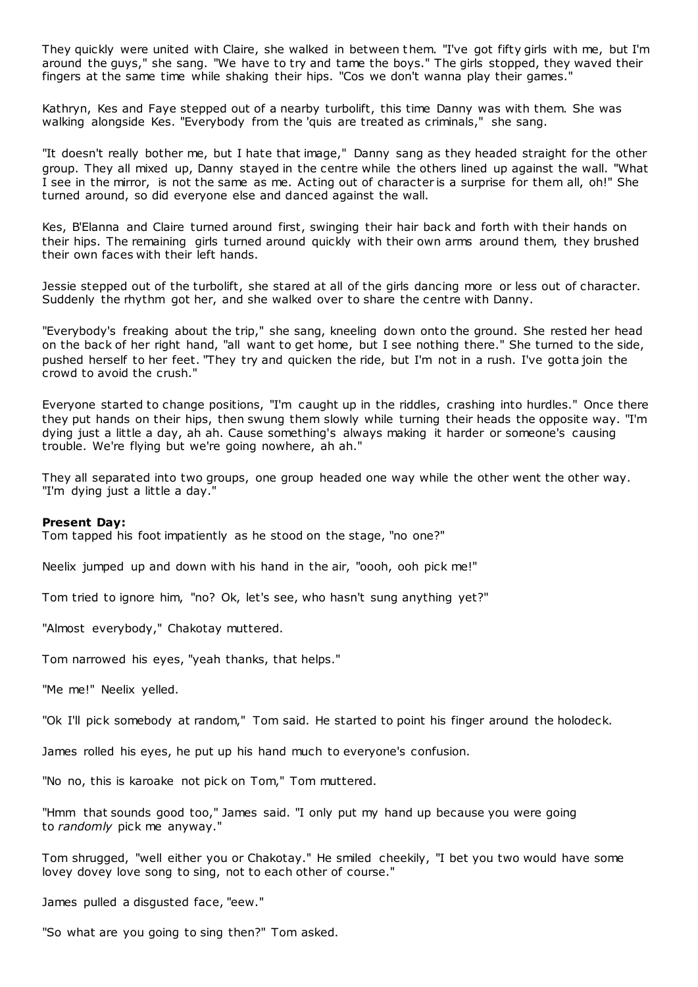They quickly were united with Claire, she walked in between them. "I've got fifty girls with me, but I'm around the guys," she sang. "We have to try and tame the boys." The girls stopped, they waved their fingers at the same time while shaking their hips. "Cos we don't wanna play their games."

Kathryn, Kes and Faye stepped out of a nearby turbolift, this time Danny was with them. She was walking alongside Kes. "Everybody from the 'quis are treated as criminals," she sang.

"It doesn't really bother me, but I hate that image," Danny sang as they headed straight for the other group. They all mixed up, Danny stayed in the centre while the others lined up against the wall. "What I see in the mirror, is not the same as me. Acting out of character is a surprise for them all, oh!" She turned around, so did everyone else and danced against the wall.

Kes, B'Elanna and Claire turned around first, swinging their hair back and forth with their hands on their hips. The remaining girls turned around quickly with their own arms around them, they brushed their own faces with their left hands.

Jessie stepped out of the turbolift, she stared at all of the girls dancing more or less out of character. Suddenly the rhythm got her, and she walked over to share the centre with Danny.

"Everybody's freaking about the trip," she sang, kneeling down onto the ground. She rested her head on the back of her right hand, "all want to get home, but I see nothing there." She turned to the side, pushed herself to her feet. "They try and quicken the ride, but I'm not in a rush. I've gotta join the crowd to avoid the crush."

Everyone started to change positions, "I'm caught up in the riddles, crashing into hurdles." Once there they put hands on their hips, then swung them slowly while turning their heads the opposite way. "I'm dying just a little a day, ah ah. Cause something's always making it harder or someone's causing trouble. We're flying but we're going nowhere, ah ah."

They all separated into two groups, one group headed one way while the other went the other way. "I'm dying just a little a day."

#### **Present Day:**

Tom tapped his foot impatiently as he stood on the stage, "no one?"

Neelix jumped up and down with his hand in the air, "oooh, ooh pick me!"

Tom tried to ignore him, "no? Ok, let's see, who hasn't sung anything yet?"

"Almost everybody," Chakotay muttered.

Tom narrowed his eyes, "yeah thanks, that helps."

"Me me!" Neelix yelled.

"Ok I'll pick somebody at random," Tom said. He started to point his finger around the holodeck.

James rolled his eyes, he put up his hand much to everyone's confusion.

"No no, this is karoake not pick on Tom," Tom muttered.

"Hmm that sounds good too," James said. "I only put my hand up because you were going to *randomly* pick me anyway."

Tom shrugged, "well either you or Chakotay." He smiled cheekily, "I bet you two would have some lovey dovey love song to sing, not to each other of course."

James pulled a disgusted face, "eew."

"So what are you going to sing then?" Tom asked.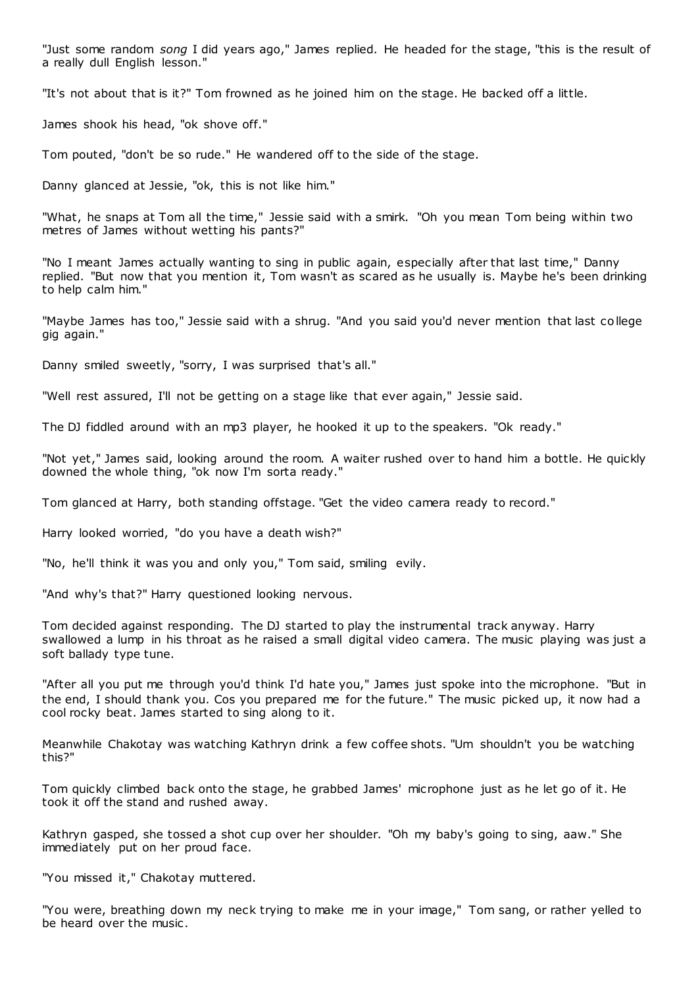"Just some random *song* I did years ago," James replied. He headed for the stage, "this is the result of a really dull English lesson."

"It's not about that is it?" Tom frowned as he joined him on the stage. He backed off a little.

James shook his head, "ok shove off."

Tom pouted, "don't be so rude." He wandered off to the side of the stage.

Danny glanced at Jessie, "ok, this is not like him."

"What, he snaps at Tom all the time," Jessie said with a smirk. "Oh you mean Tom being within two metres of James without wetting his pants?"

"No I meant James actually wanting to sing in public again, especially after that last time," Danny replied. "But now that you mention it, Tom wasn't as scared as he usually is. Maybe he's been drinking to help calm him."

"Maybe James has too," Jessie said with a shrug. "And you said you'd never mention that last college gig again."

Danny smiled sweetly, "sorry, I was surprised that's all."

"Well rest assured, I'll not be getting on a stage like that ever again," Jessie said.

The DJ fiddled around with an mp3 player, he hooked it up to the speakers. "Ok ready."

"Not yet," James said, looking around the room. A waiter rushed over to hand him a bottle. He quickly downed the whole thing, "ok now I'm sorta ready."

Tom glanced at Harry, both standing offstage. "Get the video camera ready to record."

Harry looked worried, "do you have a death wish?"

"No, he'll think it was you and only you," Tom said, smiling evily.

"And why's that?" Harry questioned looking nervous.

Tom decided against responding. The DJ started to play the instrumental track anyway. Harry swallowed a lump in his throat as he raised a small digital video camera. The music playing was just a soft ballady type tune.

"After all you put me through you'd think I'd hate you," James just spoke into the microphone. "But in the end, I should thank you. Cos you prepared me for the future." The music picked up, it now had a cool rocky beat. James started to sing along to it.

Meanwhile Chakotay was watching Kathryn drink a few coffee shots. "Um shouldn't you be watching this?"

Tom quickly climbed back onto the stage, he grabbed James' microphone just as he let go of it. He took it off the stand and rushed away.

Kathryn gasped, she tossed a shot cup over her shoulder. "Oh my baby's going to sing, aaw." She immediately put on her proud face.

"You missed it," Chakotay muttered.

"You were, breathing down my neck trying to make me in your image," Tom sang, or rather yelled to be heard over the music .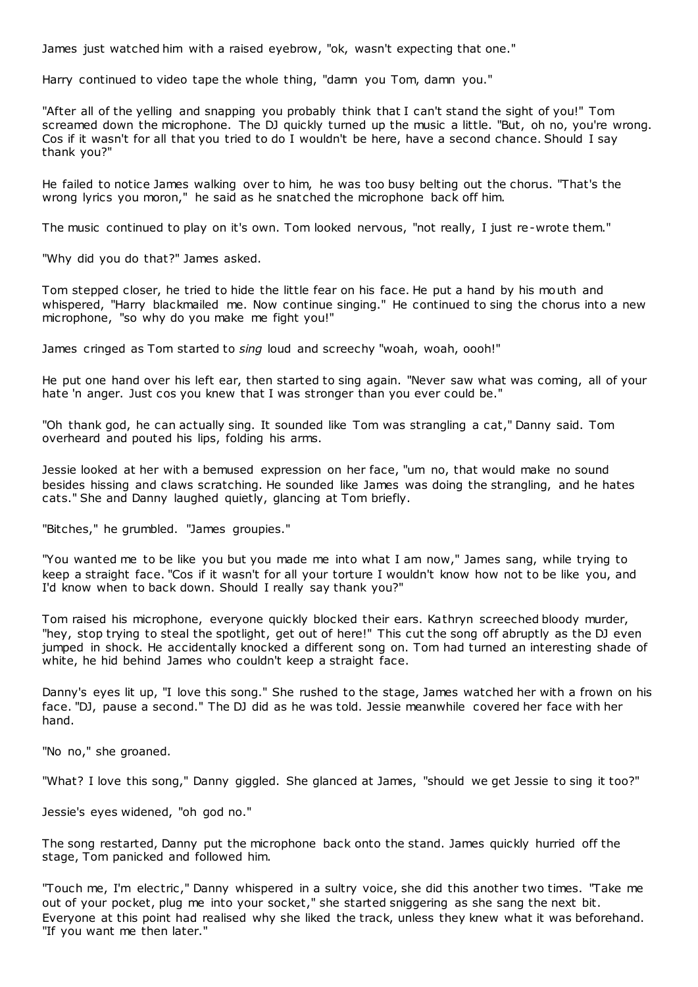James just watched him with a raised eyebrow, "ok, wasn't expecting that one."

Harry continued to video tape the whole thing, "damn you Tom, damn you."

"After all of the yelling and snapping you probably think that I can't stand the sight of you!" Tom screamed down the microphone. The DJ quickly turned up the music a little. "But, oh no, you're wrong. Cos if it wasn't for all that you tried to do I wouldn't be here, have a second chance. Should I say thank you?"

He failed to notice James walking over to him, he was too busy belting out the chorus. "That's the wrong lyrics you moron," he said as he snatched the microphone back off him.

The music continued to play on it's own. Tom looked nervous, "not really, I just re-wrote them."

"Why did you do that?" James asked.

Tom stepped closer, he tried to hide the little fear on his face. He put a hand by his mouth and whispered, "Harry blackmailed me. Now continue singing." He continued to sing the chorus into a new microphone, "so why do you make me fight you!"

James cringed as Tom started to *sing* loud and screechy "woah, woah, oooh!"

He put one hand over his left ear, then started to sing again. "Never saw what was coming, all of your hate 'n anger. Just cos you knew that I was stronger than you ever could be."

"Oh thank god, he can actually sing. It sounded like Tom was strangling a cat," Danny said. Tom overheard and pouted his lips, folding his arms.

Jessie looked at her with a bemused expression on her face, "um no, that would make no sound besides hissing and claws scratching. He sounded like James was doing the strangling, and he hates cats." She and Danny laughed quietly, glancing at Tom briefly.

"Bitches," he grumbled. "James groupies."

"You wanted me to be like you but you made me into what I am now," James sang, while trying to keep a straight face. "Cos if it wasn't for all your torture I wouldn't know how not to be like you, and I'd know when to back down. Should I really say thank you?"

Tom raised his microphone, everyone quickly blocked their ears. Kathryn screeched bloody murder, "hey, stop trying to steal the spotlight, get out of here!" This cut the song off abruptly as the DJ even jumped in shock. He accidentally knocked a different song on. Tom had turned an interesting shade of white, he hid behind James who couldn't keep a straight face.

Danny's eyes lit up, "I love this song." She rushed to the stage, James watched her with a frown on his face. "DJ, pause a second." The DJ did as he was told. Jessie meanwhile covered her face with her hand.

"No no," she groaned.

"What? I love this song," Danny giggled. She glanced at James, "should we get Jessie to sing it too?"

Jessie's eyes widened, "oh god no."

The song restarted, Danny put the microphone back onto the stand. James quickly hurried off the stage, Tom panicked and followed him.

"Touch me, I'm electric ," Danny whispered in a sultry voice, she did this another two times. "Take me out of your pocket, plug me into your socket," she started sniggering as she sang the next bit. Everyone at this point had realised why she liked the track, unless they knew what it was beforehand. "If you want me then later."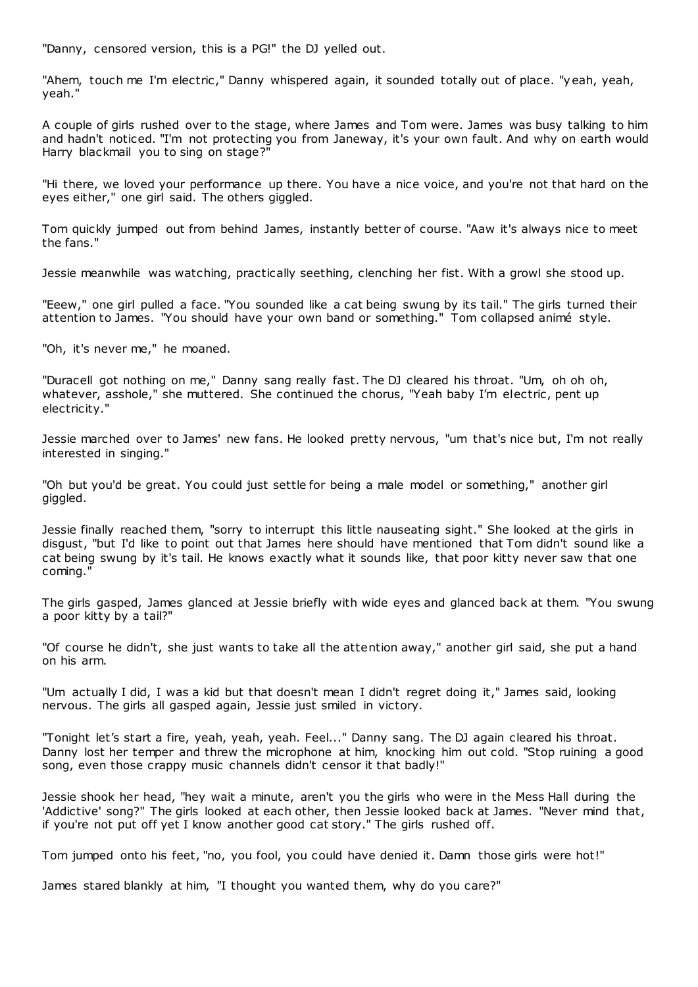"Danny, censored version, this is a PG!" the DJ yelled out.

"Ahem, touch me I'm electric," Danny whispered again, it sounded totally out of place. "yeah, yeah, yeah."

A couple of girls rushed over to the stage, where James and Tom were. James was busy talking to him and hadn't noticed. "I'm not protecting you from Janeway, it's your own fault. And why on earth would Harry blackmail you to sing on stage?"

"Hi there, we loved your performance up there. You have a nice voice, and you're not that hard on the eyes either," one girl said. The others giggled.

Tom quickly jumped out from behind James, instantly better of course. "Aaw it's always nice to meet the fans."

Jessie meanwhile was watching, practically seething, clenching her fist. With a growl she stood up.

"Eeew," one girl pulled a face. "You sounded like a cat being swung by its tail." The girls turned their attention to James. "You should have your own band or something." Tom collapsed animé style.

"Oh, it's never me," he moaned.

"Duracell got nothing on me," Danny sang really fast. The DJ cleared his throat. "Um, oh oh oh, whatever, asshole," she muttered. She continued the chorus, "Yeah baby I'm electric, pent up electricity."

Jessie marched over to James' new fans. He looked pretty nervous, "um that's nice but, I'm not really interested in singing."

"Oh but you'd be great. You could just settle for being a male model or something," another girl giggled.

Jessie finally reached them, "sorry to interrupt this little nauseating sight." She looked at the girls in disgust, "but I'd like to point out that James here should have mentioned that Tom didn't sound like a cat being swung by it's tail. He knows exactly what it sounds like, that poor kitty never saw that one coming."

The girls gasped, James glanced at Jessie briefly with wide eyes and glanced back at them. "You swung a poor kitty by a tail?"

"Of course he didn't, she just wants to take all the attention away," another girl said, she put a hand on his arm.

"Um actually I did, I was a kid but that doesn't mean I didn't regret doing it," James said, looking nervous. The girls all gasped again, Jessie just smiled in victory.

"Tonight let's start a fire, yeah, yeah, yeah. Feel..." Danny sang. The DJ again cleared his throat. Danny lost her temper and threw the microphone at him, knocking him out cold. "Stop ruining a good song, even those crappy music channels didn't censor it that badly!"

Jessie shook her head, "hey wait a minute, aren't you the girls who were in the Mess Hall during the 'Addictive' song?" The girls looked at each other, then Jessie looked back at James. "Never mind that, if you're not put off yet I know another good cat story." The girls rushed off.

Tom jumped onto his feet, "no, you fool, you could have denied it. Damn those girls were hot!"

James stared blankly at him, "I thought you wanted them, why do you care?"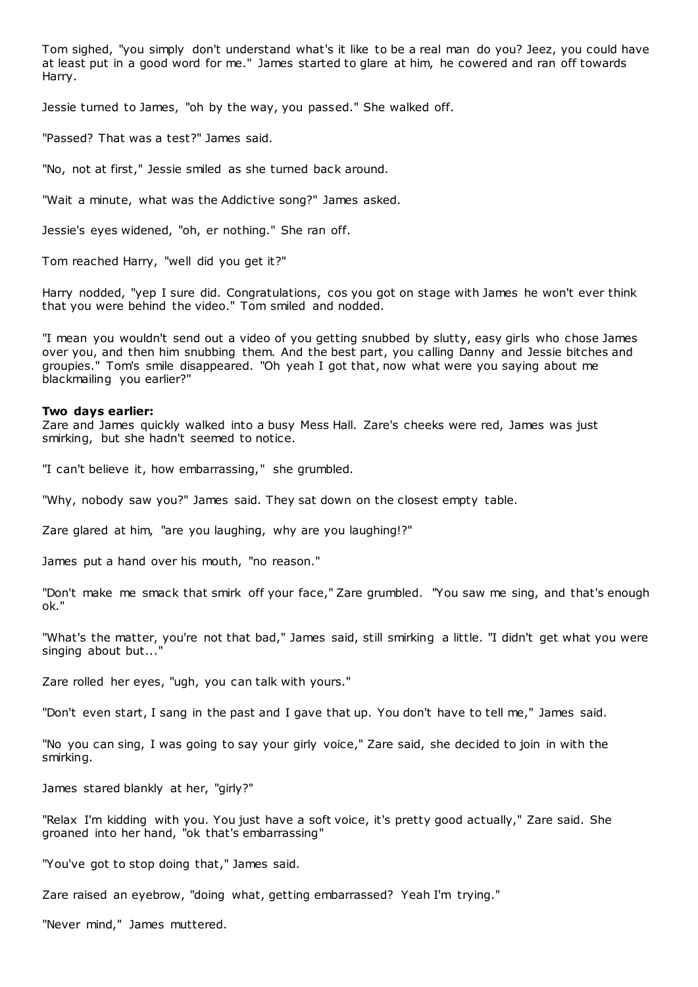Tom sighed, "you simply don't understand what's it like to be a real man do you? Jeez, you could have at least put in a good word for me." James started to glare at him, he cowered and ran off towards Harry.

Jessie turned to James, "oh by the way, you passed." She walked off.

"Passed? That was a test?" James said.

"No, not at first," Jessie smiled as she turned back around.

"Wait a minute, what was the Addictive song?" James asked.

Jessie's eyes widened, "oh, er nothing." She ran off.

Tom reached Harry, "well did you get it?"

Harry nodded, "yep I sure did. Congratulations, cos you got on stage with James he won't ever think that you were behind the video." Tom smiled and nodded.

"I mean you wouldn't send out a video of you getting snubbed by slutty, easy girls who chose James over you, and then him snubbing them. And the best part, you calling Danny and Jessie bitches and groupies." Tom's smile disappeared. "Oh yeah I got that, now what were you saying about me blackmailing you earlier?"

#### **Two days earlier:**

Zare and James quickly walked into a busy Mess Hall. Zare's cheeks were red, James was just smirking, but she hadn't seemed to notice.

"I can't believe it, how embarrassing," she grumbled.

"Why, nobody saw you?" James said. They sat down on the closest empty table.

Zare glared at him, "are you laughing, why are you laughing!?"

James put a hand over his mouth, "no reason."

"Don't make me smack that smirk off your face," Zare grumbled. "You saw me sing, and that's enough ok."

"What's the matter, you're not that bad," James said, still smirking a little. "I didn't get what you were singing about but...

Zare rolled her eyes, "ugh, you can talk with yours."

"Don't even start, I sang in the past and I gave that up. You don't have to tell me," James said.

"No you can sing, I was going to say your girly voice," Zare said, she decided to join in with the smirking.

James stared blankly at her, "girly?"

"Relax I'm kidding with you. You just have a soft voice, it's pretty good actually," Zare said. She groaned into her hand, "ok that's embarrassing"

"You've got to stop doing that," James said.

Zare raised an eyebrow, "doing what, getting embarrassed? Yeah I'm trying."

"Never mind," James muttered.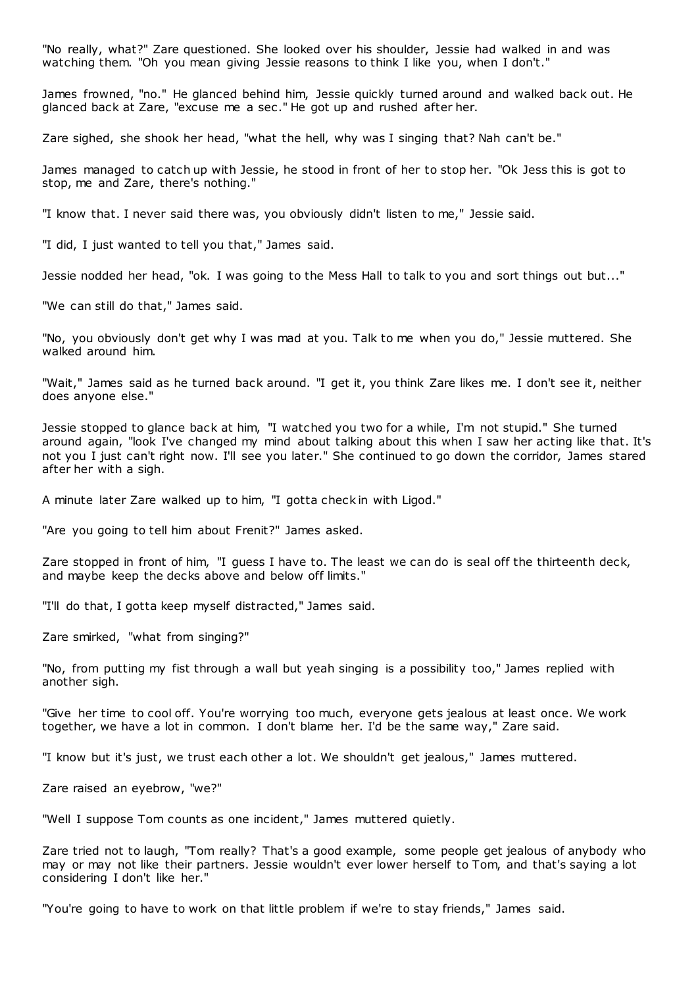"No really, what?" Zare questioned. She looked over his shoulder, Jessie had walked in and was watching them. "Oh you mean giving Jessie reasons to think I like you, when I don't."

James frowned, "no." He glanced behind him, Jessie quickly turned around and walked back out. He glanced back at Zare, "excuse me a sec ." He got up and rushed after her.

Zare sighed, she shook her head, "what the hell, why was I singing that? Nah can't be."

James managed to catch up with Jessie, he stood in front of her to stop her. "Ok Jess this is got to stop, me and Zare, there's nothing."

"I know that. I never said there was, you obviously didn't listen to me," Jessie said.

"I did, I just wanted to tell you that," James said.

Jessie nodded her head, "ok. I was going to the Mess Hall to talk to you and sort things out but..."

"We can still do that," James said.

"No, you obviously don't get why I was mad at you. Talk to me when you do," Jessie muttered. She walked around him.

"Wait," James said as he turned back around. "I get it, you think Zare likes me. I don't see it, neither does anyone else."

Jessie stopped to glance back at him, "I watched you two for a while, I'm not stupid." She turned around again, "look I've changed my mind about talking about this when I saw her acting like that. It's not you I just can't right now. I'll see you later." She continued to go down the corridor, James stared after her with a sigh.

A minute later Zare walked up to him, "I gotta check in with Ligod."

"Are you going to tell him about Frenit?" James asked.

Zare stopped in front of him, "I guess I have to. The least we can do is seal off the thirteenth deck, and maybe keep the decks above and below off limits."

"I'll do that, I gotta keep myself distracted," James said.

Zare smirked, "what from singing?"

"No, from putting my fist through a wall but yeah singing is a possibility too," James replied with another sigh.

"Give her time to cool off. You're worrying too much, everyone gets jealous at least once. We work together, we have a lot in common. I don't blame her. I'd be the same way," Zare said.

"I know but it's just, we trust each other a lot. We shouldn't get jealous," James muttered.

Zare raised an eyebrow, "we?"

"Well I suppose Tom counts as one incident," James muttered quietly.

Zare tried not to laugh, "Tom really? That's a good example, some people get jealous of anybody who may or may not like their partners. Jessie wouldn't ever lower herself to Tom, and that's saying a lot considering I don't like her."

"You're going to have to work on that little problem if we're to stay friends," James said.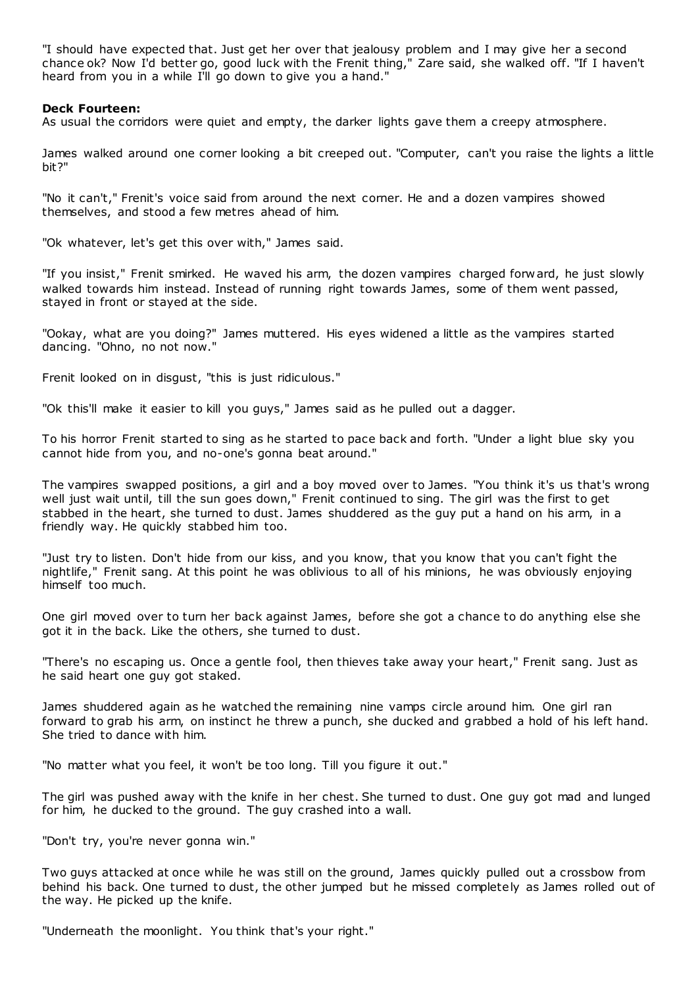"I should have expected that. Just get her over that jealousy problem and I may give her a second chance ok? Now I'd better go, good luck with the Frenit thing," Zare said, she walked off. "If I haven't heard from you in a while I'll go down to give you a hand."

# **Deck Fourteen:**

As usual the corridors were quiet and empty, the darker lights gave them a creepy atmosphere.

James walked around one corner looking a bit creeped out. "Computer, can't you raise the lights a little bit?"

"No it can't," Frenit's voice said from around the next corner. He and a dozen vampires showed themselves, and stood a few metres ahead of him.

"Ok whatever, let's get this over with," James said.

"If you insist," Frenit smirked. He waved his arm, the dozen vampires charged forward, he just slowly walked towards him instead. Instead of running right towards James, some of them went passed, stayed in front or stayed at the side.

"Ookay, what are you doing?" James muttered. His eyes widened a little as the vampires started dancing. "Ohno, no not now."

Frenit looked on in disgust, "this is just ridiculous."

"Ok this'll make it easier to kill you guys," James said as he pulled out a dagger.

To his horror Frenit started to sing as he started to pace back and forth. "Under a light blue sky you cannot hide from you, and no-one's gonna beat around."

The vampires swapped positions, a girl and a boy moved over to James. "You think it's us that's wrong well just wait until, till the sun goes down," Frenit continued to sing. The girl was the first to get stabbed in the heart, she turned to dust. James shuddered as the guy put a hand on his arm, in a friendly way. He quickly stabbed him too.

"Just try to listen. Don't hide from our kiss, and you know, that you know that you can't fight the nightlife," Frenit sang. At this point he was oblivious to all of his minions, he was obviously enjoying himself too much.

One girl moved over to turn her back against James, before she got a chance to do anything else she got it in the back. Like the others, she turned to dust.

"There's no escaping us. Once a gentle fool, then thieves take away your heart," Frenit sang. Just as he said heart one guy got staked.

James shuddered again as he watched the remaining nine vamps circle around him. One girl ran forward to grab his arm, on instinct he threw a punch, she ducked and grabbed a hold of his left hand. She tried to dance with him.

"No matter what you feel, it won't be too long. Till you figure it out."

The girl was pushed away with the knife in her chest. She turned to dust. One guy got mad and lunged for him, he ducked to the ground. The guy crashed into a wall.

"Don't try, you're never gonna win."

Two guys attacked at once while he was still on the ground, James quickly pulled out a crossbow from behind his back. One turned to dust, the other jumped but he missed completely as James rolled out of the way. He picked up the knife.

"Underneath the moonlight. You think that's your right."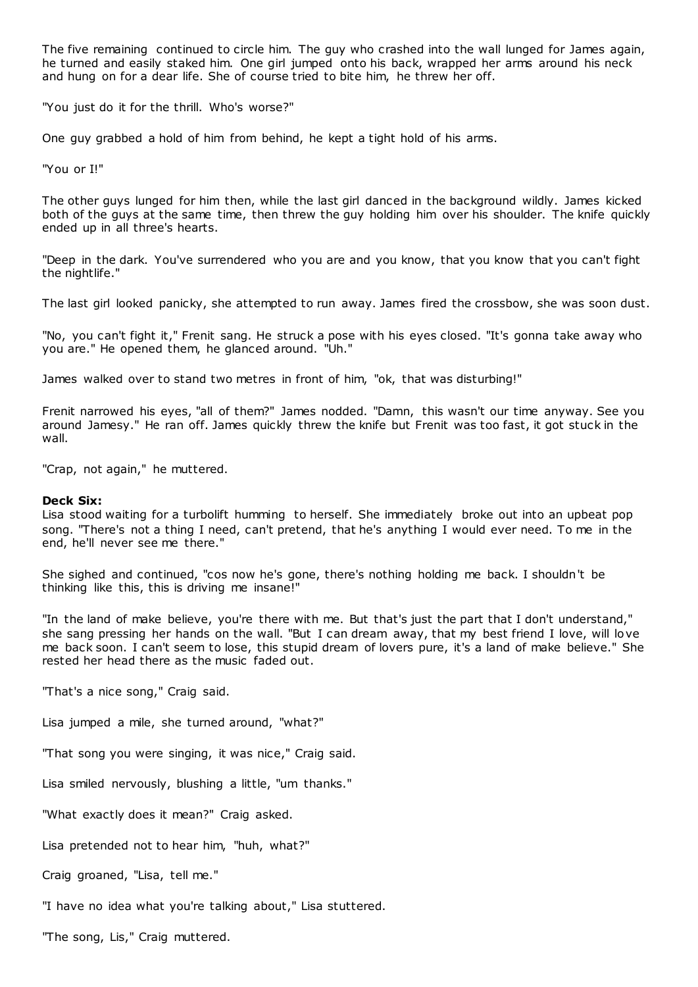The five remaining continued to circle him. The guy who crashed into the wall lunged for James again, he turned and easily staked him. One girl jumped onto his back, wrapped her arms around his neck and hung on for a dear life. She of course tried to bite him, he threw her off.

"You just do it for the thrill. Who's worse?"

One guy grabbed a hold of him from behind, he kept a tight hold of his arms.

"You or I!"

The other guys lunged for him then, while the last girl danced in the background wildly. James kicked both of the guys at the same time, then threw the guy holding him over his shoulder. The knife quickly ended up in all three's hearts.

"Deep in the dark. You've surrendered who you are and you know, that you know that you can't fight the nightlife."

The last girl looked panicky, she attempted to run away. James fired the crossbow, she was soon dust.

"No, you can't fight it," Frenit sang. He struck a pose with his eyes closed. "It's gonna take away who you are." He opened them, he glanced around. "Uh."

James walked over to stand two metres in front of him, "ok, that was disturbing!"

Frenit narrowed his eyes, "all of them?" James nodded. "Damn, this wasn't our time anyway. See you around Jamesy." He ran off. James quickly threw the knife but Frenit was too fast, it got stuck in the wall.

"Crap, not again," he muttered.

# **Deck Six:**

Lisa stood waiting for a turbolift humming to herself. She immediately broke out into an upbeat pop song. "There's not a thing I need, can't pretend, that he's anything I would ever need. To me in the end, he'll never see me there."

She sighed and continued, "cos now he's gone, there's nothing holding me back. I shouldn't be thinking like this, this is driving me insane!"

"In the land of make believe, you're there with me. But that's just the part that I don't understand," she sang pressing her hands on the wall. "But I can dream away, that my best friend I love, will love me back soon. I can't seem to lose, this stupid dream of lovers pure, it's a land of make believe." She rested her head there as the music faded out.

"That's a nice song," Craig said.

Lisa jumped a mile, she turned around, "what?"

"That song you were singing, it was nice," Craig said.

Lisa smiled nervously, blushing a little, "um thanks."

"What exactly does it mean?" Craig asked.

Lisa pretended not to hear him, "huh, what?"

Craig groaned, "Lisa, tell me."

"I have no idea what you're talking about," Lisa stuttered.

"The song, Lis," Craig muttered.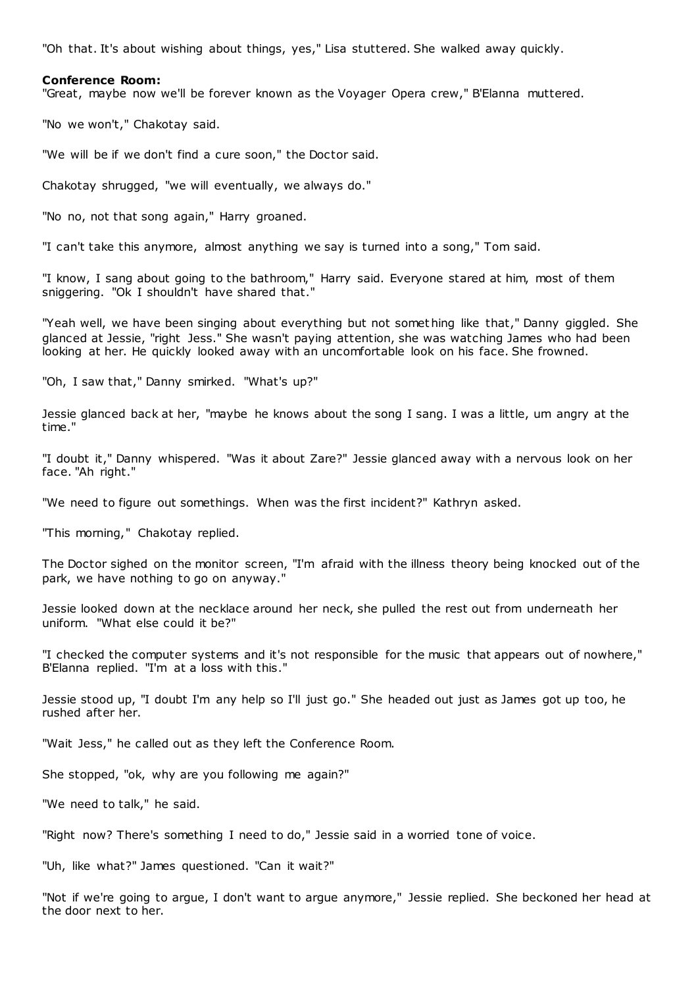"Oh that. It's about wishing about things, yes," Lisa stuttered. She walked away quickly.

#### **Conference Room:**

"Great, maybe now we'll be forever known as the Voyager Opera crew," B'Elanna muttered.

"No we won't," Chakotay said.

"We will be if we don't find a cure soon," the Doctor said.

Chakotay shrugged, "we will eventually, we always do."

"No no, not that song again," Harry groaned.

"I can't take this anymore, almost anything we say is turned into a song," Tom said.

"I know, I sang about going to the bathroom," Harry said. Everyone stared at him, most of them sniggering. "Ok I shouldn't have shared that."

"Yeah well, we have been singing about everything but not something like that," Danny giggled. She glanced at Jessie, "right Jess." She wasn't paying attention, she was watching James who had been looking at her. He quickly looked away with an uncomfortable look on his face. She frowned.

"Oh, I saw that," Danny smirked. "What's up?"

Jessie glanced back at her, "maybe he knows about the song I sang. I was a little, um angry at the time."

"I doubt it," Danny whispered. "Was it about Zare?" Jessie glanced away with a nervous look on her face. "Ah right."

"We need to figure out somethings. When was the first incident?" Kathryn asked.

"This morning," Chakotay replied.

The Doctor sighed on the monitor screen, "I'm afraid with the illness theory being knocked out of the park, we have nothing to go on anyway."

Jessie looked down at the necklace around her neck, she pulled the rest out from underneath her uniform. "What else could it be?"

"I checked the computer systems and it's not responsible for the music that appears out of nowhere," B'Elanna replied. "I'm at a loss with this."

Jessie stood up, "I doubt I'm any help so I'll just go." She headed out just as James got up too, he rushed after her.

"Wait Jess," he called out as they left the Conference Room.

She stopped, "ok, why are you following me again?"

"We need to talk," he said.

"Right now? There's something I need to do," Jessie said in a worried tone of voice.

"Uh, like what?" James questioned. "Can it wait?"

"Not if we're going to argue, I don't want to argue anymore," Jessie replied. She beckoned her head at the door next to her.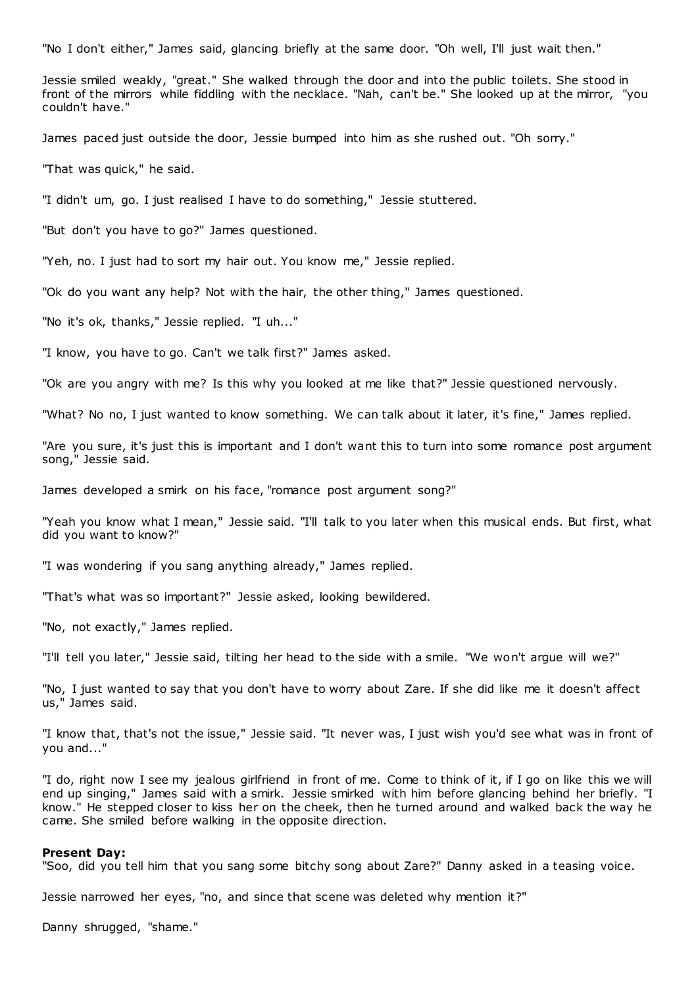"No I don't either," James said, glancing briefly at the same door. "Oh well, I'll just wait then."

Jessie smiled weakly, "great." She walked through the door and into the public toilets. She stood in front of the mirrors while fiddling with the necklace. "Nah, can't be." She looked up at the mirror, "you couldn't have."

James paced just outside the door, Jessie bumped into him as she rushed out. "Oh sorry."

"That was quick," he said.

"I didn't um, go. I just realised I have to do something," Jessie stuttered.

"But don't you have to go?" James questioned.

"Yeh, no. I just had to sort my hair out. You know me," Jessie replied.

"Ok do you want any help? Not with the hair, the other thing," James questioned.

"No it's ok, thanks," Jessie replied. "I uh..."

"I know, you have to go. Can't we talk first?" James asked.

"Ok are you angry with me? Is this why you looked at me like that?" Jessie questioned nervously.

"What? No no, I just wanted to know something. We can talk about it later, it's fine," James replied.

"Are you sure, it's just this is important and I don't want this to turn into some romance post argument song," Jessie said.

James developed a smirk on his face, "romance post argument song?"

"Yeah you know what I mean," Jessie said. "I'll talk to you later when this musical ends. But first, what did you want to know?"

"I was wondering if you sang anything already," James replied.

"That's what was so important?" Jessie asked, looking bewildered.

"No, not exactly," James replied.

"I'll tell you later," Jessie said, tilting her head to the side with a smile. "We won't argue will we?"

"No, I just wanted to say that you don't have to worry about Zare. If she did like me it doesn't affect us," James said.

"I know that, that's not the issue," Jessie said. "It never was, I just wish you'd see what was in front of you and..."

"I do, right now I see my jealous girlfriend in front of me. Come to think of it, if I go on like this we will end up singing," James said with a smirk. Jessie smirked with him before glancing behind her briefly. "I know." He stepped closer to kiss her on the cheek, then he turned around and walked back the way he came. She smiled before walking in the opposite direction.

#### **Present Day:**

"Soo, did you tell him that you sang some bitchy song about Zare?" Danny asked in a teasing voice.

Jessie narrowed her eyes, "no, and since that scene was deleted why mention it?"

Danny shrugged, "shame."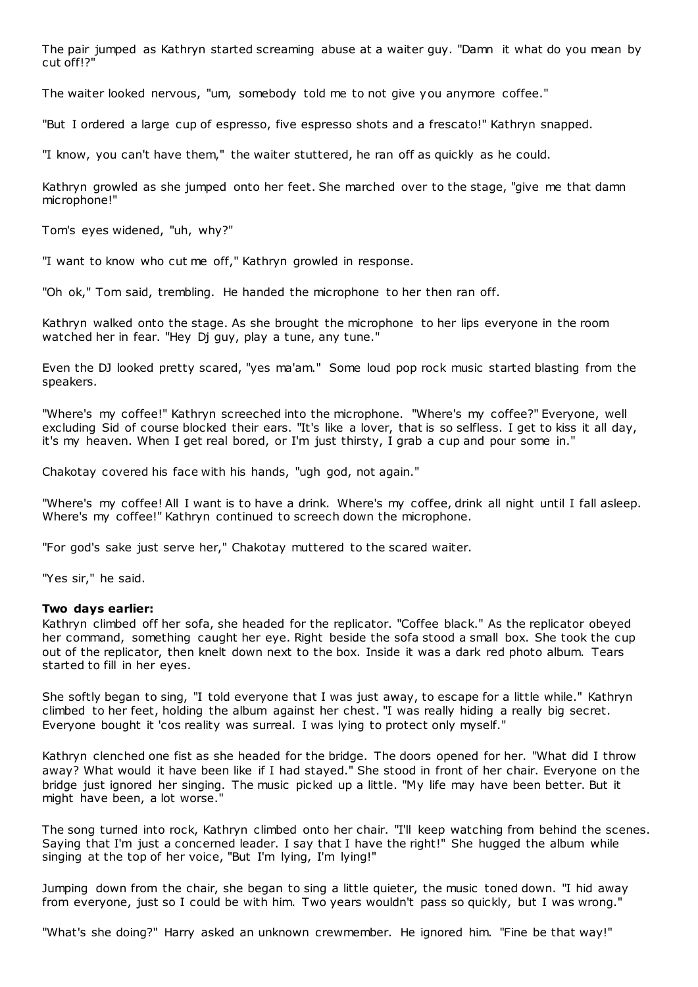The pair jumped as Kathryn started screaming abuse at a waiter guy. "Damn it what do you mean by cut off!?"

The waiter looked nervous, "um, somebody told me to not give you anymore coffee."

"But I ordered a large cup of espresso, five espresso shots and a frescato!" Kathryn snapped.

"I know, you can't have them," the waiter stuttered, he ran off as quickly as he could.

Kathryn growled as she jumped onto her feet. She marched over to the stage, "give me that damn microphone!"

Tom's eyes widened, "uh, why?"

"I want to know who cut me off," Kathryn growled in response.

"Oh ok," Tom said, trembling. He handed the microphone to her then ran off.

Kathryn walked onto the stage. As she brought the microphone to her lips everyone in the room watched her in fear. "Hey Dj guy, play a tune, any tune."

Even the DJ looked pretty scared, "yes ma'am." Some loud pop rock music started blasting from the speakers.

"Where's my coffee!" Kathryn screeched into the microphone. "Where's my coffee?" Everyone, well excluding Sid of course blocked their ears. "It's like a lover, that is so selfless. I get to kiss it all day, it's my heaven. When I get real bored, or I'm just thirsty, I grab a cup and pour some in."

Chakotay covered his face with his hands, "ugh god, not again."

"Where's my coffee! All I want is to have a drink. Where's my coffee, drink all night until I fall asleep. Where's my coffee!" Kathryn continued to screech down the microphone.

"For god's sake just serve her," Chakotay muttered to the scared waiter.

"Yes sir," he said.

# **Two days earlier:**

Kathryn climbed off her sofa, she headed for the replicator. "Coffee black." As the replicator obeyed her command, something caught her eye. Right beside the sofa stood a small box. She took the cup out of the replicator, then knelt down next to the box. Inside it was a dark red photo album. Tears started to fill in her eyes.

She softly began to sing, "I told everyone that I was just away, to escape for a little while." Kathryn climbed to her feet, holding the album against her chest. "I was really hiding a really big secret. Everyone bought it 'cos reality was surreal. I was lying to protect only myself."

Kathryn clenched one fist as she headed for the bridge. The doors opened for her. "What did I throw away? What would it have been like if I had stayed." She stood in front of her chair. Everyone on the bridge just ignored her singing. The music picked up a little. "My life may have been better. But it might have been, a lot worse."

The song turned into rock, Kathryn climbed onto her chair. "I'll keep watching from behind the scenes. Saying that I'm just a concerned leader. I say that I have the right!" She hugged the album while singing at the top of her voice, "But I'm lying, I'm lying!"

Jumping down from the chair, she began to sing a little quieter, the music toned down. "I hid away from everyone, just so I could be with him. Two years wouldn't pass so quickly, but I was wrong."

"What's she doing?" Harry asked an unknown crewmember. He ignored him. "Fine be that way!"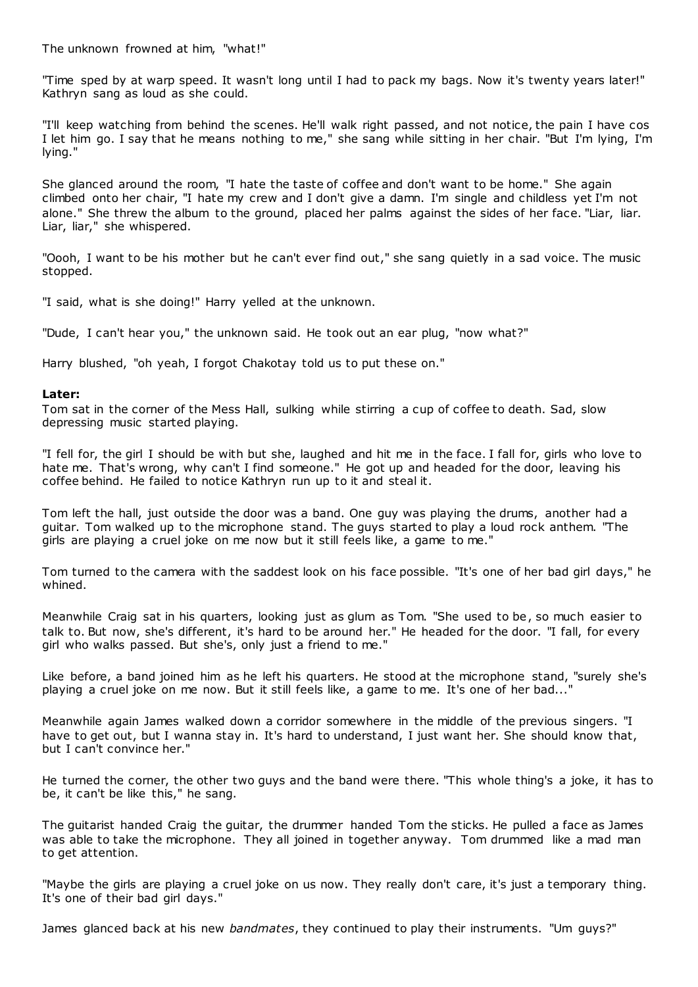The unknown frowned at him, "what!"

"Time sped by at warp speed. It wasn't long until I had to pack my bags. Now it's twenty years later!" Kathryn sang as loud as she could.

"I'll keep watching from behind the scenes. He'll walk right passed, and not notice, the pain I have cos I let him go. I say that he means nothing to me," she sang while sitting in her chair. "But I'm lying, I'm lying."

She glanced around the room, "I hate the taste of coffee and don't want to be home." She again climbed onto her chair, "I hate my crew and I don't give a damn. I'm single and childless yet I'm not alone." She threw the album to the ground, placed her palms against the sides of her face. "Liar, liar. Liar, liar," she whispered.

"Oooh, I want to be his mother but he can't ever find out," she sang quietly in a sad voice. The music stopped.

"I said, what is she doing!" Harry yelled at the unknown.

"Dude, I can't hear you," the unknown said. He took out an ear plug, "now what?"

Harry blushed, "oh yeah, I forgot Chakotay told us to put these on."

# **Later:**

Tom sat in the corner of the Mess Hall, sulking while stirring a cup of coffee to death. Sad, slow depressing music started playing.

"I fell for, the girl I should be with but she, laughed and hit me in the face. I fall for, girls who love to hate me. That's wrong, why can't I find someone." He got up and headed for the door, leaving his coffee behind. He failed to notice Kathryn run up to it and steal it.

Tom left the hall, just outside the door was a band. One guy was playing the drums, another had a guitar. Tom walked up to the microphone stand. The guys started to play a loud rock anthem. "The girls are playing a cruel joke on me now but it still feels like, a game to me."

Tom turned to the camera with the saddest look on his face possible. "It's one of her bad girl days," he whined.

Meanwhile Craig sat in his quarters, looking just as glum as Tom. "She used to be, so much easier to talk to. But now, she's different, it's hard to be around her." He headed for the door. "I fall, for every girl who walks passed. But she's, only just a friend to me."

Like before, a band joined him as he left his quarters. He stood at the microphone stand, "surely she's playing a cruel joke on me now. But it still feels like, a game to me. It's one of her bad..."

Meanwhile again James walked down a corridor somewhere in the middle of the previous singers. "I have to get out, but I wanna stay in. It's hard to understand, I just want her. She should know that, but I can't convince her."

He turned the corner, the other two guys and the band were there. "This whole thing's a joke, it has to be, it can't be like this," he sang.

The guitarist handed Craig the guitar, the drummer handed Tom the sticks. He pulled a face as James was able to take the microphone. They all joined in together anyway. Tom drummed like a mad man to get attention.

"Maybe the girls are playing a cruel joke on us now. They really don't care, it's just a temporary thing. It's one of their bad girl days."

James glanced back at his new *bandmates*, they continued to play their instruments. "Um guys?"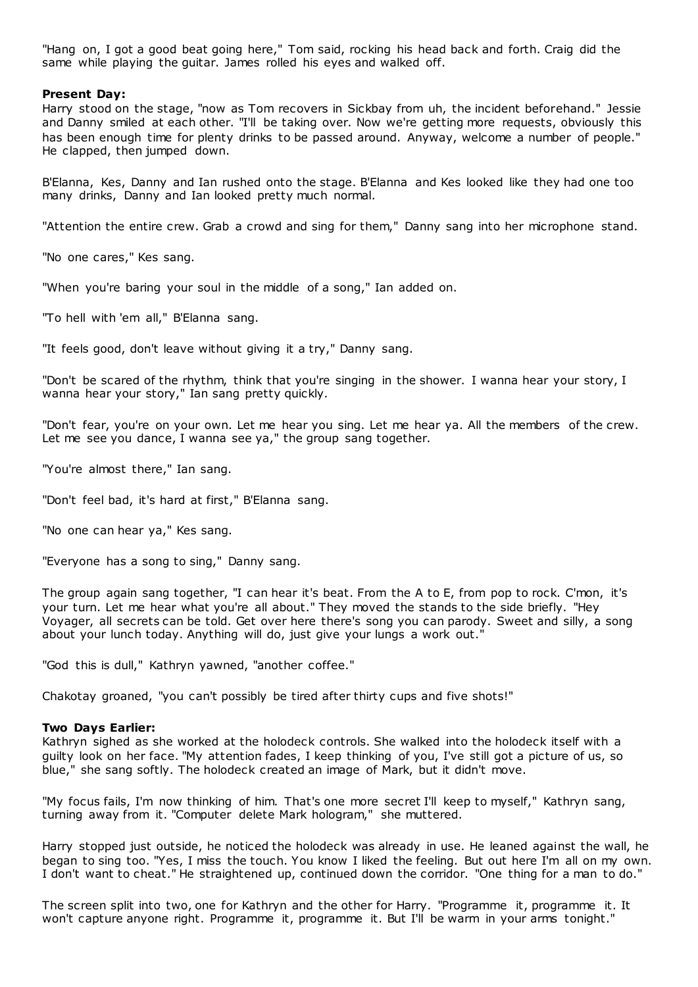"Hang on, I got a good beat going here," Tom said, rocking his head back and forth. Craig did the same while playing the guitar. James rolled his eyes and walked off.

# **Present Day:**

Harry stood on the stage, "now as Tom recovers in Sickbay from uh, the incident beforehand." Jessie and Danny smiled at each other. "I'll be taking over. Now we're getting more requests, obviously this has been enough time for plenty drinks to be passed around. Anyway, welcome a number of people." He clapped, then jumped down.

B'Elanna, Kes, Danny and Ian rushed onto the stage. B'Elanna and Kes looked like they had one too many drinks, Danny and Ian looked pretty much normal.

"Attention the entire crew. Grab a crowd and sing for them," Danny sang into her microphone stand.

"No one cares," Kes sang.

"When you're baring your soul in the middle of a song," Ian added on.

"To hell with 'em all," B'Elanna sang.

"It feels good, don't leave without giving it a try," Danny sang.

"Don't be scared of the rhythm, think that you're singing in the shower. I wanna hear your story, I wanna hear your story," Ian sang pretty quickly.

"Don't fear, you're on your own. Let me hear you sing. Let me hear ya. All the members of the crew. Let me see you dance, I wanna see ya," the group sang together.

"You're almost there," Ian sang.

"Don't feel bad, it's hard at first," B'Elanna sang.

"No one can hear ya," Kes sang.

"Everyone has a song to sing," Danny sang.

The group again sang together, "I can hear it's beat. From the A to E, from pop to rock. C'mon, it's your turn. Let me hear what you're all about." They moved the stands to the side briefly. "Hey Voyager, all secrets can be told. Get over here there's song you can parody. Sweet and silly, a song about your lunch today. Anything will do, just give your lungs a work out."

"God this is dull," Kathryn yawned, "another coffee."

Chakotay groaned, "you can't possibly be tired after thirty cups and five shots!"

## **Two Days Earlier:**

Kathryn sighed as she worked at the holodeck controls. She walked into the holodeck itself with a guilty look on her face. "My attention fades, I keep thinking of you, I've still got a picture of us, so blue," she sang softly. The holodeck created an image of Mark, but it didn't move.

"My focus fails, I'm now thinking of him. That's one more secret I'll keep to myself," Kathryn sang, turning away from it. "Computer delete Mark hologram," she muttered.

Harry stopped just outside, he noticed the holodeck was already in use. He leaned against the wall, he began to sing too. "Yes, I miss the touch. You know I liked the feeling. But out here I'm all on my own. I don't want to cheat." He straightened up, continued down the corridor. "One thing for a man to do."

The screen split into two, one for Kathryn and the other for Harry. "Programme it, programme it. It won't capture anyone right. Programme it, programme it. But I'll be warm in your arms tonight."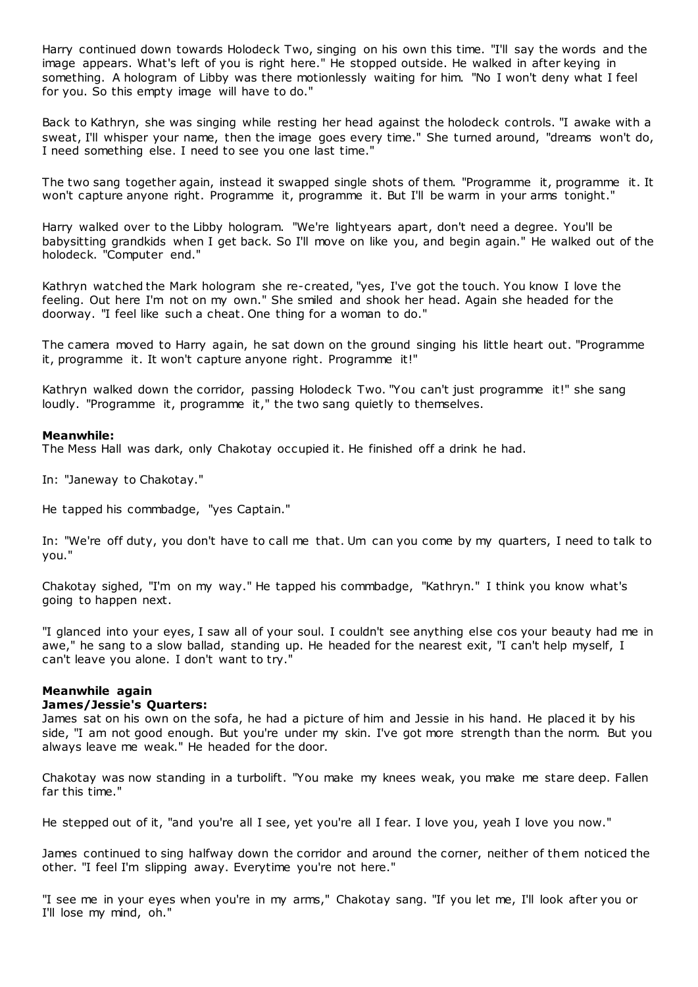Harry continued down towards Holodeck Two, singing on his own this time. "I'll say the words and the image appears. What's left of you is right here." He stopped outside. He walked in after keying in something. A hologram of Libby was there motionlessly waiting for him. "No I won't deny what I feel for you. So this empty image will have to do."

Back to Kathryn, she was singing while resting her head against the holodeck controls. "I awake with a sweat, I'll whisper your name, then the image goes every time." She turned around, "dreams won't do, I need something else. I need to see you one last time."

The two sang together again, instead it swapped single shots of them. "Programme it, programme it. It won't capture anyone right. Programme it, programme it. But I'll be warm in your arms tonight."

Harry walked over to the Libby hologram. "We're lightyears apart, don't need a degree. You'll be babysitting grandkids when I get back. So I'll move on like you, and begin again." He walked out of the holodeck. "Computer end."

Kathryn watched the Mark hologram she re-created, "yes, I've got the touch. You know I love the feeling. Out here I'm not on my own." She smiled and shook her head. Again she headed for the doorway. "I feel like such a cheat. One thing for a woman to do."

The camera moved to Harry again, he sat down on the ground singing his little heart out. "Programme it, programme it. It won't capture anyone right. Programme it!"

Kathryn walked down the corridor, passing Holodeck Two. "You can't just programme it!" she sang loudly. "Programme it, programme it," the two sang quietly to themselves.

## **Meanwhile:**

The Mess Hall was dark, only Chakotay occupied it. He finished off a drink he had.

In: "Janeway to Chakotay."

He tapped his commbadge, "yes Captain."

In: "We're off duty, you don't have to call me that. Um can you come by my quarters, I need to talk to you."

Chakotay sighed, "I'm on my way." He tapped his commbadge, "Kathryn." I think you know what's going to happen next.

"I glanced into your eyes, I saw all of your soul. I couldn't see anything else cos your beauty had me in awe," he sang to a slow ballad, standing up. He headed for the nearest exit, "I can't help myself, I can't leave you alone. I don't want to try."

# **Meanwhile again**

# **James/Jessie's Quarters:**

James sat on his own on the sofa, he had a picture of him and Jessie in his hand. He placed it by his side, "I am not good enough. But you're under my skin. I've got more strength than the norm. But you always leave me weak." He headed for the door.

Chakotay was now standing in a turbolift. "You make my knees weak, you make me stare deep. Fallen far this time."

He stepped out of it, "and you're all I see, yet you're all I fear. I love you, yeah I love you now."

James continued to sing halfway down the corridor and around the corner, neither of them noticed the other. "I feel I'm slipping away. Everytime you're not here."

"I see me in your eyes when you're in my arms," Chakotay sang. "If you let me, I'll look after you or I'll lose my mind, oh."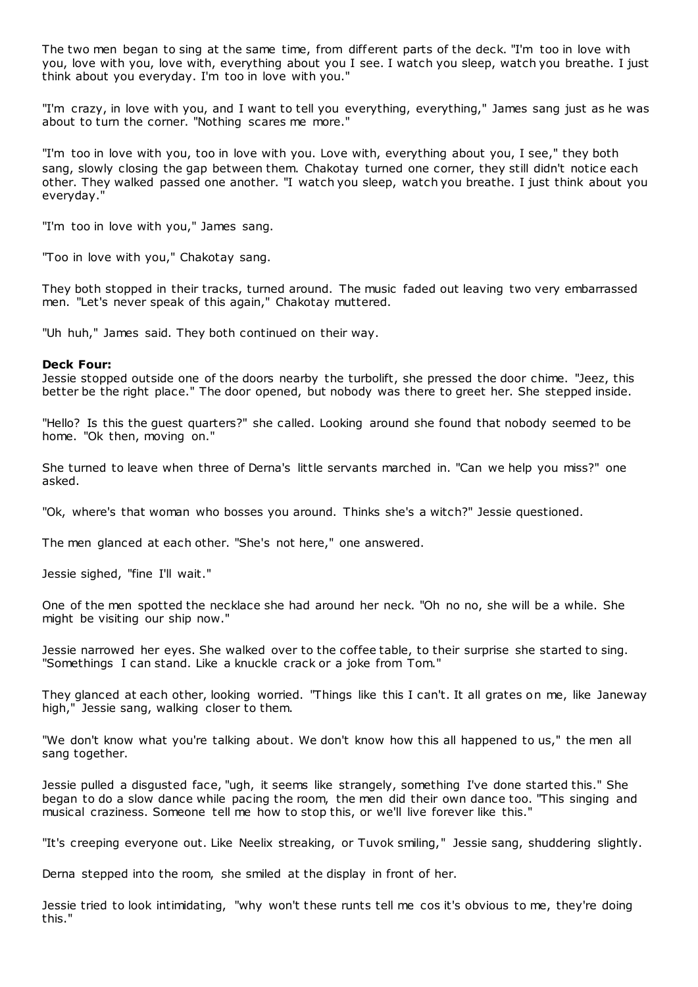The two men began to sing at the same time, from different parts of the deck. "I'm too in love with you, love with you, love with, everything about you I see. I watch you sleep, watch you breathe. I just think about you everyday. I'm too in love with you."

"I'm crazy, in love with you, and I want to tell you everything, everything," James sang just as he was about to turn the corner. "Nothing scares me more."

"I'm too in love with you, too in love with you. Love with, everything about you, I see," they both sang, slowly closing the gap between them. Chakotay turned one corner, they still didn't notice each other. They walked passed one another. "I watch you sleep, watch you breathe. I just think about you everyday."

"I'm too in love with you," James sang.

"Too in love with you," Chakotay sang.

They both stopped in their tracks, turned around. The music faded out leaving two very embarrassed men. "Let's never speak of this again," Chakotay muttered.

"Uh huh," James said. They both continued on their way.

#### **Deck Four:**

Jessie stopped outside one of the doors nearby the turbolift, she pressed the door chime. "Jeez, this better be the right place." The door opened, but nobody was there to greet her. She stepped inside.

"Hello? Is this the guest quarters?" she called. Looking around she found that nobody seemed to be home. "Ok then, moving on."

She turned to leave when three of Derna's little servants marched in. "Can we help you miss?" one asked.

"Ok, where's that woman who bosses you around. Thinks she's a witch?" Jessie questioned.

The men glanced at each other. "She's not here," one answered.

Jessie sighed, "fine I'll wait."

One of the men spotted the necklace she had around her neck. "Oh no no, she will be a while. She might be visiting our ship now."

Jessie narrowed her eyes. She walked over to the coffee table, to their surprise she started to sing. "Somethings I can stand. Like a knuckle crack or a joke from Tom."

They glanced at each other, looking worried. "Things like this I can't. It all grates on me, like Janeway high," Jessie sang, walking closer to them.

"We don't know what you're talking about. We don't know how this all happened to us," the men all sang together.

Jessie pulled a disgusted face, "ugh, it seems like strangely, something I've done started this." She began to do a slow dance while pacing the room, the men did their own dance too. "This singing and musical craziness. Someone tell me how to stop this, or we'll live forever like this."

"It's creeping everyone out. Like Neelix streaking, or Tuvok smiling," Jessie sang, shuddering slightly.

Derna stepped into the room, she smiled at the display in front of her.

Jessie tried to look intimidating, "why won't these runts tell me cos it's obvious to me, they're doing this."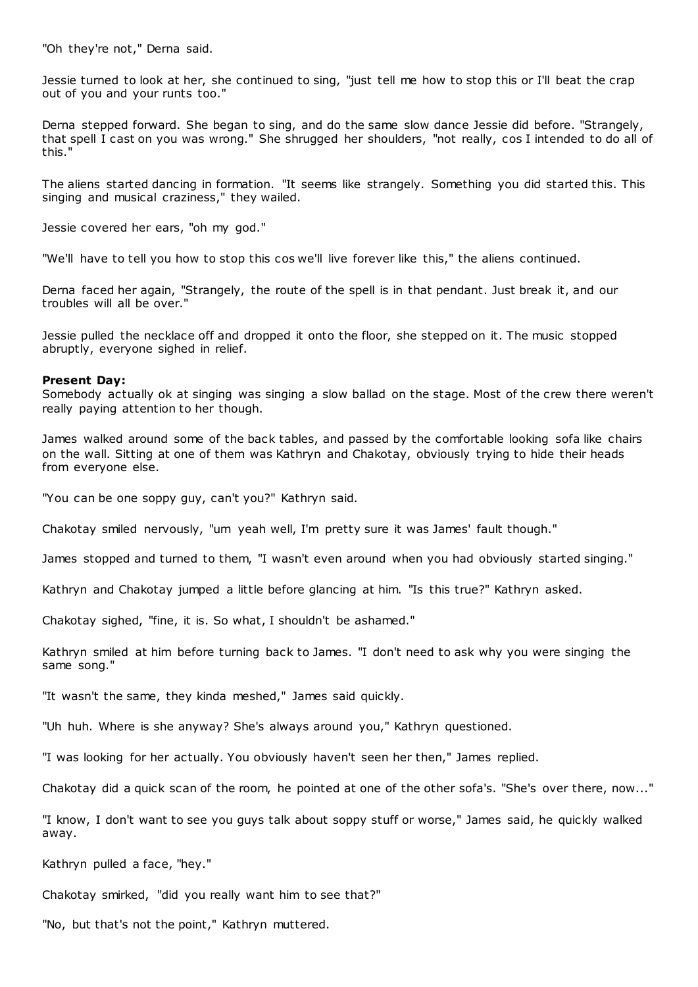"Oh they're not," Derna said.

Jessie turned to look at her, she continued to sing, "just tell me how to stop this or I'll beat the crap out of you and your runts too."

Derna stepped forward. She began to sing, and do the same slow dance Jessie did before. "Strangely, that spell I cast on you was wrong." She shrugged her shoulders, "not really, cos I intended to do all of this."

The aliens started dancing in formation. "It seems like strangely. Something you did started this. This singing and musical craziness," they wailed.

Jessie covered her ears, "oh my god."

"We'll have to tell you how to stop this cos we'll live forever like this," the aliens continued.

Derna faced her again, "Strangely, the route of the spell is in that pendant. Just break it, and our troubles will all be over."

Jessie pulled the necklace off and dropped it onto the floor, she stepped on it. The music stopped abruptly, everyone sighed in relief.

## **Present Day:**

Somebody actually ok at singing was singing a slow ballad on the stage. Most of the crew there weren't really paying attention to her though.

James walked around some of the back tables, and passed by the comfortable looking sofa like chairs on the wall. Sitting at one of them was Kathryn and Chakotay, obviously trying to hide their heads from everyone else.

"You can be one soppy guy, can't you?" Kathryn said.

Chakotay smiled nervously, "um yeah well, I'm pretty sure it was James' fault though."

James stopped and turned to them, "I wasn't even around when you had obviously started singing."

Kathryn and Chakotay jumped a little before glancing at him. "Is this true?" Kathryn asked.

Chakotay sighed, "fine, it is. So what, I shouldn't be ashamed."

Kathryn smiled at him before turning back to James. "I don't need to ask why you were singing the same song."

"It wasn't the same, they kinda meshed," James said quickly.

"Uh huh. Where is she anyway? She's always around you," Kathryn questioned.

"I was looking for her actually. You obviously haven't seen her then," James replied.

Chakotay did a quick scan of the room, he pointed at one of the other sofa's. "She's over there, now..."

"I know, I don't want to see you guys talk about soppy stuff or worse," James said, he quickly walked away.

Kathryn pulled a face, "hey."

Chakotay smirked, "did you really want him to see that?"

"No, but that's not the point," Kathryn muttered.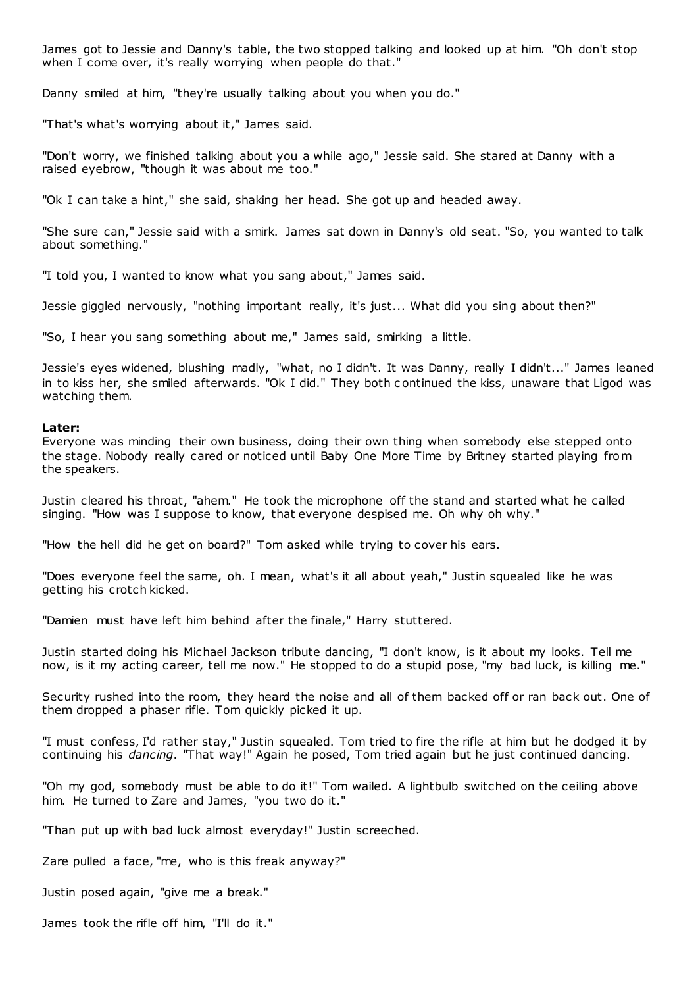James got to Jessie and Danny's table, the two stopped talking and looked up at him. "Oh don't stop when I come over, it's really worrying when people do that."

Danny smiled at him, "they're usually talking about you when you do."

"That's what's worrying about it," James said.

"Don't worry, we finished talking about you a while ago," Jessie said. She stared at Danny with a raised eyebrow, "though it was about me too."

"Ok I can take a hint," she said, shaking her head. She got up and headed away.

"She sure can," Jessie said with a smirk. James sat down in Danny's old seat. "So, you wanted to talk about something."

"I told you, I wanted to know what you sang about," James said.

Jessie giggled nervously, "nothing important really, it's just... What did you sing about then?"

"So, I hear you sang something about me," James said, smirking a little.

Jessie's eyes widened, blushing madly, "what, no I didn't. It was Danny, really I didn't..." James leaned in to kiss her, she smiled afterwards. "Ok I did." They both c ontinued the kiss, unaware that Ligod was watching them.

#### **Later:**

Everyone was minding their own business, doing their own thing when somebody else stepped onto the stage. Nobody really cared or noticed until Baby One More Time by Britney started playing from the speakers.

Justin cleared his throat, "ahem." He took the microphone off the stand and started what he called singing. "How was I suppose to know, that everyone despised me. Oh why oh why."

"How the hell did he get on board?" Tom asked while trying to cover his ears.

"Does everyone feel the same, oh. I mean, what's it all about yeah," Justin squealed like he was getting his crotch kicked.

"Damien must have left him behind after the finale," Harry stuttered.

Justin started doing his Michael Jackson tribute dancing, "I don't know, is it about my looks. Tell me now, is it my acting career, tell me now." He stopped to do a stupid pose, "my bad luck, is killing me."

Security rushed into the room, they heard the noise and all of them backed off or ran back out. One of them dropped a phaser rifle. Tom quickly picked it up.

"I must confess, I'd rather stay," Justin squealed. Tom tried to fire the rifle at him but he dodged it by continuing his *dancing*. "That way!" Again he posed, Tom tried again but he just continued dancing.

"Oh my god, somebody must be able to do it!" Tom wailed. A lightbulb switched on the ceiling above him. He turned to Zare and James, "you two do it."

"Than put up with bad luck almost everyday!" Justin screeched.

Zare pulled a face, "me, who is this freak anyway?"

Justin posed again, "give me a break."

James took the rifle off him, "I'll do it."